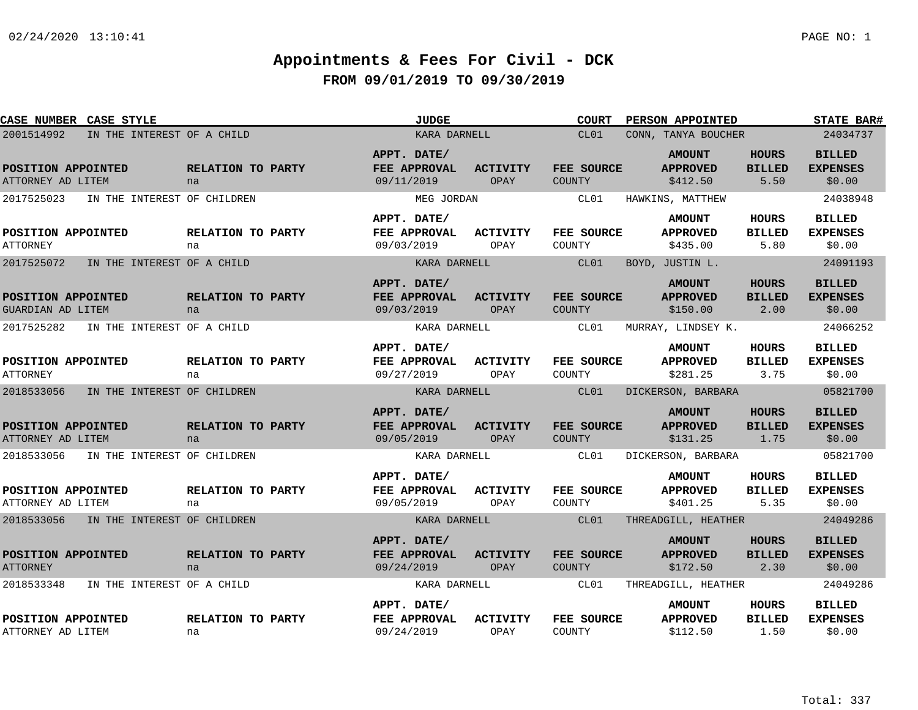| CASE NUMBER CASE STYLE                    |                         | <b>JUDGE</b>                              |                         | <b>COURT</b>                | PERSON APPOINTED                             |                                       | <b>STATE BAR#</b>                          |
|-------------------------------------------|-------------------------|-------------------------------------------|-------------------------|-----------------------------|----------------------------------------------|---------------------------------------|--------------------------------------------|
| 2001514992<br>IN THE INTEREST OF A CHILD  |                         | KARA DARNELL                              |                         | CL01<br>CONN, TANYA BOUCHER |                                              | 24034737                              |                                            |
| POSITION APPOINTED<br>ATTORNEY AD LITEM   | RELATION TO PARTY<br>na | APPT. DATE/<br>FEE APPROVAL<br>09/11/2019 | <b>ACTIVITY</b><br>OPAY | FEE SOURCE<br><b>COUNTY</b> | <b>AMOUNT</b><br><b>APPROVED</b><br>\$412.50 | <b>HOURS</b><br><b>BILLED</b><br>5.50 | <b>BILLED</b><br><b>EXPENSES</b><br>\$0.00 |
| 2017525023<br>IN THE INTEREST OF CHILDREN |                         | MEG JORDAN                                |                         | CL01                        | HAWKINS, MATTHEW                             |                                       | 24038948                                   |
| POSITION APPOINTED<br><b>ATTORNEY</b>     | RELATION TO PARTY<br>na | APPT. DATE/<br>FEE APPROVAL<br>09/03/2019 | ACTIVITY<br>OPAY        | FEE SOURCE<br>COUNTY        | <b>AMOUNT</b><br><b>APPROVED</b><br>\$435.00 | HOURS<br><b>BILLED</b><br>5.80        | <b>BILLED</b><br><b>EXPENSES</b><br>\$0.00 |
| 2017525072<br>IN THE INTEREST OF A CHILD  |                         | KARA DARNELL                              |                         | CL01                        | BOYD, JUSTIN L.                              |                                       | 24091193                                   |
| POSITION APPOINTED<br>GUARDIAN AD LITEM   | RELATION TO PARTY<br>na | APPT. DATE/<br>FEE APPROVAL<br>09/03/2019 | <b>ACTIVITY</b><br>OPAY | FEE SOURCE<br><b>COUNTY</b> | <b>AMOUNT</b><br><b>APPROVED</b><br>\$150.00 | <b>HOURS</b><br><b>BILLED</b><br>2.00 | <b>BILLED</b><br><b>EXPENSES</b><br>\$0.00 |
| 2017525282<br>IN THE INTEREST OF A CHILD  |                         | KARA DARNELL                              |                         | CL01                        | MURRAY, LINDSEY K.                           |                                       | 24066252                                   |
| POSITION APPOINTED<br><b>ATTORNEY</b>     | RELATION TO PARTY<br>na | APPT. DATE/<br>FEE APPROVAL<br>09/27/2019 | <b>ACTIVITY</b><br>OPAY | FEE SOURCE<br>COUNTY        | <b>AMOUNT</b><br><b>APPROVED</b><br>\$281.25 | <b>HOURS</b><br><b>BILLED</b><br>3.75 | <b>BILLED</b><br><b>EXPENSES</b><br>\$0.00 |
| 2018533056<br>IN THE INTEREST OF CHILDREN |                         | KARA DARNELL                              |                         | CL01                        | DICKERSON, BARBARA                           |                                       | 05821700                                   |
| POSITION APPOINTED<br>ATTORNEY AD LITEM   | RELATION TO PARTY<br>na | APPT. DATE/<br>FEE APPROVAL<br>09/05/2019 | <b>ACTIVITY</b><br>OPAY | FEE SOURCE<br>COUNTY        | <b>AMOUNT</b><br><b>APPROVED</b><br>\$131.25 | <b>HOURS</b><br><b>BILLED</b><br>1.75 | <b>BILLED</b><br><b>EXPENSES</b><br>\$0.00 |
| 2018533056<br>IN THE INTEREST OF CHILDREN |                         | KARA DARNELL                              |                         | CL01                        | DICKERSON, BARBARA                           |                                       | 05821700                                   |
| POSITION APPOINTED<br>ATTORNEY AD LITEM   | RELATION TO PARTY<br>na | APPT. DATE/<br>FEE APPROVAL<br>09/05/2019 | <b>ACTIVITY</b><br>OPAY | FEE SOURCE<br>COUNTY        | <b>AMOUNT</b><br><b>APPROVED</b><br>\$401.25 | <b>HOURS</b><br><b>BILLED</b><br>5.35 | <b>BILLED</b><br><b>EXPENSES</b><br>\$0.00 |
| 2018533056 IN THE INTEREST OF CHILDREN    |                         | KARA DARNELL                              |                         | CL01                        | THREADGILL, HEATHER                          |                                       | 24049286                                   |
| POSITION APPOINTED<br><b>ATTORNEY</b>     | RELATION TO PARTY<br>na | APPT. DATE/<br>FEE APPROVAL<br>09/24/2019 | <b>ACTIVITY</b><br>OPAY | FEE SOURCE<br><b>COUNTY</b> | <b>AMOUNT</b><br><b>APPROVED</b><br>\$172.50 | <b>HOURS</b><br><b>BILLED</b><br>2.30 | <b>BILLED</b><br><b>EXPENSES</b><br>\$0.00 |
| 2018533348<br>IN THE INTEREST OF A CHILD  |                         | KARA DARNELL                              |                         | CL01                        | THREADGILL, HEATHER                          |                                       | 24049286                                   |
| POSITION APPOINTED<br>ATTORNEY AD LITEM   | RELATION TO PARTY<br>na | APPT. DATE/<br>FEE APPROVAL<br>09/24/2019 | <b>ACTIVITY</b><br>OPAY | FEE SOURCE<br>COUNTY        | <b>AMOUNT</b><br><b>APPROVED</b><br>\$112.50 | <b>HOURS</b><br><b>BILLED</b><br>1.50 | <b>BILLED</b><br><b>EXPENSES</b><br>\$0.00 |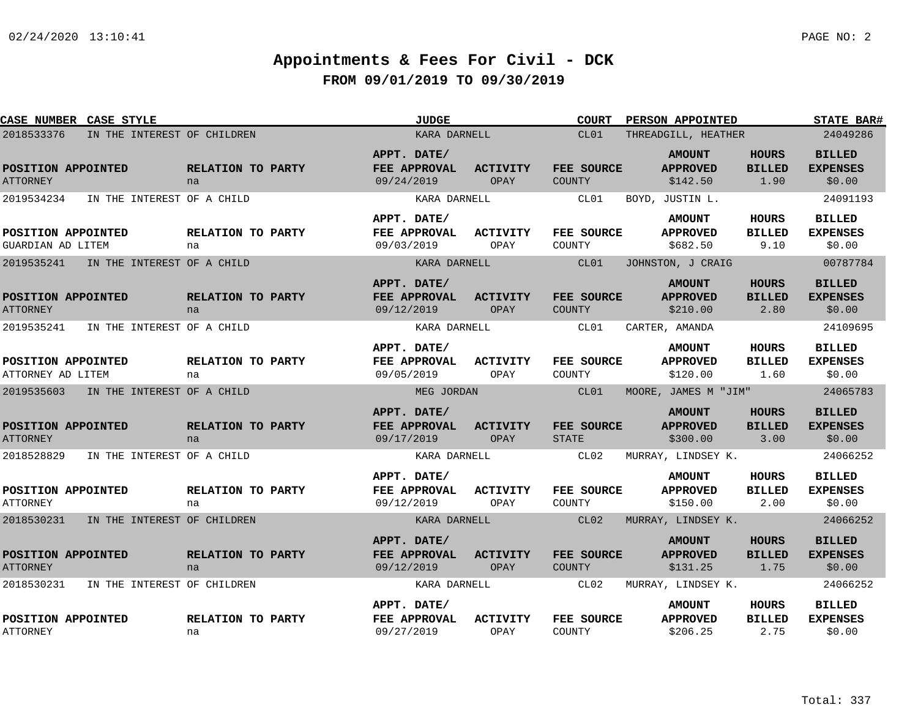| <b>CASE NUMBER CASE STYLE</b>           |                             |                                           | <b>JUDGE</b>                   | <b>COURT</b>                | <b>PERSON APPOINTED</b>                      |                                       | <b>STATE BAR#</b>                          |
|-----------------------------------------|-----------------------------|-------------------------------------------|--------------------------------|-----------------------------|----------------------------------------------|---------------------------------------|--------------------------------------------|
| 2018533376                              | IN THE INTEREST OF CHILDREN |                                           | KARA DARNELL                   | CL01                        | THREADGILL, HEATHER                          |                                       | 24049286                                   |
| POSITION APPOINTED<br><b>ATTORNEY</b>   | RELATION TO PARTY<br>na     | APPT. DATE/<br>FEE APPROVAL<br>09/24/2019 | ACTIVITY<br>OPAY               | FEE SOURCE<br>COUNTY        | <b>AMOUNT</b><br><b>APPROVED</b><br>\$142.50 | <b>HOURS</b><br><b>BILLED</b><br>1.90 | <b>BILLED</b><br><b>EXPENSES</b><br>\$0.00 |
| 2019534234                              | IN THE INTEREST OF A CHILD  |                                           | KARA DARNELL                   | CL01                        | BOYD, JUSTIN L.                              |                                       | 24091193                                   |
| POSITION APPOINTED<br>GUARDIAN AD LITEM | RELATION TO PARTY<br>na     | APPT. DATE/<br>FEE APPROVAL<br>09/03/2019 | ACTIVITY<br>OPAY               | FEE SOURCE<br>COUNTY        | <b>AMOUNT</b><br><b>APPROVED</b><br>\$682.50 | HOURS<br><b>BILLED</b><br>9.10        | <b>BILLED</b><br><b>EXPENSES</b><br>\$0.00 |
| 2019535241                              | IN THE INTEREST OF A CHILD  |                                           | KARA DARNELL                   | CL01                        | JOHNSTON, J CRAIG                            |                                       | 00787784                                   |
| POSITION APPOINTED<br><b>ATTORNEY</b>   | RELATION TO PARTY<br>na     | APPT. DATE/<br>FEE APPROVAL<br>09/12/2019 | <b>ACTIVITY</b><br><b>OPAY</b> | FEE SOURCE<br><b>COUNTY</b> | <b>AMOUNT</b><br><b>APPROVED</b><br>\$210.00 | <b>HOURS</b><br><b>BILLED</b><br>2.80 | <b>BILLED</b><br><b>EXPENSES</b><br>\$0.00 |
| 2019535241                              | IN THE INTEREST OF A CHILD  |                                           | KARA DARNELL                   | CL01                        | CARTER, AMANDA                               |                                       | 24109695                                   |
| POSITION APPOINTED<br>ATTORNEY AD LITEM | RELATION TO PARTY<br>na     | APPT. DATE/<br>FEE APPROVAL<br>09/05/2019 | <b>ACTIVITY</b><br>OPAY        | FEE SOURCE<br>COUNTY        | <b>AMOUNT</b><br><b>APPROVED</b><br>\$120.00 | <b>HOURS</b><br><b>BILLED</b><br>1.60 | <b>BILLED</b><br><b>EXPENSES</b><br>\$0.00 |
| 2019535603                              | IN THE INTEREST OF A CHILD  |                                           | MEG JORDAN                     | CL01                        | MOORE, JAMES M "JIM"                         |                                       | 24065783                                   |
| POSITION APPOINTED<br><b>ATTORNEY</b>   | RELATION TO PARTY<br>na     | APPT. DATE/<br>FEE APPROVAL<br>09/17/2019 | <b>ACTIVITY</b><br><b>OPAY</b> | FEE SOURCE<br><b>STATE</b>  | <b>AMOUNT</b><br><b>APPROVED</b><br>\$300.00 | <b>HOURS</b><br><b>BILLED</b><br>3.00 | <b>BILLED</b><br><b>EXPENSES</b><br>\$0.00 |
| 2018528829                              | IN THE INTEREST OF A CHILD  |                                           | KARA DARNELL                   | CL02                        | MURRAY, LINDSEY K.                           |                                       | 24066252                                   |
| POSITION APPOINTED<br><b>ATTORNEY</b>   | RELATION TO PARTY<br>na     | APPT. DATE/<br>FEE APPROVAL<br>09/12/2019 | <b>ACTIVITY</b><br>OPAY        | FEE SOURCE<br>COUNTY        | <b>AMOUNT</b><br><b>APPROVED</b><br>\$150.00 | <b>HOURS</b><br><b>BILLED</b><br>2.00 | <b>BILLED</b><br><b>EXPENSES</b><br>\$0.00 |
| 2018530231                              | IN THE INTEREST OF CHILDREN |                                           | KARA DARNELL                   | CL02                        | MURRAY, LINDSEY K.                           |                                       | 24066252                                   |
| POSITION APPOINTED<br><b>ATTORNEY</b>   | RELATION TO PARTY<br>na     | APPT. DATE/<br>FEE APPROVAL<br>09/12/2019 | ACTIVITY<br>OPAY               | FEE SOURCE<br><b>COUNTY</b> | <b>AMOUNT</b><br><b>APPROVED</b><br>\$131.25 | <b>HOURS</b><br><b>BILLED</b><br>1.75 | <b>BILLED</b><br><b>EXPENSES</b><br>\$0.00 |
| 2018530231                              | IN THE INTEREST OF CHILDREN |                                           | KARA DARNELL                   | CL02                        | MURRAY, LINDSEY K.                           |                                       | 24066252                                   |
| POSITION APPOINTED<br><b>ATTORNEY</b>   | RELATION TO PARTY<br>na     | APPT. DATE/<br>FEE APPROVAL<br>09/27/2019 | <b>ACTIVITY</b><br>OPAY        | FEE SOURCE<br>COUNTY        | <b>AMOUNT</b><br><b>APPROVED</b><br>\$206.25 | HOURS<br><b>BILLED</b><br>2.75        | <b>BILLED</b><br><b>EXPENSES</b><br>\$0.00 |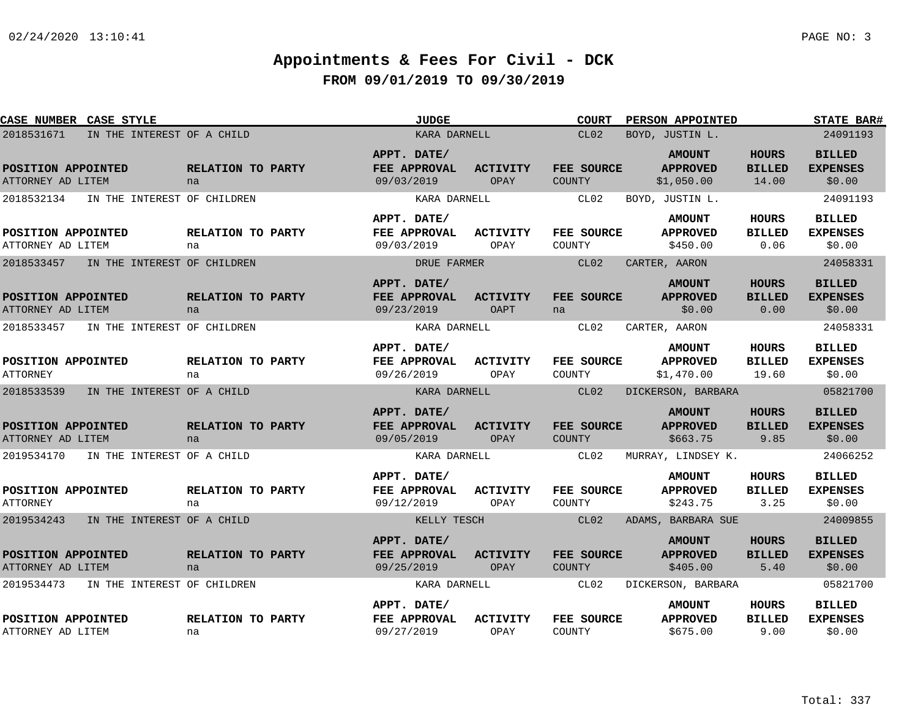| CASE NUMBER CASE STYLE                  |                             |                             | <b>JUDGE</b>                              |                                | <b>COURT</b>                       | PERSON APPOINTED                               |                                        | <b>STATE BAR#</b>                          |
|-----------------------------------------|-----------------------------|-----------------------------|-------------------------------------------|--------------------------------|------------------------------------|------------------------------------------------|----------------------------------------|--------------------------------------------|
| 2018531671                              | IN THE INTEREST OF A CHILD  |                             | KARA DARNELL                              |                                | CL02                               | BOYD, JUSTIN L.                                |                                        | 24091193                                   |
| POSITION APPOINTED<br>ATTORNEY AD LITEM |                             | RELATION TO PARTY<br>na     | APPT. DATE/<br>FEE APPROVAL<br>09/03/2019 | <b>ACTIVITY</b><br>OPAY        | FEE SOURCE<br>COUNTY               | <b>AMOUNT</b><br><b>APPROVED</b><br>\$1,050.00 | <b>HOURS</b><br><b>BILLED</b><br>14.00 | <b>BILLED</b><br><b>EXPENSES</b><br>\$0.00 |
| 2018532134                              | IN THE INTEREST OF CHILDREN |                             | KARA DARNELL                              |                                | CL02                               | BOYD, JUSTIN L.                                |                                        | 24091193                                   |
|                                         |                             |                             | APPT. DATE/                               |                                |                                    | <b>AMOUNT</b>                                  | HOURS                                  | <b>BILLED</b>                              |
| POSITION APPOINTED<br>ATTORNEY AD LITEM |                             | RELATION TO PARTY<br>na     | FEE APPROVAL<br>09/03/2019                | ACTIVITY<br>OPAY               | <b>FEE SOURCE</b><br>COUNTY        | <b>APPROVED</b><br>\$450.00                    | <b>BILLED</b><br>0.06                  | <b>EXPENSES</b><br>\$0.00                  |
| 2018533457                              | IN THE INTEREST OF CHILDREN |                             | DRUE FARMER                               |                                | CL02                               | CARTER, AARON                                  |                                        | 24058331                                   |
| POSITION APPOINTED<br>ATTORNEY AD LITEM |                             | RELATION TO PARTY<br>na     | APPT. DATE/<br>FEE APPROVAL<br>09/23/2019 | <b>ACTIVITY</b><br><b>OAPT</b> | FEE SOURCE<br>na                   | <b>AMOUNT</b><br><b>APPROVED</b><br>\$0.00     | <b>HOURS</b><br><b>BILLED</b><br>0.00  | <b>BILLED</b><br><b>EXPENSES</b><br>\$0.00 |
| 2018533457                              | IN THE INTEREST OF CHILDREN |                             | KARA DARNELL                              |                                | CL02                               | CARTER, AARON                                  |                                        | 24058331                                   |
| POSITION APPOINTED<br><b>ATTORNEY</b>   |                             | RELATION TO PARTY<br>na     | APPT. DATE/<br>FEE APPROVAL<br>09/26/2019 | <b>ACTIVITY</b><br>OPAY        | FEE SOURCE<br>COUNTY               | <b>AMOUNT</b><br><b>APPROVED</b><br>\$1,470.00 | <b>HOURS</b><br><b>BILLED</b><br>19.60 | <b>BILLED</b><br><b>EXPENSES</b><br>\$0.00 |
| 2018533539                              | IN THE INTEREST OF A CHILD  |                             | KARA DARNELL                              |                                | CL02                               | DICKERSON, BARBARA                             |                                        | 05821700                                   |
| POSITION APPOINTED<br>ATTORNEY AD LITEM |                             | RELATION TO PARTY<br>na     | APPT. DATE/<br>FEE APPROVAL<br>09/05/2019 | <b>ACTIVITY</b><br>OPAY        | FEE SOURCE<br>COUNTY               | <b>AMOUNT</b><br><b>APPROVED</b><br>\$663.75   | <b>HOURS</b><br><b>BILLED</b><br>9.85  | <b>BILLED</b><br><b>EXPENSES</b><br>\$0.00 |
| 2019534170                              | IN THE INTEREST OF A CHILD  |                             | KARA DARNELL                              |                                | CL02                               | MURRAY, LINDSEY K.                             |                                        | 24066252                                   |
| POSITION APPOINTED<br><b>ATTORNEY</b>   |                             | RELATION TO PARTY<br>na     | APPT. DATE/<br>FEE APPROVAL<br>09/12/2019 | <b>ACTIVITY</b><br>OPAY        | FEE SOURCE<br>COUNTY               | <b>AMOUNT</b><br><b>APPROVED</b><br>\$243.75   | HOURS<br><b>BILLED</b><br>3.25         | <b>BILLED</b><br><b>EXPENSES</b><br>\$0.00 |
| 2019534243                              | IN THE INTEREST OF A CHILD  |                             | KELLY TESCH                               |                                | CL02                               | ADAMS, BARBARA SUE                             |                                        | 24009855                                   |
| POSITION APPOINTED<br>ATTORNEY AD LITEM |                             | RELATION TO PARTY<br>na     | APPT. DATE/<br>FEE APPROVAL<br>09/25/2019 | <b>ACTIVITY</b><br>OPAY        | <b>FEE SOURCE</b><br><b>COUNTY</b> | <b>AMOUNT</b><br><b>APPROVED</b><br>\$405.00   | <b>HOURS</b><br><b>BILLED</b><br>5.40  | <b>BILLED</b><br><b>EXPENSES</b><br>\$0.00 |
| 2019534473                              |                             | IN THE INTEREST OF CHILDREN | KARA DARNELL                              |                                | CL02                               | DICKERSON, BARBARA                             |                                        | 05821700                                   |
| POSITION APPOINTED<br>ATTORNEY AD LITEM |                             | RELATION TO PARTY<br>na     | APPT. DATE/<br>FEE APPROVAL<br>09/27/2019 | <b>ACTIVITY</b><br>OPAY        | FEE SOURCE<br>COUNTY               | <b>AMOUNT</b><br><b>APPROVED</b><br>\$675.00   | HOURS<br><b>BILLED</b><br>9.00         | <b>BILLED</b><br><b>EXPENSES</b><br>\$0.00 |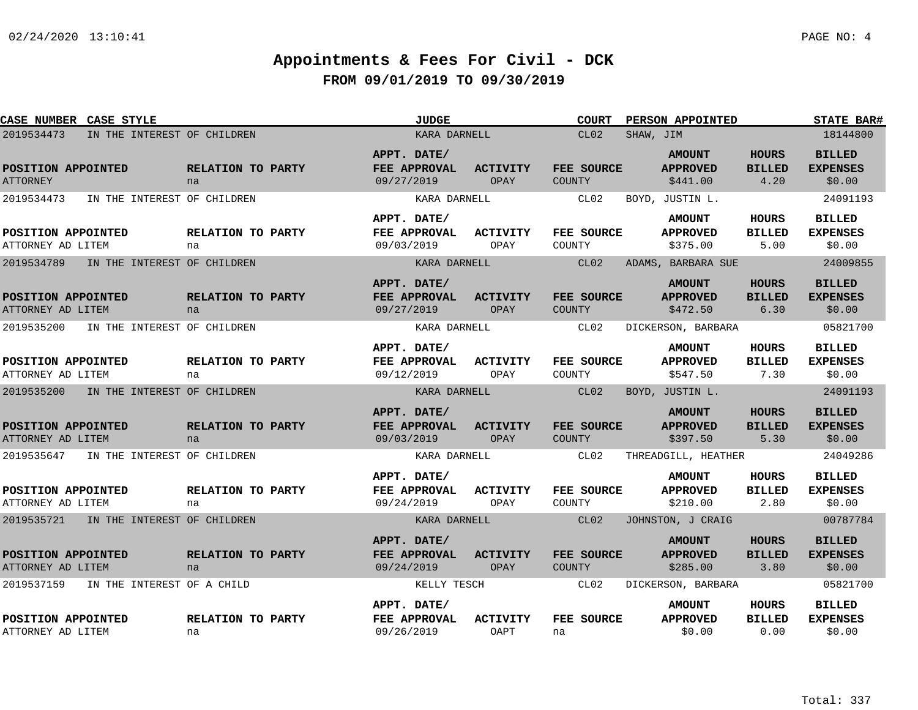| CASE NUMBER CASE STYLE                    |                         | <b>JUDGE</b>                              |                         | <b>COURT</b>                | PERSON APPOINTED                             |                                       | <b>STATE BAR#</b>                          |
|-------------------------------------------|-------------------------|-------------------------------------------|-------------------------|-----------------------------|----------------------------------------------|---------------------------------------|--------------------------------------------|
| 2019534473<br>IN THE INTEREST OF CHILDREN |                         | KARA DARNELL                              |                         | CL02                        | SHAW, JIM                                    |                                       | 18144800                                   |
| POSITION APPOINTED<br><b>ATTORNEY</b>     | RELATION TO PARTY<br>na | APPT. DATE/<br>FEE APPROVAL<br>09/27/2019 | <b>ACTIVITY</b><br>OPAY | FEE SOURCE<br><b>COUNTY</b> | <b>AMOUNT</b><br><b>APPROVED</b><br>\$441.00 | <b>HOURS</b><br><b>BILLED</b><br>4.20 | <b>BILLED</b><br><b>EXPENSES</b><br>\$0.00 |
| 2019534473<br>IN THE INTEREST OF CHILDREN |                         | KARA DARNELL                              |                         | CL02                        | BOYD, JUSTIN L.                              |                                       | 24091193                                   |
| POSITION APPOINTED<br>ATTORNEY AD LITEM   | RELATION TO PARTY<br>na | APPT. DATE/<br>FEE APPROVAL<br>09/03/2019 | <b>ACTIVITY</b><br>OPAY | FEE SOURCE<br>COUNTY        | <b>AMOUNT</b><br><b>APPROVED</b><br>\$375.00 | HOURS<br><b>BILLED</b><br>5.00        | <b>BILLED</b><br><b>EXPENSES</b><br>\$0.00 |
| 2019534789<br>IN THE INTEREST OF CHILDREN |                         | KARA DARNELL                              |                         | CL02                        | ADAMS, BARBARA SUE                           |                                       | 24009855                                   |
| POSITION APPOINTED<br>ATTORNEY AD LITEM   | RELATION TO PARTY<br>na | APPT. DATE/<br>FEE APPROVAL<br>09/27/2019 | <b>ACTIVITY</b><br>OPAY | FEE SOURCE<br><b>COUNTY</b> | <b>AMOUNT</b><br><b>APPROVED</b><br>\$472.50 | <b>HOURS</b><br><b>BILLED</b><br>6.30 | <b>BILLED</b><br><b>EXPENSES</b><br>\$0.00 |
| 2019535200<br>IN THE INTEREST OF CHILDREN |                         | KARA DARNELL                              |                         | CL02                        | DICKERSON, BARBARA                           |                                       | 05821700                                   |
| POSITION APPOINTED<br>ATTORNEY AD LITEM   | RELATION TO PARTY<br>na | APPT. DATE/<br>FEE APPROVAL<br>09/12/2019 | ACTIVITY<br>OPAY        | FEE SOURCE<br>COUNTY        | <b>AMOUNT</b><br><b>APPROVED</b><br>\$547.50 | <b>HOURS</b><br><b>BILLED</b><br>7.30 | <b>BILLED</b><br><b>EXPENSES</b><br>\$0.00 |
| 2019535200<br>IN THE INTEREST OF CHILDREN |                         | KARA DARNELL                              |                         | CL02                        | BOYD, JUSTIN L.                              |                                       | 24091193                                   |
| POSITION APPOINTED<br>ATTORNEY AD LITEM   | RELATION TO PARTY<br>na | APPT. DATE/<br>FEE APPROVAL<br>09/03/2019 | <b>ACTIVITY</b><br>OPAY | FEE SOURCE<br><b>COUNTY</b> | <b>AMOUNT</b><br><b>APPROVED</b><br>\$397.50 | <b>HOURS</b><br><b>BILLED</b><br>5.30 | <b>BILLED</b><br><b>EXPENSES</b><br>\$0.00 |
| 2019535647<br>IN THE INTEREST OF CHILDREN |                         | KARA DARNELL                              |                         | CL02                        | THREADGILL, HEATHER                          |                                       | 24049286                                   |
| POSITION APPOINTED<br>ATTORNEY AD LITEM   | RELATION TO PARTY<br>na | APPT. DATE/<br>FEE APPROVAL<br>09/24/2019 | <b>ACTIVITY</b><br>OPAY | FEE SOURCE<br>COUNTY        | <b>AMOUNT</b><br><b>APPROVED</b><br>\$210.00 | <b>HOURS</b><br><b>BILLED</b><br>2.80 | <b>BILLED</b><br><b>EXPENSES</b><br>\$0.00 |
| 2019535721 IN THE INTEREST OF CHILDREN    |                         | KARA DARNELL                              |                         | CL02                        | JOHNSTON, J CRAIG                            |                                       | 00787784                                   |
| POSITION APPOINTED<br>ATTORNEY AD LITEM   | RELATION TO PARTY<br>na | APPT. DATE/<br>FEE APPROVAL<br>09/24/2019 | <b>ACTIVITY</b><br>OPAY | FEE SOURCE<br><b>COUNTY</b> | <b>AMOUNT</b><br><b>APPROVED</b><br>\$285.00 | <b>HOURS</b><br><b>BILLED</b><br>3.80 | <b>BILLED</b><br><b>EXPENSES</b><br>\$0.00 |
| 2019537159<br>IN THE INTEREST OF A CHILD  |                         | KELLY TESCH                               |                         | CL02                        | DICKERSON, BARBARA                           |                                       | 05821700                                   |
| POSITION APPOINTED<br>ATTORNEY AD LITEM   | RELATION TO PARTY<br>na | APPT. DATE/<br>FEE APPROVAL<br>09/26/2019 | <b>ACTIVITY</b><br>OAPT | FEE SOURCE<br>na            | <b>AMOUNT</b><br><b>APPROVED</b><br>\$0.00   | HOURS<br><b>BILLED</b><br>0.00        | <b>BILLED</b><br><b>EXPENSES</b><br>\$0.00 |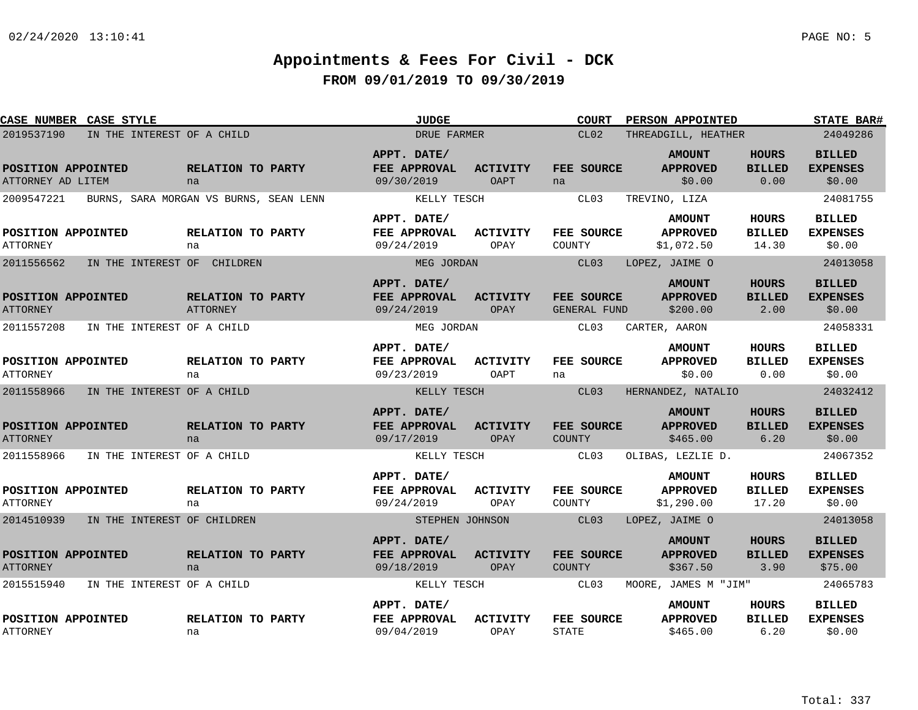| CASE NUMBER CASE STYLE                  |                                        |                               | <b>JUDGE</b>                              |                         | <b>COURT</b>               | <b>PERSON APPOINTED</b>                        |                                        | <b>STATE BAR#</b>                           |
|-----------------------------------------|----------------------------------------|-------------------------------|-------------------------------------------|-------------------------|----------------------------|------------------------------------------------|----------------------------------------|---------------------------------------------|
| 2019537190                              | IN THE INTEREST OF A CHILD             |                               | DRUE FARMER                               |                         | CL02                       | THREADGILL, HEATHER                            | 24049286                               |                                             |
| POSITION APPOINTED<br>ATTORNEY AD LITEM |                                        | RELATION TO PARTY<br>na       | APPT. DATE/<br>FEE APPROVAL<br>09/30/2019 | <b>ACTIVITY</b><br>OAPT | FEE SOURCE<br>na           | <b>AMOUNT</b><br><b>APPROVED</b><br>\$0.00     | <b>HOURS</b><br><b>BILLED</b><br>0.00  | <b>BILLED</b><br><b>EXPENSES</b><br>\$0.00  |
| 2009547221                              | BURNS, SARA MORGAN VS BURNS, SEAN LENN |                               | KELLY TESCH                               |                         | CL03                       | TREVINO, LIZA                                  |                                        | 24081755                                    |
| POSITION APPOINTED<br><b>ATTORNEY</b>   |                                        | RELATION TO PARTY<br>na       | APPT. DATE/<br>FEE APPROVAL<br>09/24/2019 | ACTIVITY<br>OPAY        | FEE SOURCE<br>COUNTY       | <b>AMOUNT</b><br><b>APPROVED</b><br>\$1,072.50 | HOURS<br><b>BILLED</b><br>14.30        | <b>BILLED</b><br><b>EXPENSES</b><br>\$0.00  |
| 2011556562                              | IN THE INTEREST OF CHILDREN            |                               | MEG JORDAN                                |                         | CL03                       | LOPEZ, JAIME O                                 |                                        | 24013058                                    |
| POSITION APPOINTED<br><b>ATTORNEY</b>   |                                        | RELATION TO PARTY<br>ATTORNEY | APPT. DATE/<br>FEE APPROVAL<br>09/24/2019 | <b>ACTIVITY</b><br>OPAY | FEE SOURCE<br>GENERAL FUND | <b>AMOUNT</b><br><b>APPROVED</b><br>\$200.00   | <b>HOURS</b><br><b>BILLED</b><br>2.00  | <b>BILLED</b><br><b>EXPENSES</b><br>\$0.00  |
| 2011557208                              | IN THE INTEREST OF A CHILD             |                               | MEG JORDAN                                |                         | CL03                       | CARTER, AARON                                  |                                        | 24058331                                    |
| POSITION APPOINTED<br><b>ATTORNEY</b>   |                                        | RELATION TO PARTY<br>na       | APPT. DATE/<br>FEE APPROVAL<br>09/23/2019 | <b>ACTIVITY</b><br>OAPT | FEE SOURCE<br>na           | <b>AMOUNT</b><br><b>APPROVED</b><br>\$0.00     | <b>HOURS</b><br><b>BILLED</b><br>0.00  | <b>BILLED</b><br><b>EXPENSES</b><br>\$0.00  |
| 2011558966                              | IN THE INTEREST OF A CHILD             |                               | KELLY TESCH                               |                         | CL03                       | HERNANDEZ, NATALIO                             |                                        | 24032412                                    |
| POSITION APPOINTED<br><b>ATTORNEY</b>   |                                        | RELATION TO PARTY<br>na       | APPT. DATE/<br>FEE APPROVAL<br>09/17/2019 | <b>ACTIVITY</b><br>OPAY | FEE SOURCE<br>COUNTY       | <b>AMOUNT</b><br><b>APPROVED</b><br>\$465.00   | <b>HOURS</b><br><b>BILLED</b><br>6.20  | <b>BILLED</b><br><b>EXPENSES</b><br>\$0.00  |
| 2011558966                              | IN THE INTEREST OF A CHILD             |                               | KELLY TESCH                               |                         | CL03                       | OLIBAS, LEZLIE D.                              |                                        | 24067352                                    |
| POSITION APPOINTED<br><b>ATTORNEY</b>   |                                        | RELATION TO PARTY<br>na       | APPT. DATE/<br>FEE APPROVAL<br>09/24/2019 | <b>ACTIVITY</b><br>OPAY | FEE SOURCE<br>COUNTY       | <b>AMOUNT</b><br><b>APPROVED</b><br>\$1,290.00 | <b>HOURS</b><br><b>BILLED</b><br>17.20 | <b>BILLED</b><br><b>EXPENSES</b><br>\$0.00  |
| 2014510939                              | IN THE INTEREST OF CHILDREN            |                               | STEPHEN JOHNSON                           |                         | CL03                       | LOPEZ, JAIME O                                 |                                        | 24013058                                    |
| POSITION APPOINTED<br><b>ATTORNEY</b>   |                                        | RELATION TO PARTY<br>na       | APPT. DATE/<br>FEE APPROVAL<br>09/18/2019 | <b>ACTIVITY</b><br>OPAY | FEE SOURCE<br>COUNTY       | <b>AMOUNT</b><br><b>APPROVED</b><br>\$367.50   | <b>HOURS</b><br><b>BILLED</b><br>3.90  | <b>BILLED</b><br><b>EXPENSES</b><br>\$75.00 |
| 2015515940                              | IN THE INTEREST OF A CHILD             |                               | KELLY TESCH                               |                         | CL03                       | MOORE, JAMES M "JIM"                           |                                        | 24065783                                    |
| POSITION APPOINTED<br><b>ATTORNEY</b>   |                                        | RELATION TO PARTY<br>na       | APPT. DATE/<br>FEE APPROVAL<br>09/04/2019 | <b>ACTIVITY</b><br>OPAY | FEE SOURCE<br><b>STATE</b> | <b>AMOUNT</b><br><b>APPROVED</b><br>\$465.00   | <b>HOURS</b><br><b>BILLED</b><br>6.20  | <b>BILLED</b><br><b>EXPENSES</b><br>\$0.00  |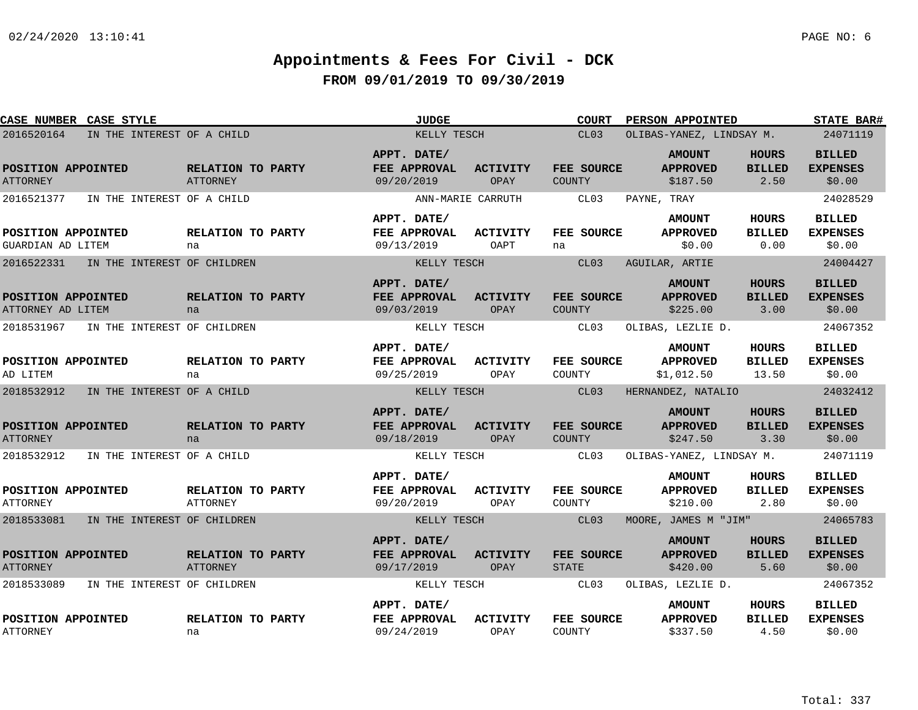| CASE NUMBER CASE STYLE                  |                            |                                      | JUDGE                                     |                                | <b>COURT</b>                | PERSON APPOINTED                               |                                       | <b>STATE BAR#</b>                          |
|-----------------------------------------|----------------------------|--------------------------------------|-------------------------------------------|--------------------------------|-----------------------------|------------------------------------------------|---------------------------------------|--------------------------------------------|
| 2016520164                              | IN THE INTEREST OF A CHILD |                                      | KELLY TESCH                               |                                | CL03                        | OLIBAS-YANEZ, LINDSAY M.                       | 24071119                              |                                            |
| POSITION APPOINTED<br><b>ATTORNEY</b>   |                            | RELATION TO PARTY<br><b>ATTORNEY</b> | APPT. DATE/<br>FEE APPROVAL<br>09/20/2019 | <b>ACTIVITY</b><br>OPAY        | FEE SOURCE<br><b>COUNTY</b> | <b>AMOUNT</b><br><b>APPROVED</b><br>\$187.50   | <b>HOURS</b><br><b>BILLED</b><br>2.50 | <b>BILLED</b><br><b>EXPENSES</b><br>\$0.00 |
| 2016521377                              | IN THE INTEREST OF A CHILD |                                      | ANN-MARIE CARRUTH                         |                                | CL03                        | PAYNE, TRAY                                    |                                       | 24028529                                   |
| POSITION APPOINTED<br>GUARDIAN AD LITEM |                            | RELATION TO PARTY<br>na              | APPT. DATE/<br>FEE APPROVAL<br>09/13/2019 | ACTIVITY<br>OAPT               | FEE SOURCE<br>na            | <b>AMOUNT</b><br><b>APPROVED</b><br>\$0.00     | HOURS<br><b>BILLED</b><br>0.00        | <b>BILLED</b><br><b>EXPENSES</b><br>\$0.00 |
| 2016522331                              |                            | IN THE INTEREST OF CHILDREN          | KELLY TESCH                               |                                | CL03                        | AGUILAR, ARTIE                                 |                                       | 24004427                                   |
| POSITION APPOINTED<br>ATTORNEY AD LITEM |                            | RELATION TO PARTY<br>na              | APPT. DATE/<br>FEE APPROVAL<br>09/03/2019 | <b>ACTIVITY</b><br><b>OPAY</b> | FEE SOURCE<br><b>COUNTY</b> | <b>AMOUNT</b><br><b>APPROVED</b><br>\$225.00   | <b>HOURS</b><br><b>BILLED</b><br>3.00 | <b>BILLED</b><br><b>EXPENSES</b><br>\$0.00 |
| 2018531967                              |                            | IN THE INTEREST OF CHILDREN          | KELLY TESCH                               |                                | CL03                        | OLIBAS, LEZLIE D.                              |                                       | 24067352                                   |
| POSITION APPOINTED<br>AD LITEM          |                            | RELATION TO PARTY<br>na              | APPT. DATE/<br>FEE APPROVAL<br>09/25/2019 | <b>ACTIVITY</b><br>OPAY        | <b>FEE SOURCE</b><br>COUNTY | <b>AMOUNT</b><br><b>APPROVED</b><br>\$1,012.50 | HOURS<br><b>BILLED</b><br>13.50       | <b>BILLED</b><br><b>EXPENSES</b><br>\$0.00 |
| 2018532912                              | IN THE INTEREST OF A CHILD |                                      | KELLY TESCH                               |                                | CL <sub>03</sub>            | HERNANDEZ, NATALIO                             |                                       | 24032412                                   |
| POSITION APPOINTED<br><b>ATTORNEY</b>   |                            | RELATION TO PARTY<br>na              | APPT. DATE/<br>FEE APPROVAL<br>09/18/2019 | <b>ACTIVITY</b><br>OPAY        | FEE SOURCE<br><b>COUNTY</b> | <b>AMOUNT</b><br><b>APPROVED</b><br>\$247.50   | <b>HOURS</b><br><b>BILLED</b><br>3.30 | <b>BILLED</b><br><b>EXPENSES</b><br>\$0.00 |
| 2018532912                              | IN THE INTEREST OF A CHILD |                                      | KELLY TESCH                               |                                | CL03                        | OLIBAS-YANEZ, LINDSAY M.                       |                                       | 24071119                                   |
| POSITION APPOINTED<br>ATTORNEY          |                            | RELATION TO PARTY<br>ATTORNEY        | APPT. DATE/<br>FEE APPROVAL<br>09/20/2019 | <b>ACTIVITY</b><br>OPAY        | FEE SOURCE<br>COUNTY        | <b>AMOUNT</b><br><b>APPROVED</b><br>\$210.00   | <b>HOURS</b><br><b>BILLED</b><br>2.80 | <b>BILLED</b><br><b>EXPENSES</b><br>\$0.00 |
| 2018533081                              |                            | IN THE INTEREST OF CHILDREN          | KELLY TESCH                               |                                | CL03                        | MOORE, JAMES M "JIM"                           |                                       | 24065783                                   |
| POSITION APPOINTED<br><b>ATTORNEY</b>   |                            | RELATION TO PARTY<br>ATTORNEY        | APPT. DATE/<br>FEE APPROVAL<br>09/17/2019 | ACTIVITY<br>OPAY               | FEE SOURCE<br><b>STATE</b>  | <b>AMOUNT</b><br><b>APPROVED</b><br>\$420.00   | <b>HOURS</b><br><b>BILLED</b><br>5.60 | <b>BILLED</b><br><b>EXPENSES</b><br>\$0.00 |
| 2018533089                              |                            | IN THE INTEREST OF CHILDREN          | KELLY TESCH                               |                                | CL03                        | OLIBAS, LEZLIE D.                              |                                       | 24067352                                   |
| POSITION APPOINTED<br><b>ATTORNEY</b>   |                            | RELATION TO PARTY<br>na              | APPT. DATE/<br>FEE APPROVAL<br>09/24/2019 | <b>ACTIVITY</b><br>OPAY        | FEE SOURCE<br>COUNTY        | <b>AMOUNT</b><br><b>APPROVED</b><br>\$337.50   | HOURS<br><b>BILLED</b><br>4.50        | <b>BILLED</b><br><b>EXPENSES</b><br>\$0.00 |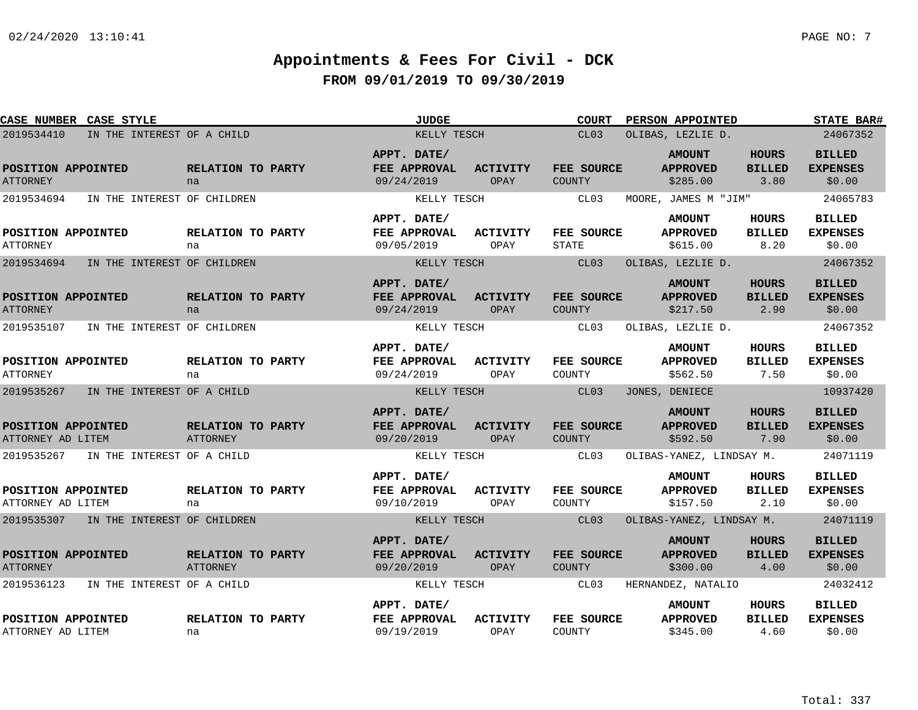| <b>CASE NUMBER CASE STYLE</b>            |                                      | <b>JUDGE</b>                                     |                                | <b>COURT</b>                      | <b>PERSON APPOINTED</b>                      |                                       | <b>STATE BAR#</b>                          |
|------------------------------------------|--------------------------------------|--------------------------------------------------|--------------------------------|-----------------------------------|----------------------------------------------|---------------------------------------|--------------------------------------------|
| 2019534410                               | IN THE INTEREST OF A CHILD           | KELLY TESCH                                      |                                | CL03                              | OLIBAS, LEZLIE D.                            |                                       | 24067352                                   |
| POSITION APPOINTED<br><b>ATTORNEY</b>    | RELATION TO PARTY<br>na              | APPT. DATE/<br>FEE APPROVAL<br>09/24/2019        | <b>ACTIVITY</b><br>OPAY        | FEE SOURCE<br>COUNTY              | <b>AMOUNT</b><br><b>APPROVED</b><br>\$285.00 | <b>HOURS</b><br><b>BILLED</b><br>3.80 | <b>BILLED</b><br><b>EXPENSES</b><br>\$0.00 |
| 2019534694                               | IN THE INTEREST OF CHILDREN          | KELLY TESCH                                      |                                | CL03                              | MOORE, JAMES M "JIM"                         |                                       | 24065783                                   |
| POSITION APPOINTED<br><b>ATTORNEY</b>    | RELATION TO PARTY<br>na              | APPT. DATE/<br>FEE APPROVAL<br>09/05/2019        | ACTIVITY<br>OPAY               | <b>FEE SOURCE</b><br><b>STATE</b> | <b>AMOUNT</b><br><b>APPROVED</b><br>\$615.00 | HOURS<br><b>BILLED</b><br>8.20        | <b>BILLED</b><br><b>EXPENSES</b><br>\$0.00 |
| 2019534694                               | IN THE INTEREST OF CHILDREN          | KELLY TESCH                                      |                                | CL03                              | OLIBAS, LEZLIE D.                            |                                       | 24067352                                   |
| POSITION APPOINTED<br><b>ATTORNEY</b>    | RELATION TO PARTY<br>na              | APPT. DATE/<br>FEE APPROVAL<br>09/24/2019        | <b>ACTIVITY</b><br><b>OPAY</b> | FEE SOURCE<br><b>COUNTY</b>       | <b>AMOUNT</b><br><b>APPROVED</b><br>\$217.50 | <b>HOURS</b><br><b>BILLED</b><br>2.90 | <b>BILLED</b><br><b>EXPENSES</b><br>\$0.00 |
| 2019535107                               | IN THE INTEREST OF CHILDREN          | KELLY TESCH                                      |                                | CL03                              | OLIBAS, LEZLIE D.                            |                                       | 24067352                                   |
| POSITION APPOINTED<br><b>ATTORNEY</b>    | RELATION TO PARTY<br>na              | APPT. DATE/<br>FEE APPROVAL<br>09/24/2019        | <b>ACTIVITY</b><br>OPAY        | FEE SOURCE<br>COUNTY              | <b>AMOUNT</b><br><b>APPROVED</b><br>\$562.50 | HOURS<br><b>BILLED</b><br>7.50        | <b>BILLED</b><br><b>EXPENSES</b><br>\$0.00 |
| 2019535267                               | IN THE INTEREST OF A CHILD           | KELLY TESCH                                      |                                | CL <sub>03</sub>                  | JONES, DENIECE                               |                                       | 10937420                                   |
| POSITION APPOINTED<br>ATTORNEY AD LITEM  | RELATION TO PARTY<br><b>ATTORNEY</b> | APPT. DATE/<br>FEE APPROVAL<br>09/20/2019        | <b>ACTIVITY</b><br><b>OPAY</b> | FEE SOURCE<br>COUNTY              | <b>AMOUNT</b><br><b>APPROVED</b><br>\$592.50 | <b>HOURS</b><br><b>BILLED</b><br>7.90 | <b>BILLED</b><br><b>EXPENSES</b><br>\$0.00 |
| 2019535267<br>IN THE INTEREST OF A CHILD |                                      | KELLY TESCH                                      |                                | CL03                              | OLIBAS-YANEZ, LINDSAY M.                     |                                       | 24071119                                   |
| POSITION APPOINTED<br>ATTORNEY AD LITEM  | RELATION TO PARTY<br>na              | APPT. DATE/<br><b>FEE APPROVAL</b><br>09/10/2019 | ACTIVITY<br>OPAY               | FEE SOURCE<br>COUNTY              | <b>AMOUNT</b><br><b>APPROVED</b><br>\$157.50 | HOURS<br><b>BILLED</b><br>2.10        | <b>BILLED</b><br><b>EXPENSES</b><br>\$0.00 |
| 2019535307 IN THE INTEREST OF CHILDREN   |                                      | KELLY TESCH                                      |                                | CL03                              | OLIBAS-YANEZ, LINDSAY M.                     |                                       | 24071119                                   |
| POSITION APPOINTED<br><b>ATTORNEY</b>    | RELATION TO PARTY<br><b>ATTORNEY</b> | APPT. DATE/<br>FEE APPROVAL<br>09/20/2019        | <b>ACTIVITY</b><br>OPAY        | FEE SOURCE<br><b>COUNTY</b>       | <b>AMOUNT</b><br><b>APPROVED</b><br>\$300.00 | <b>HOURS</b><br><b>BILLED</b><br>4.00 | <b>BILLED</b><br><b>EXPENSES</b><br>\$0.00 |
| 2019536123                               | IN THE INTEREST OF A CHILD           | KELLY TESCH                                      |                                | CL03                              | HERNANDEZ, NATALIO                           |                                       | 24032412                                   |
| POSITION APPOINTED<br>ATTORNEY AD LITEM  | RELATION TO PARTY<br>na              | APPT. DATE/<br>FEE APPROVAL<br>09/19/2019        | <b>ACTIVITY</b><br>OPAY        | FEE SOURCE<br>COUNTY              | <b>AMOUNT</b><br><b>APPROVED</b><br>\$345.00 | HOURS<br><b>BILLED</b><br>4.60        | <b>BILLED</b><br><b>EXPENSES</b><br>\$0.00 |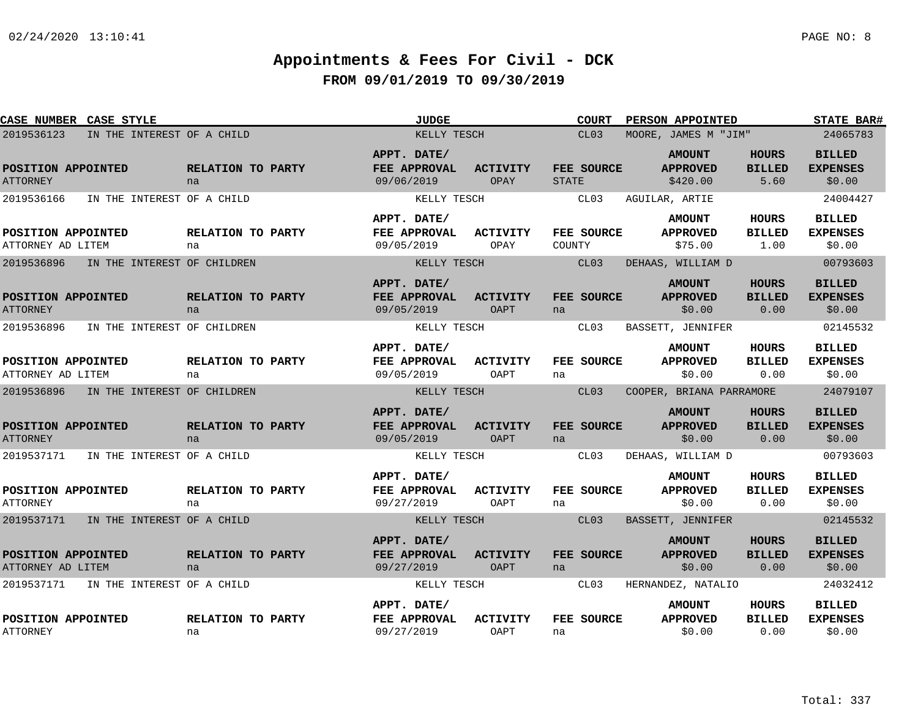| CASE NUMBER CASE STYLE                  |                             | <b>JUDGE</b>                              |                                | <b>COURT</b>               | PERSON APPOINTED                             |                                       | STATE BAR#                                 |
|-----------------------------------------|-----------------------------|-------------------------------------------|--------------------------------|----------------------------|----------------------------------------------|---------------------------------------|--------------------------------------------|
| 2019536123                              | IN THE INTEREST OF A CHILD  | KELLY TESCH                               |                                | CL <sub>03</sub>           | MOORE, JAMES M "JIM"                         |                                       | 24065783                                   |
| POSITION APPOINTED<br><b>ATTORNEY</b>   | RELATION TO PARTY<br>na     | APPT. DATE/<br>FEE APPROVAL<br>09/06/2019 | <b>ACTIVITY</b><br>OPAY        | FEE SOURCE<br><b>STATE</b> | <b>AMOUNT</b><br><b>APPROVED</b><br>\$420.00 | <b>HOURS</b><br><b>BILLED</b><br>5.60 | <b>BILLED</b><br><b>EXPENSES</b><br>\$0.00 |
| 2019536166                              | IN THE INTEREST OF A CHILD  | KELLY TESCH                               |                                | CL03                       | AGUILAR, ARTIE                               |                                       | 24004427                                   |
| POSITION APPOINTED<br>ATTORNEY AD LITEM | RELATION TO PARTY<br>na     | APPT. DATE/<br>FEE APPROVAL<br>09/05/2019 | ACTIVITY<br>OPAY               | FEE SOURCE<br>COUNTY       | <b>AMOUNT</b><br><b>APPROVED</b><br>\$75.00  | <b>HOURS</b><br><b>BILLED</b><br>1.00 | <b>BILLED</b><br><b>EXPENSES</b><br>\$0.00 |
| 2019536896                              | IN THE INTEREST OF CHILDREN | KELLY TESCH                               |                                | CL <sub>03</sub>           | DEHAAS, WILLIAM D                            |                                       | 00793603                                   |
| POSITION APPOINTED<br><b>ATTORNEY</b>   | RELATION TO PARTY<br>na     | APPT. DATE/<br>FEE APPROVAL<br>09/05/2019 | <b>ACTIVITY</b><br>OAPT        | FEE SOURCE<br>na           | <b>AMOUNT</b><br><b>APPROVED</b><br>\$0.00   | <b>HOURS</b><br><b>BILLED</b><br>0.00 | <b>BILLED</b><br><b>EXPENSES</b><br>\$0.00 |
| 2019536896                              | IN THE INTEREST OF CHILDREN | KELLY TESCH                               |                                | CL03                       | BASSETT, JENNIFER                            |                                       | 02145532                                   |
| POSITION APPOINTED<br>ATTORNEY AD LITEM | RELATION TO PARTY<br>na     | APPT. DATE/<br>FEE APPROVAL<br>09/05/2019 | <b>ACTIVITY</b><br>OAPT        | FEE SOURCE<br>na           | <b>AMOUNT</b><br><b>APPROVED</b><br>\$0.00   | <b>HOURS</b><br><b>BILLED</b><br>0.00 | <b>BILLED</b><br><b>EXPENSES</b><br>\$0.00 |
| 2019536896                              | IN THE INTEREST OF CHILDREN | KELLY TESCH                               |                                | CL03                       | COOPER, BRIANA PARRAMORE                     |                                       | 24079107                                   |
| POSITION APPOINTED<br><b>ATTORNEY</b>   | RELATION TO PARTY<br>na     | APPT. DATE/<br>FEE APPROVAL<br>09/05/2019 | <b>ACTIVITY</b><br>OAPT        | FEE SOURCE<br>na           | <b>AMOUNT</b><br><b>APPROVED</b><br>\$0.00   | <b>HOURS</b><br><b>BILLED</b><br>0.00 | <b>BILLED</b><br><b>EXPENSES</b><br>\$0.00 |
| 2019537171                              | IN THE INTEREST OF A CHILD  | KELLY TESCH                               |                                | CL03                       | DEHAAS, WILLIAM D                            |                                       | 00793603                                   |
| POSITION APPOINTED<br><b>ATTORNEY</b>   | RELATION TO PARTY<br>na     | APPT. DATE/<br>FEE APPROVAL<br>09/27/2019 | <b>ACTIVITY</b><br>OAPT        | FEE SOURCE<br>na           | <b>AMOUNT</b><br><b>APPROVED</b><br>\$0.00   | <b>HOURS</b><br><b>BILLED</b><br>0.00 | <b>BILLED</b><br><b>EXPENSES</b><br>\$0.00 |
| 2019537171                              | IN THE INTEREST OF A CHILD  | KELLY TESCH                               |                                | CL <sub>03</sub>           | BASSETT, JENNIFER                            |                                       | 02145532                                   |
| POSITION APPOINTED<br>ATTORNEY AD LITEM | RELATION TO PARTY<br>na     | APPT. DATE/<br>FEE APPROVAL<br>09/27/2019 | <b>ACTIVITY</b><br><b>OAPT</b> | FEE SOURCE<br>na           | <b>AMOUNT</b><br><b>APPROVED</b><br>\$0.00   | <b>HOURS</b><br><b>BILLED</b><br>0.00 | <b>BILLED</b><br><b>EXPENSES</b><br>\$0.00 |
| 2019537171                              | IN THE INTEREST OF A CHILD  | KELLY TESCH                               |                                | CL03                       | HERNANDEZ, NATALIO                           |                                       | 24032412                                   |
| POSITION APPOINTED<br><b>ATTORNEY</b>   | RELATION TO PARTY<br>na     | APPT. DATE/<br>FEE APPROVAL<br>09/27/2019 | <b>ACTIVITY</b><br>OAPT        | FEE SOURCE<br>na           | <b>AMOUNT</b><br><b>APPROVED</b><br>\$0.00   | <b>HOURS</b><br><b>BILLED</b><br>0.00 | <b>BILLED</b><br><b>EXPENSES</b><br>\$0.00 |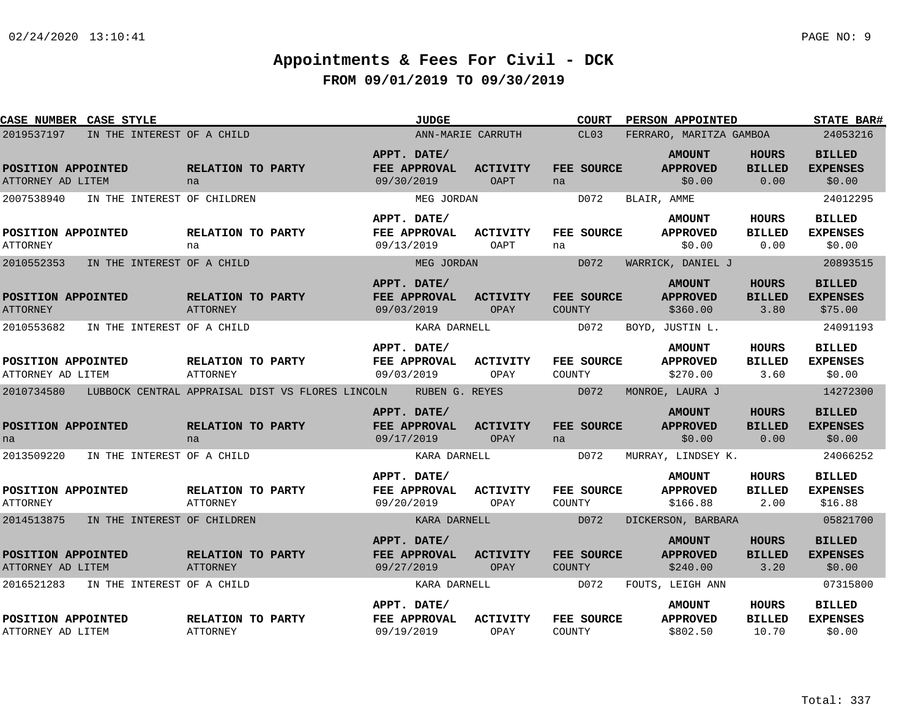| CASE NUMBER CASE STYLE                  |                             |                                      |                                                                 | <b>JUDGE</b>                                              |                                | <b>COURT</b>                | <b>PERSON APPOINTED</b>                      |                                       | <b>STATE BAR#</b>                                      |
|-----------------------------------------|-----------------------------|--------------------------------------|-----------------------------------------------------------------|-----------------------------------------------------------|--------------------------------|-----------------------------|----------------------------------------------|---------------------------------------|--------------------------------------------------------|
| 2019537197                              | IN THE INTEREST OF A CHILD  |                                      |                                                                 | ANN-MARIE CARRUTH                                         |                                | CL03                        | FERRARO, MARITZA GAMBOA                      |                                       | 24053216                                               |
| POSITION APPOINTED<br>ATTORNEY AD LITEM |                             | RELATION TO PARTY<br>na              |                                                                 | APPT. DATE/<br>FEE APPROVAL<br>09/30/2019                 | <b>ACTIVITY</b><br><b>OAPT</b> | FEE SOURCE<br>na            | <b>AMOUNT</b><br><b>APPROVED</b><br>\$0.00   | <b>HOURS</b><br><b>BILLED</b><br>0.00 | <b>BILLED</b><br><b>EXPENSES</b><br>\$0.00             |
| 2007538940                              | IN THE INTEREST OF CHILDREN |                                      |                                                                 | MEG JORDAN                                                |                                | D072                        | BLAIR, AMME                                  |                                       | 24012295                                               |
| POSITION APPOINTED<br>ATTORNEY          |                             | RELATION TO PARTY<br>na              |                                                                 | APPT. DATE/<br>FEE APPROVAL<br>09/13/2019                 | <b>ACTIVITY</b><br>OAPT        | FEE SOURCE<br>na            | <b>AMOUNT</b><br><b>APPROVED</b><br>\$0.00   | HOURS<br><b>BILLED</b><br>0.00        | <b>BILLED</b><br><b>EXPENSES</b><br>\$0.00             |
| 2010552353                              | IN THE INTEREST OF A CHILD  |                                      |                                                                 | MEG JORDAN                                                |                                | D072                        | WARRICK, DANIEL J                            |                                       | 20893515                                               |
| POSITION APPOINTED<br><b>ATTORNEY</b>   |                             | RELATION TO PARTY<br>ATTORNEY        |                                                                 | APPT. DATE/<br>FEE APPROVAL<br>09/03/2019                 | <b>ACTIVITY</b><br>OPAY        | FEE SOURCE<br><b>COUNTY</b> | <b>AMOUNT</b><br><b>APPROVED</b><br>\$360.00 | <b>HOURS</b><br><b>BILLED</b><br>3.80 | <b>BILLED</b><br><b>EXPENSES</b><br>\$75.00            |
| 2010553682                              | IN THE INTEREST OF A CHILD  |                                      |                                                                 | KARA DARNELL                                              |                                | D072                        | BOYD, JUSTIN L.                              |                                       | 24091193                                               |
| POSITION APPOINTED<br>ATTORNEY AD LITEM |                             | RELATION TO PARTY<br><b>ATTORNEY</b> |                                                                 | APPT. DATE/<br>FEE APPROVAL<br>09/03/2019                 | ACTIVITY<br>OPAY               | FEE SOURCE<br>COUNTY        | <b>AMOUNT</b><br><b>APPROVED</b><br>\$270.00 | HOURS<br><b>BILLED</b><br>3.60        | <b>BILLED</b><br><b>EXPENSES</b><br>\$0.00             |
| 2010734580                              |                             |                                      | LUBBOCK CENTRAL APPRAISAL DIST VS FLORES LINCOLN BUBEN G. REYES |                                                           |                                | D072                        | MONROE, LAURA J                              |                                       | 14272300                                               |
| POSITION APPOINTED<br>na<br>2013509220  | IN THE INTEREST OF A CHILD  | RELATION TO PARTY<br>na              |                                                                 | APPT. DATE/<br>FEE APPROVAL<br>09/17/2019<br>KARA DARNELL | <b>ACTIVITY</b><br>OPAY        | FEE SOURCE<br>na<br>D072    | <b>AMOUNT</b><br><b>APPROVED</b><br>\$0.00   | <b>HOURS</b><br><b>BILLED</b><br>0.00 | <b>BILLED</b><br><b>EXPENSES</b><br>\$0.00<br>24066252 |
|                                         |                             |                                      |                                                                 |                                                           |                                |                             | MURRAY, LINDSEY K.                           |                                       |                                                        |
| POSITION APPOINTED<br><b>ATTORNEY</b>   |                             | RELATION TO PARTY<br>ATTORNEY        |                                                                 | APPT. DATE/<br>FEE APPROVAL<br>09/20/2019                 | <b>ACTIVITY</b><br>OPAY        | FEE SOURCE<br>COUNTY        | <b>AMOUNT</b><br><b>APPROVED</b><br>\$166.88 | HOURS<br><b>BILLED</b><br>2.00        | <b>BILLED</b><br><b>EXPENSES</b><br>\$16.88            |
| 2014513875                              | IN THE INTEREST OF CHILDREN |                                      |                                                                 | KARA DARNELL                                              |                                | D072                        | DICKERSON, BARBARA                           |                                       | 05821700                                               |
| POSITION APPOINTED<br>ATTORNEY AD LITEM |                             | RELATION TO PARTY<br>ATTORNEY        |                                                                 | APPT. DATE/<br>FEE APPROVAL<br>09/27/2019                 | <b>ACTIVITY</b><br>OPAY        | FEE SOURCE<br><b>COUNTY</b> | <b>AMOUNT</b><br><b>APPROVED</b><br>\$240.00 | <b>HOURS</b><br><b>BILLED</b><br>3.20 | <b>BILLED</b><br><b>EXPENSES</b><br>\$0.00             |
| 2016521283                              | IN THE INTEREST OF A CHILD  |                                      |                                                                 | KARA DARNELL                                              |                                | D072                        | FOUTS, LEIGH ANN                             |                                       | 07315800                                               |
| POSITION APPOINTED<br>ATTORNEY AD LITEM |                             | RELATION TO PARTY<br><b>ATTORNEY</b> |                                                                 | APPT. DATE/<br>FEE APPROVAL<br>09/19/2019                 | <b>ACTIVITY</b><br>OPAY        | FEE SOURCE<br>COUNTY        | <b>AMOUNT</b><br><b>APPROVED</b><br>\$802.50 | HOURS<br><b>BILLED</b><br>10.70       | <b>BILLED</b><br><b>EXPENSES</b><br>\$0.00             |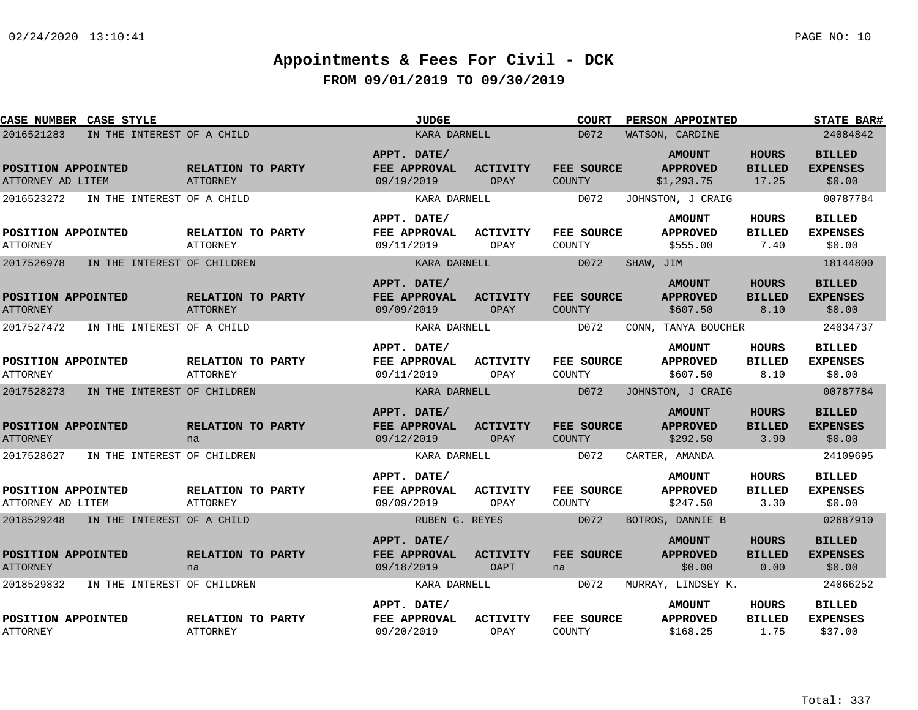|                                         | <b>CASE NUMBER CASE STYLE</b> |                                      | <b>JUDGE</b>                              |                                | COURT                       | PERSON APPOINTED                               |                                        | <b>STATE BAR#</b>                           |
|-----------------------------------------|-------------------------------|--------------------------------------|-------------------------------------------|--------------------------------|-----------------------------|------------------------------------------------|----------------------------------------|---------------------------------------------|
| 2016521283                              | IN THE INTEREST OF A CHILD    |                                      | KARA DARNELL                              |                                | D072                        | WATSON, CARDINE                                |                                        | 24084842                                    |
| POSITION APPOINTED<br>ATTORNEY AD LITEM |                               | RELATION TO PARTY<br><b>ATTORNEY</b> | APPT. DATE/<br>FEE APPROVAL<br>09/19/2019 | ACTIVITY<br>OPAY               | FEE SOURCE<br>COUNTY        | <b>AMOUNT</b><br><b>APPROVED</b><br>\$1,293.75 | <b>HOURS</b><br><b>BILLED</b><br>17.25 | <b>BILLED</b><br><b>EXPENSES</b><br>\$0.00  |
| 2016523272                              | IN THE INTEREST OF A CHILD    |                                      | KARA DARNELL                              |                                | D072                        | JOHNSTON, J CRAIG                              |                                        | 00787784                                    |
| POSITION APPOINTED<br><b>ATTORNEY</b>   |                               | RELATION TO PARTY<br><b>ATTORNEY</b> | APPT. DATE/<br>FEE APPROVAL<br>09/11/2019 | ACTIVITY<br>OPAY               | <b>FEE SOURCE</b><br>COUNTY | <b>AMOUNT</b><br><b>APPROVED</b><br>\$555.00   | HOURS<br><b>BILLED</b><br>7.40         | <b>BILLED</b><br><b>EXPENSES</b><br>\$0.00  |
| 2017526978                              | IN THE INTEREST OF CHILDREN   |                                      | KARA DARNELL                              |                                | D072                        | SHAW, JIM                                      |                                        | 18144800                                    |
| POSITION APPOINTED<br><b>ATTORNEY</b>   |                               | RELATION TO PARTY<br>ATTORNEY        | APPT. DATE/<br>FEE APPROVAL<br>09/09/2019 | <b>ACTIVITY</b><br>OPAY        | FEE SOURCE<br><b>COUNTY</b> | <b>AMOUNT</b><br><b>APPROVED</b><br>\$607.50   | <b>HOURS</b><br><b>BILLED</b><br>8.10  | <b>BILLED</b><br><b>EXPENSES</b><br>\$0.00  |
| 2017527472                              | IN THE INTEREST OF A CHILD    |                                      | KARA DARNELL                              |                                | D072                        | CONN, TANYA BOUCHER                            |                                        | 24034737                                    |
| POSITION APPOINTED<br><b>ATTORNEY</b>   |                               | RELATION TO PARTY<br>ATTORNEY        | APPT. DATE/<br>FEE APPROVAL<br>09/11/2019 | ACTIVITY<br>OPAY               | FEE SOURCE<br>COUNTY        | <b>AMOUNT</b><br><b>APPROVED</b><br>\$607.50   | <b>HOURS</b><br><b>BILLED</b><br>8.10  | <b>BILLED</b><br><b>EXPENSES</b><br>\$0.00  |
| 2017528273                              | IN THE INTEREST OF CHILDREN   |                                      | KARA DARNELL                              |                                | D072                        | JOHNSTON, J CRAIG                              |                                        | 00787784                                    |
| POSITION APPOINTED<br><b>ATTORNEY</b>   |                               | RELATION TO PARTY<br>na              | APPT. DATE/<br>FEE APPROVAL<br>09/12/2019 | <b>ACTIVITY</b><br><b>OPAY</b> | FEE SOURCE<br><b>COUNTY</b> | <b>AMOUNT</b><br><b>APPROVED</b><br>\$292.50   | <b>HOURS</b><br><b>BILLED</b><br>3.90  | <b>BILLED</b><br><b>EXPENSES</b><br>\$0.00  |
| 2017528627                              | IN THE INTEREST OF CHILDREN   |                                      | KARA DARNELL                              |                                | D072                        | CARTER, AMANDA                                 |                                        | 24109695                                    |
| POSITION APPOINTED<br>ATTORNEY AD LITEM |                               | RELATION TO PARTY<br>ATTORNEY        | APPT. DATE/<br>FEE APPROVAL<br>09/09/2019 | <b>ACTIVITY</b><br>OPAY        | FEE SOURCE<br>COUNTY        | <b>AMOUNT</b><br><b>APPROVED</b><br>\$247.50   | <b>HOURS</b><br><b>BILLED</b><br>3.30  | <b>BILLED</b><br><b>EXPENSES</b><br>\$0.00  |
| 2018529248                              | IN THE INTEREST OF A CHILD    |                                      | RUBEN G. REYES                            |                                | D072                        | BOTROS, DANNIE B                               |                                        | 02687910                                    |
| POSITION APPOINTED<br><b>ATTORNEY</b>   |                               | RELATION TO PARTY<br>na              | APPT. DATE/<br>FEE APPROVAL<br>09/18/2019 | ACTIVITY<br>OAPT               | FEE SOURCE<br>na            | <b>AMOUNT</b><br><b>APPROVED</b><br>\$0.00     | <b>HOURS</b><br><b>BILLED</b><br>0.00  | <b>BILLED</b><br><b>EXPENSES</b><br>\$0.00  |
| 2018529832                              | IN THE INTEREST OF CHILDREN   |                                      | KARA DARNELL                              |                                | D072                        | MURRAY, LINDSEY K.                             |                                        | 24066252                                    |
| POSITION APPOINTED<br><b>ATTORNEY</b>   |                               | RELATION TO PARTY<br>ATTORNEY        | APPT. DATE/<br>FEE APPROVAL<br>09/20/2019 | <b>ACTIVITY</b><br>OPAY        | FEE SOURCE<br>COUNTY        | <b>AMOUNT</b><br><b>APPROVED</b><br>\$168.25   | HOURS<br><b>BILLED</b><br>1.75         | <b>BILLED</b><br><b>EXPENSES</b><br>\$37.00 |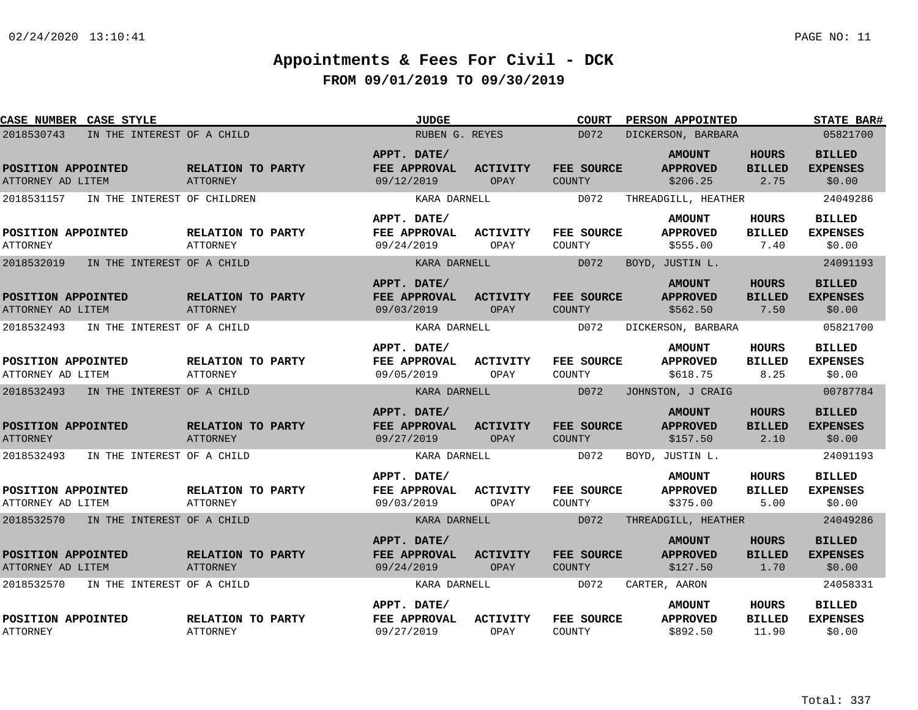| CASE NUMBER CASE STYLE                                      |                                      | <b>JUDGE</b>                              |                         | <b>COURT</b>                        | PERSON APPOINTED                             |                                        | <b>STATE BAR#</b>                          |
|-------------------------------------------------------------|--------------------------------------|-------------------------------------------|-------------------------|-------------------------------------|----------------------------------------------|----------------------------------------|--------------------------------------------|
| 2018530743<br>IN THE INTEREST OF A CHILD                    |                                      | RUBEN G. REYES                            |                         | D072                                | DICKERSON, BARBARA                           |                                        | 05821700                                   |
| POSITION APPOINTED<br>ATTORNEY AD LITEM                     | RELATION TO PARTY<br>ATTORNEY        | APPT. DATE/<br>FEE APPROVAL<br>09/12/2019 | <b>ACTIVITY</b><br>OPAY | FEE SOURCE<br><b>COUNTY</b>         | <b>AMOUNT</b><br><b>APPROVED</b><br>\$206.25 | <b>HOURS</b><br><b>BILLED</b><br>2.75  | <b>BILLED</b><br><b>EXPENSES</b><br>\$0.00 |
| 2018531157<br>IN THE INTEREST OF CHILDREN                   |                                      | KARA DARNELL                              |                         | D072                                | THREADGILL, HEATHER                          |                                        | 24049286                                   |
| POSITION APPOINTED                                          | RELATION TO PARTY                    | APPT. DATE/<br>FEE APPROVAL               | <b>ACTIVITY</b>         | FEE SOURCE                          | <b>AMOUNT</b><br><b>APPROVED</b>             | <b>HOURS</b><br><b>BILLED</b>          | <b>BILLED</b><br><b>EXPENSES</b>           |
| <b>ATTORNEY</b><br>2018532019<br>IN THE INTEREST OF A CHILD | <b>ATTORNEY</b>                      | 09/24/2019<br>KARA DARNELL                | OPAY                    | COUNTY<br>D072                      | \$555.00                                     | 7.40                                   | \$0.00<br>24091193                         |
|                                                             |                                      |                                           |                         |                                     | BOYD, JUSTIN L.                              |                                        |                                            |
| POSITION APPOINTED<br>ATTORNEY AD LITEM                     | RELATION TO PARTY<br>ATTORNEY        | APPT. DATE/<br>FEE APPROVAL<br>09/03/2019 | <b>ACTIVITY</b><br>OPAY | FEE SOURCE<br><b>COUNTY</b>         | <b>AMOUNT</b><br><b>APPROVED</b><br>\$562.50 | <b>HOURS</b><br><b>BILLED</b><br>7.50  | <b>BILLED</b><br><b>EXPENSES</b><br>\$0.00 |
| 2018532493<br>IN THE INTEREST OF A CHILD                    |                                      | KARA DARNELL                              |                         | D072                                | DICKERSON, BARBARA                           |                                        | 05821700                                   |
| POSITION APPOINTED<br>ATTORNEY AD LITEM                     | RELATION TO PARTY<br><b>ATTORNEY</b> | APPT. DATE/<br>FEE APPROVAL<br>09/05/2019 | ACTIVITY<br>OPAY        | FEE SOURCE<br>COUNTY                | <b>AMOUNT</b><br><b>APPROVED</b><br>\$618.75 | <b>HOURS</b><br><b>BILLED</b><br>8.25  | <b>BILLED</b><br><b>EXPENSES</b><br>\$0.00 |
| 2018532493<br>IN THE INTEREST OF A CHILD                    |                                      | KARA DARNELL                              |                         | D072                                | JOHNSTON, J CRAIG                            |                                        | 00787784                                   |
| POSITION APPOINTED<br><b>ATTORNEY</b><br>2018532493         | RELATION TO PARTY<br>ATTORNEY        | APPT. DATE/<br>FEE APPROVAL<br>09/27/2019 | <b>ACTIVITY</b><br>OPAY | FEE SOURCE<br><b>COUNTY</b><br>D072 | <b>AMOUNT</b><br><b>APPROVED</b><br>\$157.50 | <b>HOURS</b><br><b>BILLED</b><br>2.10  | <b>BILLED</b><br><b>EXPENSES</b><br>\$0.00 |
| IN THE INTEREST OF A CHILD                                  |                                      | KARA DARNELL                              |                         |                                     | BOYD, JUSTIN L.                              |                                        | 24091193                                   |
| POSITION APPOINTED<br>ATTORNEY AD LITEM                     | <b>RELATION TO PARTY</b><br>ATTORNEY | APPT. DATE/<br>FEE APPROVAL<br>09/03/2019 | <b>ACTIVITY</b><br>OPAY | FEE SOURCE<br>COUNTY                | <b>AMOUNT</b><br><b>APPROVED</b><br>\$375.00 | <b>HOURS</b><br><b>BILLED</b><br>5.00  | <b>BILLED</b><br><b>EXPENSES</b><br>\$0.00 |
| 2018532570 IN THE INTEREST OF A CHILD                       |                                      | KARA DARNELL                              |                         | D072                                | THREADGILL, HEATHER                          |                                        | 24049286                                   |
| POSITION APPOINTED<br>ATTORNEY AD LITEM                     | RELATION TO PARTY<br>ATTORNEY        | APPT. DATE/<br>FEE APPROVAL<br>09/24/2019 | <b>ACTIVITY</b><br>OPAY | FEE SOURCE<br>COUNTY                | <b>AMOUNT</b><br><b>APPROVED</b><br>\$127.50 | HOURS<br><b>BILLED</b><br>1.70         | <b>BILLED</b><br><b>EXPENSES</b><br>\$0.00 |
| 2018532570<br>IN THE INTEREST OF A CHILD                    |                                      | KARA DARNELL                              |                         | D072                                | CARTER, AARON                                |                                        | 24058331                                   |
| POSITION APPOINTED<br><b>ATTORNEY</b>                       | RELATION TO PARTY<br><b>ATTORNEY</b> | APPT. DATE/<br>FEE APPROVAL<br>09/27/2019 | <b>ACTIVITY</b><br>OPAY | FEE SOURCE<br>COUNTY                | <b>AMOUNT</b><br><b>APPROVED</b><br>\$892.50 | <b>HOURS</b><br><b>BILLED</b><br>11.90 | <b>BILLED</b><br><b>EXPENSES</b><br>\$0.00 |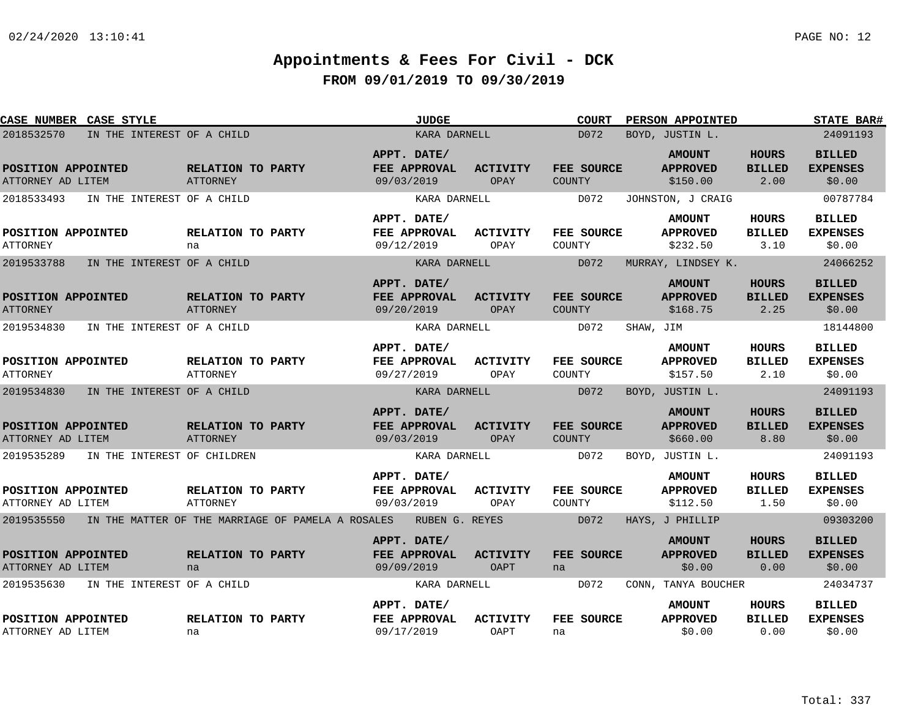| CASE NUMBER CASE STYLE                                                      |                                                       | <b>JUDGE</b>                              |              |                                                 | <b>COURT</b>              |           | PERSON APPOINTED                                                  |                                       | <b>STATE BAR#</b>                                      |
|-----------------------------------------------------------------------------|-------------------------------------------------------|-------------------------------------------|--------------|-------------------------------------------------|---------------------------|-----------|-------------------------------------------------------------------|---------------------------------------|--------------------------------------------------------|
| 2018532570                                                                  | IN THE INTEREST OF A CHILD                            |                                           | KARA DARNELL |                                                 | D072                      |           | BOYD, JUSTIN L.                                                   |                                       | 24091193                                               |
| POSITION APPOINTED<br>ATTORNEY AD LITEM                                     | RELATION TO PARTY<br>ATTORNEY                         | APPT. DATE/<br>FEE APPROVAL<br>09/03/2019 |              | <b>ACTIVITY</b><br>OPAY<br><b>COUNTY</b>        | FEE SOURCE                |           | <b>AMOUNT</b><br><b>APPROVED</b><br>\$150.00                      | <b>HOURS</b><br><b>BILLED</b><br>2.00 | <b>BILLED</b><br><b>EXPENSES</b><br>\$0.00             |
| 2018533493<br>POSITION APPOINTED<br>ATTORNEY                                | IN THE INTEREST OF A CHILD<br>RELATION TO PARTY<br>na | APPT. DATE/<br>FEE APPROVAL<br>09/12/2019 | KARA DARNELL | <b>ACTIVITY</b><br>COUNTY<br>OPAY               | D072<br><b>FEE SOURCE</b> |           | JOHNSTON, J CRAIG<br><b>AMOUNT</b><br><b>APPROVED</b><br>\$232.50 | HOURS<br><b>BILLED</b><br>3.10        | 00787784<br><b>BILLED</b><br><b>EXPENSES</b><br>\$0.00 |
| 2019533788                                                                  | IN THE INTEREST OF A CHILD                            |                                           | KARA DARNELL |                                                 | D072                      |           | MURRAY, LINDSEY K.                                                |                                       | 24066252                                               |
| POSITION APPOINTED<br><b>ATTORNEY</b>                                       | RELATION TO PARTY<br><b>ATTORNEY</b>                  | APPT. DATE/<br>FEE APPROVAL<br>09/20/2019 |              | <b>ACTIVITY</b><br>OPAY<br><b>COUNTY</b>        | FEE SOURCE                |           | <b>AMOUNT</b><br><b>APPROVED</b><br>\$168.75                      | <b>HOURS</b><br><b>BILLED</b><br>2.25 | <b>BILLED</b><br><b>EXPENSES</b><br>\$0.00             |
| 2019534830                                                                  | IN THE INTEREST OF A CHILD                            |                                           | KARA DARNELL |                                                 | D072                      | SHAW, JIM |                                                                   |                                       | 18144800                                               |
| POSITION APPOINTED<br><b>ATTORNEY</b>                                       | RELATION TO PARTY<br><b>ATTORNEY</b>                  | APPT. DATE/<br>FEE APPROVAL<br>09/27/2019 |              | ACTIVITY<br>OPAY<br>COUNTY                      | FEE SOURCE                |           | <b>AMOUNT</b><br><b>APPROVED</b><br>\$157.50                      | <b>HOURS</b><br><b>BILLED</b><br>2.10 | <b>BILLED</b><br><b>EXPENSES</b><br>\$0.00             |
| 2019534830                                                                  | IN THE INTEREST OF A CHILD                            |                                           | KARA DARNELL |                                                 | D072                      |           | BOYD, JUSTIN L.                                                   |                                       | 24091193                                               |
| POSITION APPOINTED<br>ATTORNEY AD LITEM                                     | RELATION TO PARTY<br><b>ATTORNEY</b>                  | APPT. DATE/<br>FEE APPROVAL<br>09/03/2019 |              | <b>ACTIVITY</b><br><b>OPAY</b><br><b>COUNTY</b> | FEE SOURCE                |           | <b>AMOUNT</b><br><b>APPROVED</b><br>\$660.00                      | <b>HOURS</b><br><b>BILLED</b><br>8.80 | <b>BILLED</b><br><b>EXPENSES</b><br>\$0.00             |
| 2019535289                                                                  | IN THE INTEREST OF CHILDREN                           |                                           | KARA DARNELL |                                                 | D072                      |           | BOYD, JUSTIN L.                                                   |                                       | 24091193                                               |
| POSITION APPOINTED<br>ATTORNEY AD LITEM                                     | RELATION TO PARTY<br>ATTORNEY                         | APPT. DATE/<br>FEE APPROVAL<br>09/03/2019 |              | ACTIVITY<br>OPAY<br>COUNTY                      | FEE SOURCE                |           | <b>AMOUNT</b><br><b>APPROVED</b><br>\$112.50                      | HOURS<br><b>BILLED</b><br>1.50        | <b>BILLED</b><br><b>EXPENSES</b><br>\$0.00             |
| 2019535550 IN THE MATTER OF THE MARRIAGE OF PAMELA A ROSALES RUBEN G. REYES |                                                       |                                           |              |                                                 | D072                      |           | HAYS, J PHILLIP                                                   |                                       | 09303200                                               |
| POSITION APPOINTED<br>ATTORNEY AD LITEM                                     | RELATION TO PARTY<br>na                               | APPT. DATE/<br>FEE APPROVAL<br>09/09/2019 |              | <b>ACTIVITY</b><br><b>OAPT</b><br>na            | <b>FEE SOURCE</b>         |           | <b>AMOUNT</b><br><b>APPROVED</b><br>\$0.00                        | <b>HOURS</b><br><b>BILLED</b><br>0.00 | <b>BILLED</b><br><b>EXPENSES</b><br>\$0.00             |
| 2019535630                                                                  | IN THE INTEREST OF A CHILD                            |                                           | KARA DARNELL |                                                 | D072                      |           | CONN, TANYA BOUCHER                                               |                                       | 24034737                                               |
| POSITION APPOINTED<br>ATTORNEY AD LITEM                                     | RELATION TO PARTY<br>na                               | APPT. DATE/<br>FEE APPROVAL<br>09/17/2019 |              | <b>ACTIVITY</b><br>OAPT<br>na                   | FEE SOURCE                |           | <b>AMOUNT</b><br><b>APPROVED</b><br>\$0.00                        | HOURS<br><b>BILLED</b><br>0.00        | <b>BILLED</b><br><b>EXPENSES</b><br>\$0.00             |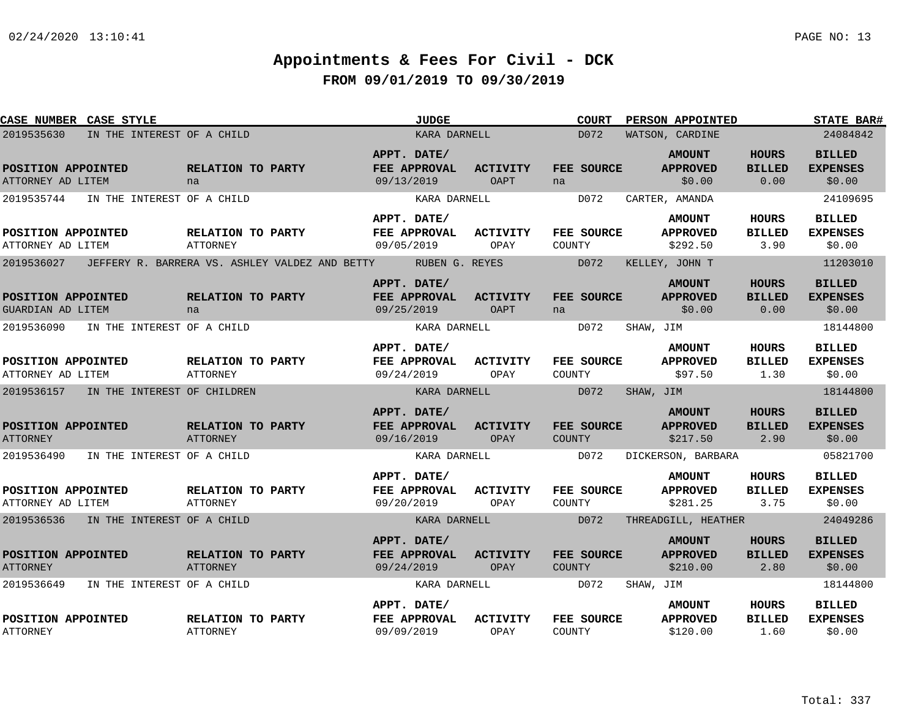| CASE NUMBER CASE STYLE                  |                            |                                      |                                                               |                                           | <b>JUDGE</b> |                         |        | <b>COURT</b> |           | PERSON APPOINTED                             |                                       | <b>STATE BAR#</b>                          |
|-----------------------------------------|----------------------------|--------------------------------------|---------------------------------------------------------------|-------------------------------------------|--------------|-------------------------|--------|--------------|-----------|----------------------------------------------|---------------------------------------|--------------------------------------------|
| 2019535630                              | IN THE INTEREST OF A CHILD |                                      |                                                               |                                           | KARA DARNELL |                         |        | D072         |           | WATSON, CARDINE                              |                                       | 24084842                                   |
| POSITION APPOINTED<br>ATTORNEY AD LITEM |                            | RELATION TO PARTY<br>na              |                                                               | APPT. DATE/<br>FEE APPROVAL<br>09/13/2019 |              | <b>ACTIVITY</b><br>OAPT | na     | FEE SOURCE   |           | <b>AMOUNT</b><br><b>APPROVED</b><br>\$0.00   | <b>HOURS</b><br><b>BILLED</b><br>0.00 | <b>BILLED</b><br><b>EXPENSES</b><br>\$0.00 |
| 2019535744                              | IN THE INTEREST OF A CHILD |                                      |                                                               |                                           | KARA DARNELL |                         |        | D072         |           | CARTER, AMANDA                               |                                       | 24109695                                   |
| POSITION APPOINTED<br>ATTORNEY AD LITEM |                            | RELATION TO PARTY<br><b>ATTORNEY</b> |                                                               | APPT. DATE/<br>FEE APPROVAL<br>09/05/2019 |              | ACTIVITY<br>OPAY        | COUNTY | FEE SOURCE   |           | <b>AMOUNT</b><br><b>APPROVED</b><br>\$292.50 | HOURS<br><b>BILLED</b><br>3.90        | <b>BILLED</b><br><b>EXPENSES</b><br>\$0.00 |
| 2019536027                              |                            |                                      | JEFFERY R. BARRERA VS. ASHLEY VALDEZ AND BETTY NUBEN G. REYES |                                           |              |                         |        | D072         |           | KELLEY, JOHN T                               |                                       | 11203010                                   |
| POSITION APPOINTED<br>GUARDIAN AD LITEM |                            | RELATION TO PARTY<br>na              |                                                               | APPT. DATE/<br>FEE APPROVAL<br>09/25/2019 |              | <b>ACTIVITY</b><br>OAPT | na     | FEE SOURCE   |           | <b>AMOUNT</b><br><b>APPROVED</b><br>\$0.00   | <b>HOURS</b><br><b>BILLED</b><br>0.00 | <b>BILLED</b><br><b>EXPENSES</b><br>\$0.00 |
| 2019536090                              | IN THE INTEREST OF A CHILD |                                      |                                                               |                                           | KARA DARNELL |                         |        | D072         | SHAW, JIM |                                              |                                       | 18144800                                   |
| POSITION APPOINTED<br>ATTORNEY AD LITEM |                            | RELATION TO PARTY<br><b>ATTORNEY</b> |                                                               | APPT. DATE/<br>FEE APPROVAL<br>09/24/2019 |              | <b>ACTIVITY</b><br>OPAY | COUNTY | FEE SOURCE   |           | <b>AMOUNT</b><br><b>APPROVED</b><br>\$97.50  | <b>HOURS</b><br><b>BILLED</b><br>1.30 | <b>BILLED</b><br><b>EXPENSES</b><br>\$0.00 |
| 2019536157 IN THE INTEREST OF CHILDREN  |                            |                                      |                                                               |                                           | KARA DARNELL |                         |        | D072         | SHAW, JIM |                                              |                                       | 18144800                                   |
| POSITION APPOINTED<br><b>ATTORNEY</b>   |                            | RELATION TO PARTY<br><b>ATTORNEY</b> |                                                               | APPT. DATE/<br>FEE APPROVAL<br>09/16/2019 |              | <b>ACTIVITY</b><br>OPAY | COUNTY | FEE SOURCE   |           | <b>AMOUNT</b><br><b>APPROVED</b><br>\$217.50 | <b>HOURS</b><br><b>BILLED</b><br>2.90 | <b>BILLED</b><br><b>EXPENSES</b><br>\$0.00 |
| 2019536490                              | IN THE INTEREST OF A CHILD |                                      |                                                               |                                           | KARA DARNELL |                         |        | D072         |           | DICKERSON, BARBARA                           |                                       | 05821700                                   |
| POSITION APPOINTED<br>ATTORNEY AD LITEM |                            | RELATION TO PARTY<br>ATTORNEY        |                                                               | APPT. DATE/<br>FEE APPROVAL<br>09/20/2019 |              | <b>ACTIVITY</b><br>OPAY | COUNTY | FEE SOURCE   |           | <b>AMOUNT</b><br><b>APPROVED</b><br>\$281.25 | HOURS<br><b>BILLED</b><br>3.75        | <b>BILLED</b><br><b>EXPENSES</b><br>\$0.00 |
| 2019536536 IN THE INTEREST OF A CHILD   |                            |                                      |                                                               |                                           | KARA DARNELL |                         |        | D072         |           | THREADGILL, HEATHER                          |                                       | 24049286                                   |
| POSITION APPOINTED<br><b>ATTORNEY</b>   |                            | RELATION TO PARTY<br><b>ATTORNEY</b> |                                                               | APPT. DATE/<br>FEE APPROVAL<br>09/24/2019 |              | <b>ACTIVITY</b><br>OPAY | COUNTY | FEE SOURCE   |           | <b>AMOUNT</b><br><b>APPROVED</b><br>\$210.00 | <b>HOURS</b><br><b>BILLED</b><br>2.80 | <b>BILLED</b><br><b>EXPENSES</b><br>\$0.00 |
| 2019536649                              | IN THE INTEREST OF A CHILD |                                      |                                                               |                                           | KARA DARNELL |                         |        | D072         | SHAW, JIM |                                              |                                       | 18144800                                   |
| POSITION APPOINTED<br><b>ATTORNEY</b>   |                            | RELATION TO PARTY<br><b>ATTORNEY</b> |                                                               | APPT. DATE/<br>FEE APPROVAL<br>09/09/2019 |              | <b>ACTIVITY</b><br>OPAY | COUNTY | FEE SOURCE   |           | <b>AMOUNT</b><br><b>APPROVED</b><br>\$120.00 | HOURS<br><b>BILLED</b><br>1.60        | <b>BILLED</b><br><b>EXPENSES</b><br>\$0.00 |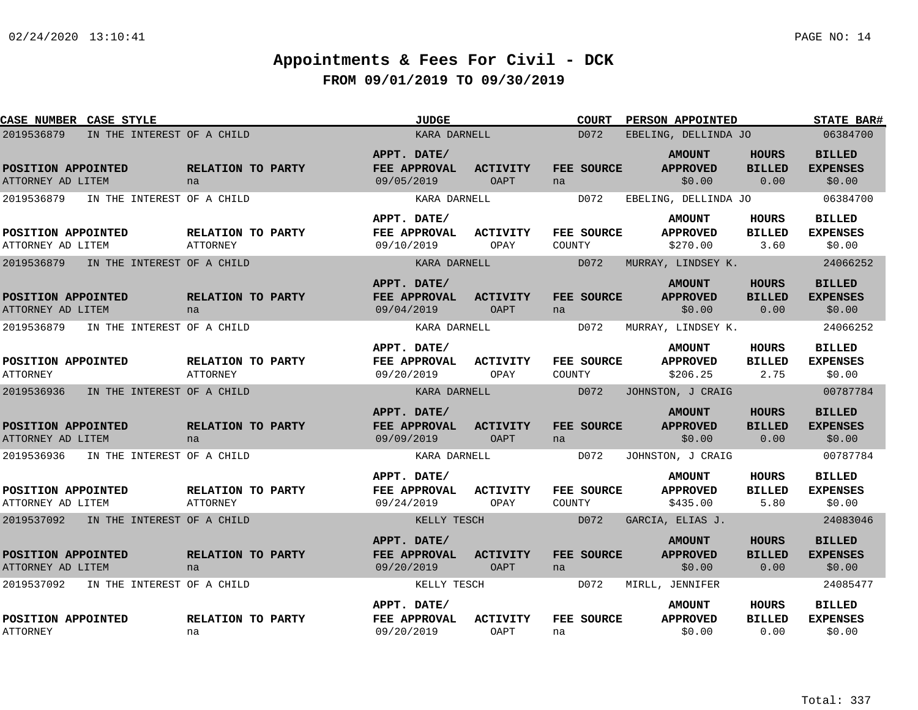| CASE NUMBER CASE STYLE                   |                                      | <b>JUDGE</b>                              |                                | <b>COURT</b>         | PERSON APPOINTED                             |                                       | <b>STATE BAR#</b>                          |
|------------------------------------------|--------------------------------------|-------------------------------------------|--------------------------------|----------------------|----------------------------------------------|---------------------------------------|--------------------------------------------|
| IN THE INTEREST OF A CHILD<br>2019536879 |                                      | KARA DARNELL                              |                                | D072                 | EBELING, DELLINDA JO                         |                                       | 06384700                                   |
| POSITION APPOINTED<br>ATTORNEY AD LITEM  | RELATION TO PARTY<br>na              | APPT. DATE/<br>FEE APPROVAL<br>09/05/2019 | <b>ACTIVITY</b><br><b>OAPT</b> | FEE SOURCE<br>na     | <b>AMOUNT</b><br><b>APPROVED</b><br>\$0.00   | <b>HOURS</b><br><b>BILLED</b><br>0.00 | <b>BILLED</b><br><b>EXPENSES</b><br>\$0.00 |
| 2019536879<br>IN THE INTEREST OF A CHILD |                                      | KARA DARNELL                              |                                | D072                 | EBELING, DELLINDA JO                         |                                       | 06384700                                   |
| POSITION APPOINTED<br>ATTORNEY AD LITEM  | RELATION TO PARTY<br><b>ATTORNEY</b> | APPT. DATE/<br>FEE APPROVAL<br>09/10/2019 | <b>ACTIVITY</b><br>OPAY        | FEE SOURCE<br>COUNTY | <b>AMOUNT</b><br><b>APPROVED</b><br>\$270.00 | HOURS<br><b>BILLED</b><br>3.60        | <b>BILLED</b><br><b>EXPENSES</b><br>\$0.00 |
| 2019536879<br>IN THE INTEREST OF A CHILD |                                      | KARA DARNELL                              |                                | D072                 | MURRAY, LINDSEY K.                           |                                       | 24066252                                   |
| POSITION APPOINTED<br>ATTORNEY AD LITEM  | RELATION TO PARTY<br>na              | APPT. DATE/<br>FEE APPROVAL<br>09/04/2019 | <b>ACTIVITY</b><br>OAPT        | FEE SOURCE<br>na     | <b>AMOUNT</b><br><b>APPROVED</b><br>\$0.00   | <b>HOURS</b><br><b>BILLED</b><br>0.00 | <b>BILLED</b><br><b>EXPENSES</b><br>\$0.00 |
| 2019536879<br>IN THE INTEREST OF A CHILD |                                      | KARA DARNELL                              |                                | D072                 | MURRAY, LINDSEY K.                           |                                       | 24066252                                   |
| POSITION APPOINTED<br><b>ATTORNEY</b>    | RELATION TO PARTY<br><b>ATTORNEY</b> | APPT. DATE/<br>FEE APPROVAL<br>09/20/2019 | ACTIVITY<br>OPAY               | FEE SOURCE<br>COUNTY | <b>AMOUNT</b><br><b>APPROVED</b><br>\$206.25 | <b>HOURS</b><br><b>BILLED</b><br>2.75 | <b>BILLED</b><br><b>EXPENSES</b><br>\$0.00 |
| 2019536936<br>IN THE INTEREST OF A CHILD |                                      | KARA DARNELL                              |                                | D072                 | JOHNSTON, J CRAIG                            |                                       | 00787784                                   |
| POSITION APPOINTED<br>ATTORNEY AD LITEM  | RELATION TO PARTY<br>na              | APPT. DATE/<br>FEE APPROVAL<br>09/09/2019 | <b>ACTIVITY</b><br><b>OAPT</b> | FEE SOURCE<br>na     | <b>AMOUNT</b><br><b>APPROVED</b><br>\$0.00   | <b>HOURS</b><br><b>BILLED</b><br>0.00 | <b>BILLED</b><br><b>EXPENSES</b><br>\$0.00 |
| IN THE INTEREST OF A CHILD<br>2019536936 |                                      | KARA DARNELL                              |                                | D072                 | JOHNSTON, J CRAIG                            |                                       | 00787784                                   |
| POSITION APPOINTED<br>ATTORNEY AD LITEM  | RELATION TO PARTY<br>ATTORNEY        | APPT. DATE/<br>FEE APPROVAL<br>09/24/2019 | <b>ACTIVITY</b><br>OPAY        | FEE SOURCE<br>COUNTY | <b>AMOUNT</b><br><b>APPROVED</b><br>\$435.00 | <b>HOURS</b><br><b>BILLED</b><br>5.80 | <b>BILLED</b><br><b>EXPENSES</b><br>\$0.00 |
| 2019537092<br>IN THE INTEREST OF A CHILD |                                      | KELLY TESCH                               |                                | D072                 | GARCIA, ELIAS J.                             |                                       | 24083046                                   |
| POSITION APPOINTED<br>ATTORNEY AD LITEM  | RELATION TO PARTY<br>na              | APPT. DATE/<br>FEE APPROVAL<br>09/20/2019 | <b>ACTIVITY</b><br>OAPT        | FEE SOURCE<br>na     | <b>AMOUNT</b><br><b>APPROVED</b><br>\$0.00   | <b>HOURS</b><br><b>BILLED</b><br>0.00 | <b>BILLED</b><br><b>EXPENSES</b><br>\$0.00 |
| 2019537092<br>IN THE INTEREST OF A CHILD |                                      | KELLY TESCH                               |                                | D072                 | MIRLL, JENNIFER                              |                                       | 24085477                                   |
| POSITION APPOINTED<br><b>ATTORNEY</b>    | RELATION TO PARTY<br>na              | APPT. DATE/<br>FEE APPROVAL<br>09/20/2019 | <b>ACTIVITY</b><br>OAPT        | FEE SOURCE<br>na     | <b>AMOUNT</b><br><b>APPROVED</b><br>\$0.00   | HOURS<br><b>BILLED</b><br>0.00        | BILLED<br><b>EXPENSES</b><br>\$0.00        |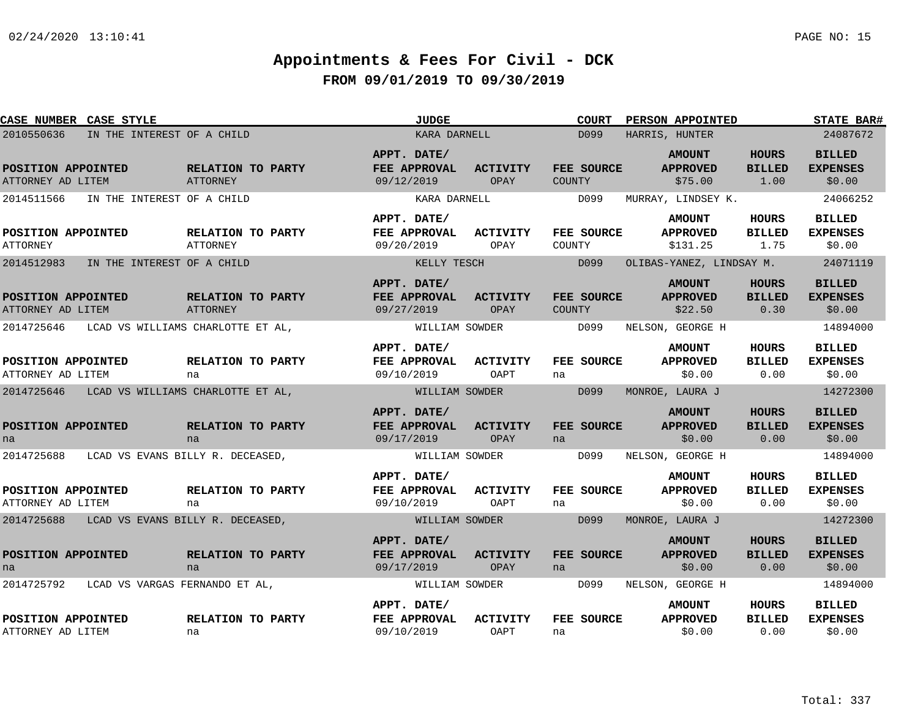| CASE NUMBER CASE STYLE                       |                                      | <b>JUDGE</b>                              |                         | <b>COURT</b>         | PERSON APPOINTED                             |                                       | <b>STATE BAR#</b>                          |
|----------------------------------------------|--------------------------------------|-------------------------------------------|-------------------------|----------------------|----------------------------------------------|---------------------------------------|--------------------------------------------|
| 2010550636<br>IN THE INTEREST OF A CHILD     |                                      | KARA DARNELL                              |                         | D099                 | HARRIS, HUNTER                               |                                       | 24087672                                   |
| POSITION APPOINTED<br>ATTORNEY AD LITEM      | RELATION TO PARTY<br>ATTORNEY        | APPT. DATE/<br>FEE APPROVAL<br>09/12/2019 | <b>ACTIVITY</b><br>OPAY | FEE SOURCE<br>COUNTY | <b>AMOUNT</b><br><b>APPROVED</b><br>\$75.00  | <b>HOURS</b><br><b>BILLED</b><br>1.00 | <b>BILLED</b><br><b>EXPENSES</b><br>\$0.00 |
| 2014511566<br>IN THE INTEREST OF A CHILD     |                                      | KARA DARNELL                              |                         | D099                 | MURRAY, LINDSEY K.                           |                                       | 24066252                                   |
| POSITION APPOINTED<br><b>ATTORNEY</b>        | RELATION TO PARTY<br><b>ATTORNEY</b> | APPT. DATE/<br>FEE APPROVAL<br>09/20/2019 | <b>ACTIVITY</b><br>OPAY | FEE SOURCE<br>COUNTY | <b>AMOUNT</b><br><b>APPROVED</b><br>\$131.25 | HOURS<br><b>BILLED</b><br>1.75        | <b>BILLED</b><br><b>EXPENSES</b><br>\$0.00 |
| 2014512983<br>IN THE INTEREST OF A CHILD     |                                      | KELLY TESCH                               |                         | D099                 | OLIBAS-YANEZ, LINDSAY M.                     |                                       | 24071119                                   |
| POSITION APPOINTED<br>ATTORNEY AD LITEM      | RELATION TO PARTY<br><b>ATTORNEY</b> | APPT. DATE/<br>FEE APPROVAL<br>09/27/2019 | <b>ACTIVITY</b><br>OPAY | FEE SOURCE<br>COUNTY | <b>AMOUNT</b><br><b>APPROVED</b><br>\$22.50  | <b>HOURS</b><br><b>BILLED</b><br>0.30 | <b>BILLED</b><br><b>EXPENSES</b><br>\$0.00 |
| 2014725646                                   | LCAD VS WILLIAMS CHARLOTTE ET AL,    | WILLIAM SOWDER                            |                         | D099                 | NELSON, GEORGE H                             |                                       | 14894000                                   |
| POSITION APPOINTED<br>ATTORNEY AD LITEM      | RELATION TO PARTY<br>na              | APPT. DATE/<br>FEE APPROVAL<br>09/10/2019 | <b>ACTIVITY</b><br>OAPT | FEE SOURCE<br>na     | <b>AMOUNT</b><br><b>APPROVED</b><br>\$0.00   | HOURS<br><b>BILLED</b><br>0.00        | <b>BILLED</b><br><b>EXPENSES</b><br>\$0.00 |
| 2014725646                                   | LCAD VS WILLIAMS CHARLOTTE ET AL,    | WILLIAM SOWDER                            |                         | D099                 | MONROE, LAURA J                              |                                       | 14272300                                   |
| POSITION APPOINTED<br>na                     | RELATION TO PARTY<br>na              | APPT. DATE/<br>FEE APPROVAL<br>09/17/2019 | <b>ACTIVITY</b><br>OPAY | FEE SOURCE<br>na     | <b>AMOUNT</b><br><b>APPROVED</b><br>\$0.00   | <b>HOURS</b><br><b>BILLED</b><br>0.00 | <b>BILLED</b><br><b>EXPENSES</b><br>\$0.00 |
| 2014725688                                   | LCAD VS EVANS BILLY R. DECEASED,     | WILLIAM SOWDER                            |                         | D099                 | NELSON, GEORGE H                             |                                       | 14894000                                   |
| POSITION APPOINTED<br>ATTORNEY AD LITEM      | RELATION TO PARTY<br>na              | APPT. DATE/<br>FEE APPROVAL<br>09/10/2019 | <b>ACTIVITY</b><br>OAPT | FEE SOURCE<br>na     | <b>AMOUNT</b><br><b>APPROVED</b><br>\$0.00   | HOURS<br><b>BILLED</b><br>0.00        | <b>BILLED</b><br><b>EXPENSES</b><br>\$0.00 |
| 2014725688                                   | LCAD VS EVANS BILLY R. DECEASED,     | WILLIAM SOWDER                            |                         | D099                 | MONROE, LAURA J                              |                                       | 14272300                                   |
| POSITION APPOINTED<br>na                     | RELATION TO PARTY<br>na              | APPT. DATE/<br>FEE APPROVAL<br>09/17/2019 | <b>ACTIVITY</b><br>OPAY | FEE SOURCE<br>na     | <b>AMOUNT</b><br><b>APPROVED</b><br>\$0.00   | <b>HOURS</b><br><b>BILLED</b><br>0.00 | <b>BILLED</b><br><b>EXPENSES</b><br>\$0.00 |
| 2014725792<br>LCAD VS VARGAS FERNANDO ET AL, |                                      | WILLIAM SOWDER                            |                         | D099                 | NELSON, GEORGE H                             |                                       | 14894000                                   |
| POSITION APPOINTED<br>ATTORNEY AD LITEM      | RELATION TO PARTY<br>na              | APPT. DATE/<br>FEE APPROVAL<br>09/10/2019 | <b>ACTIVITY</b><br>OAPT | FEE SOURCE<br>na     | <b>AMOUNT</b><br><b>APPROVED</b><br>\$0.00   | HOURS<br><b>BILLED</b><br>0.00        | <b>BILLED</b><br><b>EXPENSES</b><br>\$0.00 |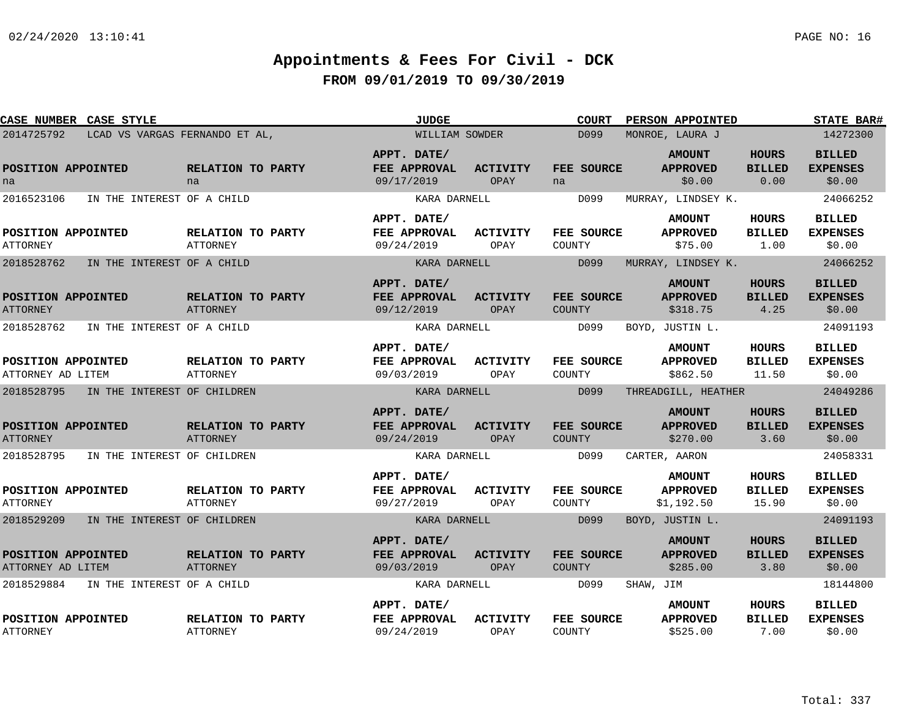| CASE NUMBER CASE STYLE                  |                                |                                      | <b>JUDGE</b>                              |                         | <b>COURT</b>         | PERSON APPOINTED                               |                                        | <b>STATE BAR#</b>                          |
|-----------------------------------------|--------------------------------|--------------------------------------|-------------------------------------------|-------------------------|----------------------|------------------------------------------------|----------------------------------------|--------------------------------------------|
| 2014725792                              | LCAD VS VARGAS FERNANDO ET AL, |                                      | WILLIAM SOWDER                            |                         | D099                 | MONROE, LAURA J                                |                                        | 14272300                                   |
| POSITION APPOINTED<br>na                |                                | RELATION TO PARTY<br>na              | APPT. DATE/<br>FEE APPROVAL<br>09/17/2019 | <b>ACTIVITY</b><br>OPAY | FEE SOURCE<br>na     | <b>AMOUNT</b><br><b>APPROVED</b><br>\$0.00     | <b>HOURS</b><br><b>BILLED</b><br>0.00  | <b>BILLED</b><br><b>EXPENSES</b><br>\$0.00 |
| 2016523106                              | IN THE INTEREST OF A CHILD     |                                      | KARA DARNELL                              |                         | D099                 | MURRAY, LINDSEY K.                             |                                        | 24066252                                   |
| POSITION APPOINTED<br><b>ATTORNEY</b>   |                                | RELATION TO PARTY<br><b>ATTORNEY</b> | APPT. DATE/<br>FEE APPROVAL<br>09/24/2019 | <b>ACTIVITY</b><br>OPAY | FEE SOURCE<br>COUNTY | <b>AMOUNT</b><br><b>APPROVED</b><br>\$75.00    | <b>HOURS</b><br><b>BILLED</b><br>1.00  | <b>BILLED</b><br><b>EXPENSES</b><br>\$0.00 |
| 2018528762                              | IN THE INTEREST OF A CHILD     |                                      | KARA DARNELL                              |                         | D099                 | MURRAY, LINDSEY K.                             |                                        | 24066252                                   |
| POSITION APPOINTED<br><b>ATTORNEY</b>   |                                | RELATION TO PARTY<br><b>ATTORNEY</b> | APPT. DATE/<br>FEE APPROVAL<br>09/12/2019 | <b>ACTIVITY</b><br>OPAY | FEE SOURCE<br>COUNTY | <b>AMOUNT</b><br><b>APPROVED</b><br>\$318.75   | <b>HOURS</b><br><b>BILLED</b><br>4.25  | <b>BILLED</b><br><b>EXPENSES</b><br>\$0.00 |
| 2018528762                              | IN THE INTEREST OF A CHILD     |                                      | KARA DARNELL                              |                         | D099                 | BOYD, JUSTIN L.                                |                                        | 24091193                                   |
| POSITION APPOINTED<br>ATTORNEY AD LITEM |                                | RELATION TO PARTY<br><b>ATTORNEY</b> | APPT. DATE/<br>FEE APPROVAL<br>09/03/2019 | <b>ACTIVITY</b><br>OPAY | FEE SOURCE<br>COUNTY | <b>AMOUNT</b><br><b>APPROVED</b><br>\$862.50   | <b>HOURS</b><br><b>BILLED</b><br>11.50 | <b>BILLED</b><br><b>EXPENSES</b><br>\$0.00 |
| 2018528795                              | IN THE INTEREST OF CHILDREN    |                                      | KARA DARNELL                              |                         | D099                 | THREADGILL, HEATHER                            |                                        | 24049286                                   |
| POSITION APPOINTED<br><b>ATTORNEY</b>   |                                | RELATION TO PARTY<br><b>ATTORNEY</b> | APPT. DATE/<br>FEE APPROVAL<br>09/24/2019 | <b>ACTIVITY</b><br>OPAY | FEE SOURCE<br>COUNTY | <b>AMOUNT</b><br><b>APPROVED</b><br>\$270.00   | <b>HOURS</b><br><b>BILLED</b><br>3.60  | <b>BILLED</b><br><b>EXPENSES</b><br>\$0.00 |
| 2018528795                              | IN THE INTEREST OF CHILDREN    |                                      | KARA DARNELL                              |                         | D099                 | CARTER, AARON                                  |                                        | 24058331                                   |
| POSITION APPOINTED<br><b>ATTORNEY</b>   |                                | RELATION TO PARTY<br>ATTORNEY        | APPT. DATE/<br>FEE APPROVAL<br>09/27/2019 | <b>ACTIVITY</b><br>OPAY | FEE SOURCE<br>COUNTY | <b>AMOUNT</b><br><b>APPROVED</b><br>\$1,192.50 | <b>HOURS</b><br><b>BILLED</b><br>15.90 | <b>BILLED</b><br><b>EXPENSES</b><br>\$0.00 |
| 2018529209                              | IN THE INTEREST OF CHILDREN    |                                      | KARA DARNELL                              |                         | D099                 | BOYD, JUSTIN L.                                |                                        | 24091193                                   |
| POSITION APPOINTED<br>ATTORNEY AD LITEM |                                | RELATION TO PARTY<br><b>ATTORNEY</b> | APPT. DATE/<br>FEE APPROVAL<br>09/03/2019 | <b>ACTIVITY</b><br>OPAY | FEE SOURCE<br>COUNTY | <b>AMOUNT</b><br><b>APPROVED</b><br>\$285.00   | <b>HOURS</b><br><b>BILLED</b><br>3.80  | <b>BILLED</b><br><b>EXPENSES</b><br>\$0.00 |
| 2018529884                              | IN THE INTEREST OF A CHILD     |                                      | KARA DARNELL                              |                         | D099                 | SHAW, JIM                                      |                                        | 18144800                                   |
| POSITION APPOINTED<br><b>ATTORNEY</b>   |                                | RELATION TO PARTY<br>ATTORNEY        | APPT. DATE/<br>FEE APPROVAL<br>09/24/2019 | <b>ACTIVITY</b><br>OPAY | FEE SOURCE<br>COUNTY | <b>AMOUNT</b><br><b>APPROVED</b><br>\$525.00   | HOURS<br><b>BILLED</b><br>7.00         | <b>BILLED</b><br><b>EXPENSES</b><br>\$0.00 |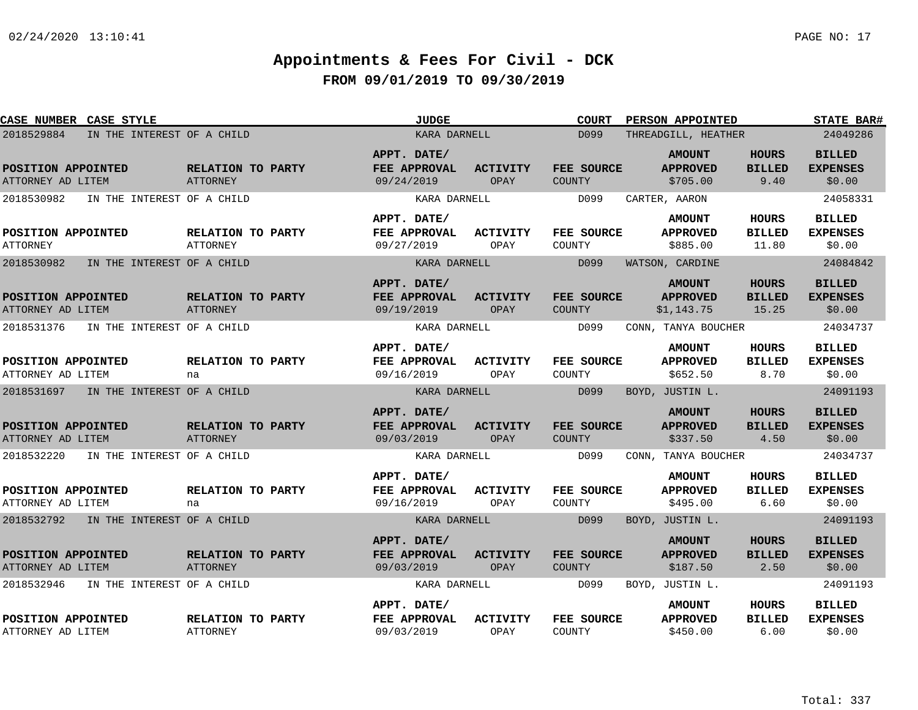| CASE NUMBER CASE STYLE                   |                                      | <b>JUDGE</b>                              |                                | <b>COURT</b>                | <b>PERSON APPOINTED</b>                        |                                        | <b>STATE BAR#</b>                          |
|------------------------------------------|--------------------------------------|-------------------------------------------|--------------------------------|-----------------------------|------------------------------------------------|----------------------------------------|--------------------------------------------|
| 2018529884<br>IN THE INTEREST OF A CHILD |                                      | KARA DARNELL                              |                                | D099                        | THREADGILL, HEATHER                            |                                        | 24049286                                   |
| POSITION APPOINTED<br>ATTORNEY AD LITEM  | RELATION TO PARTY<br><b>ATTORNEY</b> | APPT. DATE/<br>FEE APPROVAL<br>09/24/2019 | <b>ACTIVITY</b><br>OPAY        | FEE SOURCE<br><b>COUNTY</b> | <b>AMOUNT</b><br><b>APPROVED</b><br>\$705.00   | <b>HOURS</b><br><b>BILLED</b><br>9.40  | <b>BILLED</b><br><b>EXPENSES</b><br>\$0.00 |
| 2018530982<br>IN THE INTEREST OF A CHILD |                                      | KARA DARNELL                              |                                | D099                        | CARTER, AARON                                  |                                        | 24058331                                   |
| POSITION APPOINTED<br><b>ATTORNEY</b>    | RELATION TO PARTY<br><b>ATTORNEY</b> | APPT. DATE/<br>FEE APPROVAL<br>09/27/2019 | ACTIVITY<br>OPAY               | FEE SOURCE<br>COUNTY        | <b>AMOUNT</b><br><b>APPROVED</b><br>\$885.00   | HOURS<br><b>BILLED</b><br>11.80        | <b>BILLED</b><br><b>EXPENSES</b><br>\$0.00 |
| 2018530982<br>IN THE INTEREST OF A CHILD |                                      | KARA DARNELL                              |                                | D099                        | WATSON, CARDINE                                |                                        | 24084842                                   |
| POSITION APPOINTED<br>ATTORNEY AD LITEM  | RELATION TO PARTY<br>ATTORNEY        | APPT. DATE/<br>FEE APPROVAL<br>09/19/2019 | <b>ACTIVITY</b><br>OPAY        | FEE SOURCE<br><b>COUNTY</b> | <b>AMOUNT</b><br><b>APPROVED</b><br>\$1,143.75 | <b>HOURS</b><br><b>BILLED</b><br>15.25 | <b>BILLED</b><br><b>EXPENSES</b><br>\$0.00 |
| 2018531376<br>IN THE INTEREST OF A CHILD |                                      | KARA DARNELL                              |                                | D099                        | CONN, TANYA BOUCHER                            |                                        | 24034737                                   |
| POSITION APPOINTED<br>ATTORNEY AD LITEM  | RELATION TO PARTY<br>na              | APPT. DATE/<br>FEE APPROVAL<br>09/16/2019 | ACTIVITY<br>OPAY               | FEE SOURCE<br>COUNTY        | <b>AMOUNT</b><br><b>APPROVED</b><br>\$652.50   | <b>HOURS</b><br><b>BILLED</b><br>8.70  | <b>BILLED</b><br><b>EXPENSES</b><br>\$0.00 |
| 2018531697<br>IN THE INTEREST OF A CHILD |                                      | KARA DARNELL                              |                                | D099                        | BOYD, JUSTIN L.                                |                                        | 24091193                                   |
| POSITION APPOINTED<br>ATTORNEY AD LITEM  | RELATION TO PARTY<br>ATTORNEY        | APPT. DATE/<br>FEE APPROVAL<br>09/03/2019 | <b>ACTIVITY</b><br><b>OPAY</b> | FEE SOURCE<br><b>COUNTY</b> | <b>AMOUNT</b><br><b>APPROVED</b><br>\$337.50   | <b>HOURS</b><br><b>BILLED</b><br>4.50  | <b>BILLED</b><br><b>EXPENSES</b><br>\$0.00 |
| 2018532220<br>IN THE INTEREST OF A CHILD |                                      | KARA DARNELL                              |                                | D099                        | CONN, TANYA BOUCHER                            |                                        | 24034737                                   |
| POSITION APPOINTED<br>ATTORNEY AD LITEM  | RELATION TO PARTY<br>na              | APPT. DATE/<br>FEE APPROVAL<br>09/16/2019 | <b>ACTIVITY</b><br>OPAY        | FEE SOURCE<br>COUNTY        | <b>AMOUNT</b><br><b>APPROVED</b><br>\$495.00   | <b>HOURS</b><br><b>BILLED</b><br>6.60  | <b>BILLED</b><br><b>EXPENSES</b><br>\$0.00 |
| 2018532792 IN THE INTEREST OF A CHILD    |                                      | KARA DARNELL                              |                                | D099                        | BOYD, JUSTIN L.                                |                                        | 24091193                                   |
| POSITION APPOINTED<br>ATTORNEY AD LITEM  | RELATION TO PARTY<br>ATTORNEY        | APPT. DATE/<br>FEE APPROVAL<br>09/03/2019 | <b>ACTIVITY</b><br>OPAY        | FEE SOURCE<br><b>COUNTY</b> | <b>AMOUNT</b><br><b>APPROVED</b><br>\$187.50   | <b>HOURS</b><br><b>BILLED</b><br>2.50  | <b>BILLED</b><br><b>EXPENSES</b><br>\$0.00 |
| 2018532946<br>IN THE INTEREST OF A CHILD |                                      | KARA DARNELL                              |                                | D099                        | BOYD, JUSTIN L.                                |                                        | 24091193                                   |
| POSITION APPOINTED<br>ATTORNEY AD LITEM  | RELATION TO PARTY<br><b>ATTORNEY</b> | APPT. DATE/<br>FEE APPROVAL<br>09/03/2019 | <b>ACTIVITY</b><br>OPAY        | FEE SOURCE<br>COUNTY        | <b>AMOUNT</b><br><b>APPROVED</b><br>\$450.00   | <b>HOURS</b><br><b>BILLED</b><br>6.00  | <b>BILLED</b><br><b>EXPENSES</b><br>\$0.00 |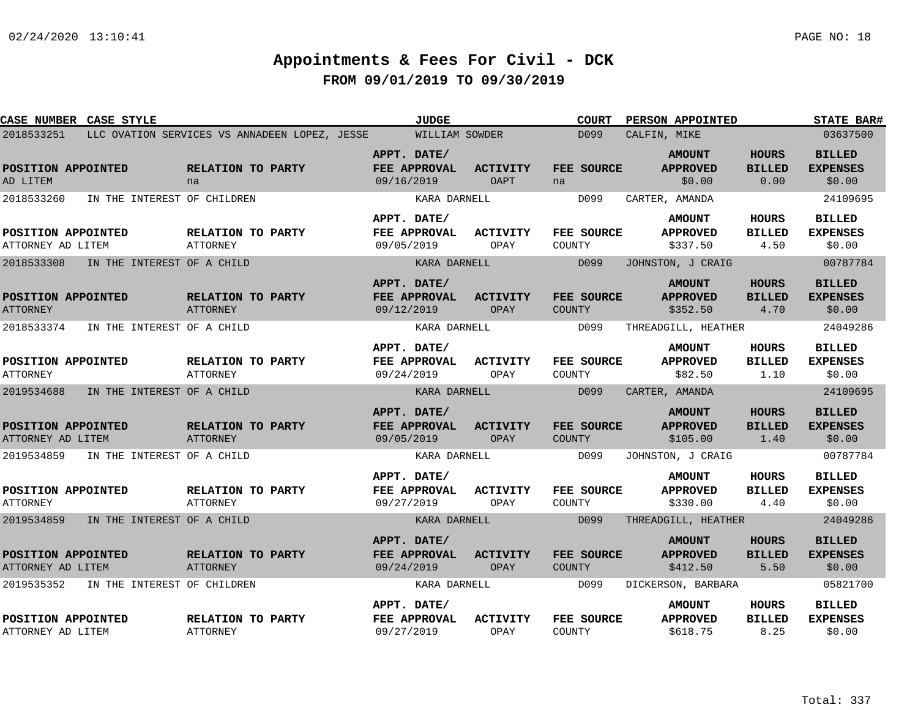| CASE NUMBER CASE STYLE                  |                             |                                               | <b>JUDGE</b>                              |                                | <b>COURT</b>                | PERSON APPOINTED                             |                                       | <b>STATE BAR#</b>                          |
|-----------------------------------------|-----------------------------|-----------------------------------------------|-------------------------------------------|--------------------------------|-----------------------------|----------------------------------------------|---------------------------------------|--------------------------------------------|
| 2018533251                              |                             | LLC OVATION SERVICES VS ANNADEEN LOPEZ, JESSE | WILLIAM SOWDER                            |                                | D099                        | CALFIN, MIKE                                 |                                       | 03637500                                   |
| POSITION APPOINTED<br>AD LITEM          |                             | RELATION TO PARTY<br>na                       | APPT. DATE/<br>FEE APPROVAL<br>09/16/2019 | <b>ACTIVITY</b><br><b>OAPT</b> | FEE SOURCE<br>na            | <b>AMOUNT</b><br><b>APPROVED</b><br>\$0.00   | <b>HOURS</b><br><b>BILLED</b><br>0.00 | <b>BILLED</b><br><b>EXPENSES</b><br>\$0.00 |
| 2018533260                              | IN THE INTEREST OF CHILDREN |                                               | KARA DARNELL                              |                                | D099                        | CARTER, AMANDA                               |                                       | 24109695                                   |
| POSITION APPOINTED<br>ATTORNEY AD LITEM |                             | RELATION TO PARTY<br><b>ATTORNEY</b>          | APPT. DATE/<br>FEE APPROVAL<br>09/05/2019 | ACTIVITY<br>OPAY               | FEE SOURCE<br>COUNTY        | <b>AMOUNT</b><br><b>APPROVED</b><br>\$337.50 | HOURS<br><b>BILLED</b><br>4.50        | <b>BILLED</b><br><b>EXPENSES</b><br>\$0.00 |
| 2018533308                              | IN THE INTEREST OF A CHILD  |                                               | KARA DARNELL                              |                                | D099                        | JOHNSTON, J CRAIG                            |                                       | 00787784                                   |
| POSITION APPOINTED<br><b>ATTORNEY</b>   |                             | RELATION TO PARTY<br><b>ATTORNEY</b>          | APPT. DATE/<br>FEE APPROVAL<br>09/12/2019 | <b>ACTIVITY</b><br>OPAY        | FEE SOURCE<br><b>COUNTY</b> | <b>AMOUNT</b><br><b>APPROVED</b><br>\$352.50 | <b>HOURS</b><br><b>BILLED</b><br>4.70 | <b>BILLED</b><br><b>EXPENSES</b><br>\$0.00 |
| 2018533374                              | IN THE INTEREST OF A CHILD  |                                               | KARA DARNELL                              |                                | D099                        | THREADGILL, HEATHER                          |                                       | 24049286                                   |
| POSITION APPOINTED<br><b>ATTORNEY</b>   |                             | RELATION TO PARTY<br>ATTORNEY                 | APPT. DATE/<br>FEE APPROVAL<br>09/24/2019 | <b>ACTIVITY</b><br>OPAY        | FEE SOURCE<br>COUNTY        | <b>AMOUNT</b><br><b>APPROVED</b><br>\$82.50  | <b>HOURS</b><br><b>BILLED</b><br>1.10 | <b>BILLED</b><br><b>EXPENSES</b><br>\$0.00 |
| 2019534688                              | IN THE INTEREST OF A CHILD  |                                               | KARA DARNELL                              |                                | D099                        | CARTER, AMANDA                               |                                       | 24109695                                   |
| POSITION APPOINTED<br>ATTORNEY AD LITEM |                             | RELATION TO PARTY<br>ATTORNEY                 | APPT. DATE/<br>FEE APPROVAL<br>09/05/2019 | <b>ACTIVITY</b><br><b>OPAY</b> | FEE SOURCE<br><b>COUNTY</b> | <b>AMOUNT</b><br><b>APPROVED</b><br>\$105.00 | <b>HOURS</b><br><b>BILLED</b><br>1.40 | <b>BILLED</b><br><b>EXPENSES</b><br>\$0.00 |
| 2019534859                              | IN THE INTEREST OF A CHILD  |                                               | KARA DARNELL                              |                                | D099                        | JOHNSTON, J CRAIG                            |                                       | 00787784                                   |
| POSITION APPOINTED<br><b>ATTORNEY</b>   |                             | RELATION TO PARTY<br>ATTORNEY                 | APPT. DATE/<br>FEE APPROVAL<br>09/27/2019 | <b>ACTIVITY</b><br>OPAY        | FEE SOURCE<br>COUNTY        | <b>AMOUNT</b><br><b>APPROVED</b><br>\$330.00 | HOURS<br><b>BILLED</b><br>4.40        | <b>BILLED</b><br><b>EXPENSES</b><br>\$0.00 |
| 2019534859                              | IN THE INTEREST OF A CHILD  |                                               | KARA DARNELL                              |                                | D099                        | THREADGILL, HEATHER                          |                                       | 24049286                                   |
| POSITION APPOINTED<br>ATTORNEY AD LITEM |                             | RELATION TO PARTY<br>ATTORNEY                 | APPT. DATE/<br>FEE APPROVAL<br>09/24/2019 | <b>ACTIVITY</b><br>OPAY        | FEE SOURCE<br><b>COUNTY</b> | <b>AMOUNT</b><br><b>APPROVED</b><br>\$412.50 | <b>HOURS</b><br><b>BILLED</b><br>5.50 | <b>BILLED</b><br><b>EXPENSES</b><br>\$0.00 |
| 2019535352                              | IN THE INTEREST OF CHILDREN |                                               | KARA DARNELL                              |                                | D099                        | DICKERSON, BARBARA                           |                                       | 05821700                                   |
| POSITION APPOINTED<br>ATTORNEY AD LITEM |                             | RELATION TO PARTY<br>ATTORNEY                 | APPT. DATE/<br>FEE APPROVAL<br>09/27/2019 | <b>ACTIVITY</b><br>OPAY        | FEE SOURCE<br>COUNTY        | <b>AMOUNT</b><br><b>APPROVED</b><br>\$618.75 | HOURS<br><b>BILLED</b><br>8.25        | <b>BILLED</b><br><b>EXPENSES</b><br>\$0.00 |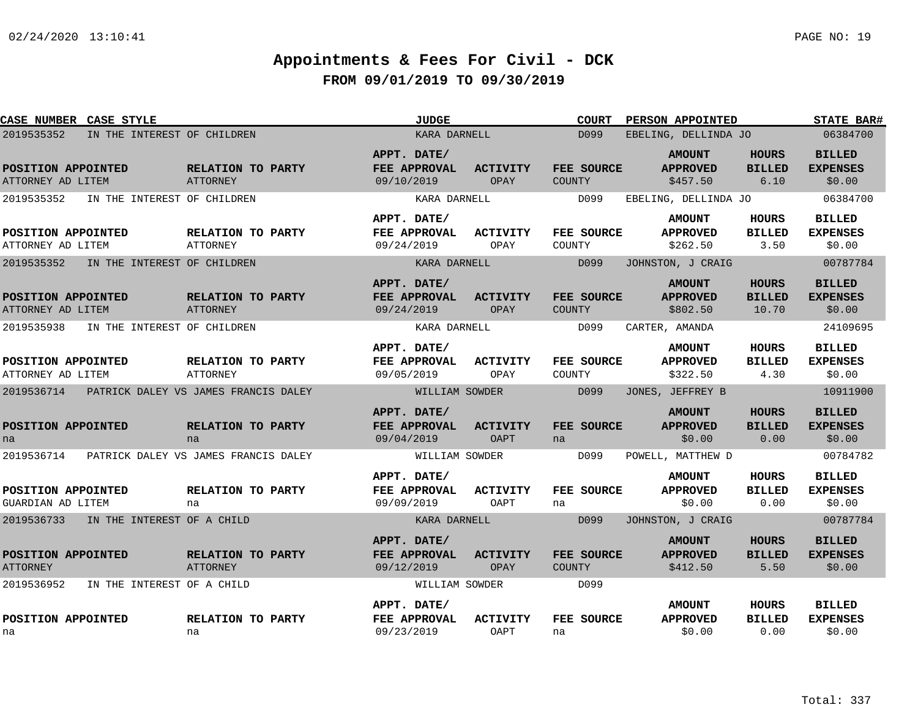| CASE NUMBER CASE STYLE                          |                                             | <b>JUDGE</b>                              |                                | <b>COURT</b>                | PERSON APPOINTED                             |                                        | <b>STATE BAR#</b>                          |
|-------------------------------------------------|---------------------------------------------|-------------------------------------------|--------------------------------|-----------------------------|----------------------------------------------|----------------------------------------|--------------------------------------------|
| 2019535352<br>IN THE INTEREST OF CHILDREN       |                                             | KARA DARNELL                              |                                | D099                        | EBELING, DELLINDA JO                         |                                        | 06384700                                   |
| POSITION APPOINTED<br>ATTORNEY AD LITEM         | <b>RELATION TO PARTY</b><br>ATTORNEY        | APPT. DATE/<br>FEE APPROVAL<br>09/10/2019 | <b>ACTIVITY</b><br>OPAY        | FEE SOURCE<br>COUNTY        | <b>AMOUNT</b><br><b>APPROVED</b><br>\$457.50 | <b>HOURS</b><br><b>BILLED</b><br>6.10  | <b>BILLED</b><br><b>EXPENSES</b><br>\$0.00 |
| 2019535352<br>IN THE INTEREST OF CHILDREN       |                                             | KARA DARNELL                              |                                | D099                        | EBELING, DELLINDA JO                         |                                        | 06384700                                   |
| POSITION APPOINTED<br>ATTORNEY AD LITEM         | <b>RELATION TO PARTY</b><br><b>ATTORNEY</b> | APPT. DATE/<br>FEE APPROVAL<br>09/24/2019 | ACTIVITY<br>OPAY               | FEE SOURCE<br>COUNTY        | <b>AMOUNT</b><br><b>APPROVED</b><br>\$262.50 | HOURS<br><b>BILLED</b><br>3.50         | <b>BILLED</b><br><b>EXPENSES</b><br>\$0.00 |
| 2019535352<br>IN THE INTEREST OF CHILDREN       |                                             | KARA DARNELL                              |                                | D099                        | JOHNSTON, J CRAIG                            |                                        | 00787784                                   |
| POSITION APPOINTED<br>ATTORNEY AD LITEM         | RELATION TO PARTY<br>ATTORNEY               | APPT. DATE/<br>FEE APPROVAL<br>09/24/2019 | <b>ACTIVITY</b><br>OPAY        | FEE SOURCE<br><b>COUNTY</b> | <b>AMOUNT</b><br><b>APPROVED</b><br>\$802.50 | <b>HOURS</b><br><b>BILLED</b><br>10.70 | <b>BILLED</b><br><b>EXPENSES</b><br>\$0.00 |
| 2019535938<br>IN THE INTEREST OF CHILDREN       |                                             | KARA DARNELL                              |                                | D099                        | CARTER, AMANDA                               |                                        | 24109695                                   |
| POSITION APPOINTED<br>ATTORNEY AD LITEM         | RELATION TO PARTY<br><b>ATTORNEY</b>        | APPT. DATE/<br>FEE APPROVAL<br>09/05/2019 | ACTIVITY<br>OPAY               | FEE SOURCE<br>COUNTY        | <b>AMOUNT</b><br><b>APPROVED</b><br>\$322.50 | <b>HOURS</b><br><b>BILLED</b><br>4.30  | <b>BILLED</b><br><b>EXPENSES</b><br>\$0.00 |
| 2019536714 PATRICK DALEY VS JAMES FRANCIS DALEY |                                             | WILLIAM SOWDER                            |                                | D099                        | JONES, JEFFREY B                             |                                        | 10911900                                   |
| POSITION APPOINTED<br>na                        | RELATION TO PARTY<br>na                     | APPT. DATE/<br>FEE APPROVAL<br>09/04/2019 | <b>ACTIVITY</b><br><b>OAPT</b> | FEE SOURCE<br>na            | <b>AMOUNT</b><br><b>APPROVED</b><br>\$0.00   | HOURS<br><b>BILLED</b><br>0.00         | <b>BILLED</b><br><b>EXPENSES</b><br>\$0.00 |
| 2019536714 PATRICK DALEY VS JAMES FRANCIS DALEY |                                             | WILLIAM SOWDER                            |                                | D099                        | POWELL, MATTHEW D                            |                                        | 00784782                                   |
| POSITION APPOINTED<br>GUARDIAN AD LITEM         | RELATION TO PARTY<br>na                     | APPT. DATE/<br>FEE APPROVAL<br>09/09/2019 | <b>ACTIVITY</b><br>OAPT        | FEE SOURCE<br>na            | <b>AMOUNT</b><br><b>APPROVED</b><br>\$0.00   | <b>HOURS</b><br><b>BILLED</b><br>0.00  | <b>BILLED</b><br><b>EXPENSES</b><br>\$0.00 |
| 2019536733<br>IN THE INTEREST OF A CHILD        |                                             | KARA DARNELL                              |                                | D099                        | JOHNSTON, J CRAIG                            |                                        | 00787784                                   |
| POSITION APPOINTED<br><b>ATTORNEY</b>           | RELATION TO PARTY<br>ATTORNEY               | APPT. DATE/<br>FEE APPROVAL<br>09/12/2019 | <b>ACTIVITY</b><br>OPAY        | FEE SOURCE<br><b>COUNTY</b> | <b>AMOUNT</b><br><b>APPROVED</b><br>\$412.50 | <b>HOURS</b><br><b>BILLED</b><br>5.50  | <b>BILLED</b><br><b>EXPENSES</b><br>\$0.00 |
| 2019536952<br>IN THE INTEREST OF A CHILD        |                                             | WILLIAM SOWDER                            |                                | D099                        |                                              |                                        |                                            |
| POSITION APPOINTED<br>na                        | RELATION TO PARTY<br>na                     | APPT. DATE/<br>FEE APPROVAL<br>09/23/2019 | <b>ACTIVITY</b><br>OAPT        | FEE SOURCE<br>na            | <b>AMOUNT</b><br><b>APPROVED</b><br>\$0.00   | HOURS<br><b>BILLED</b><br>0.00         | <b>BILLED</b><br><b>EXPENSES</b><br>\$0.00 |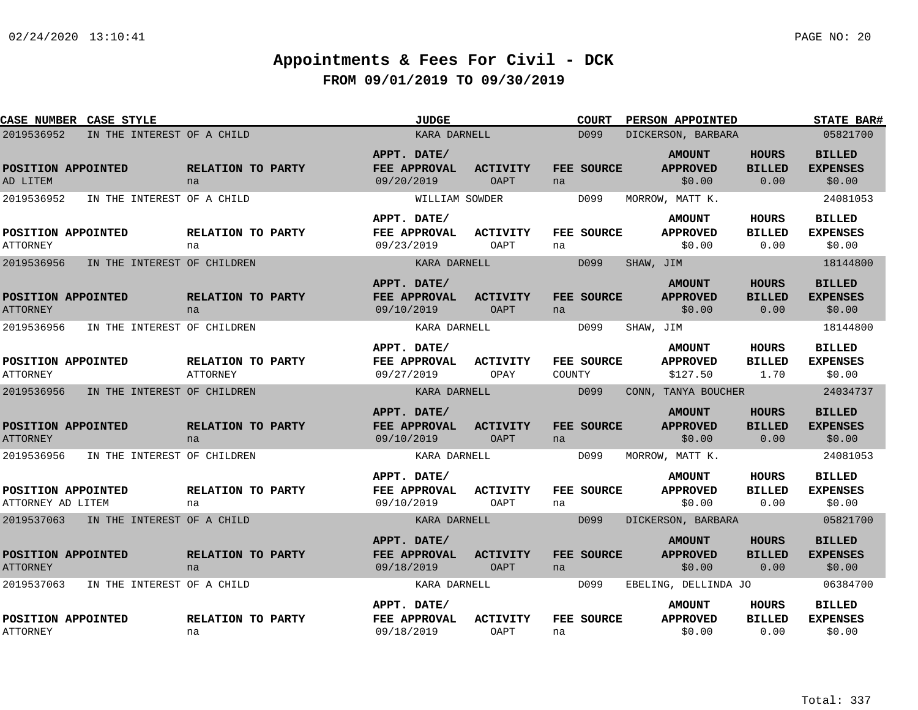| <b>CASE NUMBER CASE STYLE</b>           |                             |                                      | <b>JUDGE</b>                                     |                                |               | <b>COURT</b> |           | PERSON APPOINTED                             |                                       | <b>STATE BAR#</b>                          |
|-----------------------------------------|-----------------------------|--------------------------------------|--------------------------------------------------|--------------------------------|---------------|--------------|-----------|----------------------------------------------|---------------------------------------|--------------------------------------------|
| 2019536952                              | IN THE INTEREST OF A CHILD  |                                      | KARA DARNELL                                     |                                |               | D099         |           | DICKERSON, BARBARA                           |                                       | 05821700                                   |
| POSITION APPOINTED<br>AD LITEM          |                             | RELATION TO PARTY<br>na              | APPT. DATE/<br>FEE APPROVAL<br>09/20/2019        | <b>ACTIVITY</b><br><b>OAPT</b> | na            | FEE SOURCE   |           | <b>AMOUNT</b><br><b>APPROVED</b><br>\$0.00   | <b>HOURS</b><br><b>BILLED</b><br>0.00 | <b>BILLED</b><br><b>EXPENSES</b><br>\$0.00 |
| 2019536952                              | IN THE INTEREST OF A CHILD  |                                      | WILLIAM SOWDER                                   |                                |               | D099         |           | MORROW, MATT K.                              |                                       | 24081053                                   |
| POSITION APPOINTED<br>ATTORNEY          |                             | RELATION TO PARTY<br>na              | APPT. DATE/<br>FEE APPROVAL<br>09/23/2019        | <b>ACTIVITY</b><br>OAPT        | na            | FEE SOURCE   |           | <b>AMOUNT</b><br><b>APPROVED</b><br>\$0.00   | <b>HOURS</b><br><b>BILLED</b><br>0.00 | <b>BILLED</b><br><b>EXPENSES</b><br>\$0.00 |
| 2019536956                              | IN THE INTEREST OF CHILDREN |                                      | KARA DARNELL                                     |                                |               | D099         | SHAW, JIM |                                              |                                       | 18144800                                   |
| POSITION APPOINTED<br><b>ATTORNEY</b>   |                             | RELATION TO PARTY<br>na              | APPT. DATE/<br><b>FEE APPROVAL</b><br>09/10/2019 | <b>ACTIVITY</b><br>OAPT        | na            | FEE SOURCE   |           | <b>AMOUNT</b><br><b>APPROVED</b><br>\$0.00   | <b>HOURS</b><br><b>BILLED</b><br>0.00 | <b>BILLED</b><br><b>EXPENSES</b><br>\$0.00 |
| 2019536956                              | IN THE INTEREST OF CHILDREN |                                      | KARA DARNELL                                     |                                |               | D099         | SHAW, JIM |                                              |                                       | 18144800                                   |
| POSITION APPOINTED<br><b>ATTORNEY</b>   |                             | RELATION TO PARTY<br><b>ATTORNEY</b> | APPT. DATE/<br>FEE APPROVAL<br>09/27/2019        | ACTIVITY<br>OPAY               | <b>COUNTY</b> | FEE SOURCE   |           | <b>AMOUNT</b><br><b>APPROVED</b><br>\$127.50 | <b>HOURS</b><br><b>BILLED</b><br>1.70 | <b>BILLED</b><br><b>EXPENSES</b><br>\$0.00 |
| 2019536956                              | IN THE INTEREST OF CHILDREN |                                      | KARA DARNELL                                     |                                |               | D099         |           | CONN, TANYA BOUCHER                          |                                       | 24034737                                   |
| POSITION APPOINTED<br><b>ATTORNEY</b>   |                             | RELATION TO PARTY<br>na              | APPT. DATE/<br>FEE APPROVAL<br>09/10/2019        | <b>ACTIVITY</b><br>OAPT        | na            | FEE SOURCE   |           | <b>AMOUNT</b><br><b>APPROVED</b><br>\$0.00   | <b>HOURS</b><br><b>BILLED</b><br>0.00 | <b>BILLED</b><br><b>EXPENSES</b><br>\$0.00 |
| 2019536956                              | IN THE INTEREST OF CHILDREN |                                      | KARA DARNELL                                     |                                |               | D099         |           | MORROW, MATT K.                              |                                       | 24081053                                   |
| POSITION APPOINTED<br>ATTORNEY AD LITEM |                             | RELATION TO PARTY<br>na              | APPT. DATE/<br>FEE APPROVAL<br>09/10/2019        | <b>ACTIVITY</b><br>OAPT        | na            | FEE SOURCE   |           | <b>AMOUNT</b><br><b>APPROVED</b><br>\$0.00   | <b>HOURS</b><br><b>BILLED</b><br>0.00 | <b>BILLED</b><br><b>EXPENSES</b><br>\$0.00 |
| 2019537063                              | IN THE INTEREST OF A CHILD  |                                      | KARA DARNELL                                     |                                |               | D099         |           | DICKERSON, BARBARA                           |                                       | 05821700                                   |
| POSITION APPOINTED<br><b>ATTORNEY</b>   |                             | RELATION TO PARTY<br>na              | APPT. DATE/<br>FEE APPROVAL<br>09/18/2019        | <b>ACTIVITY</b><br>OAPT        | na            | FEE SOURCE   |           | <b>AMOUNT</b><br><b>APPROVED</b><br>\$0.00   | <b>HOURS</b><br><b>BILLED</b><br>0.00 | <b>BILLED</b><br><b>EXPENSES</b><br>\$0.00 |
| 2019537063                              | IN THE INTEREST OF A CHILD  |                                      | KARA DARNELL                                     |                                |               | D099         |           | EBELING, DELLINDA JO                         |                                       | 06384700                                   |
| POSITION APPOINTED<br><b>ATTORNEY</b>   |                             | RELATION TO PARTY<br>na              | APPT. DATE/<br>FEE APPROVAL<br>09/18/2019        | <b>ACTIVITY</b><br>OAPT        | na            | FEE SOURCE   |           | <b>AMOUNT</b><br><b>APPROVED</b><br>\$0.00   | HOURS<br><b>BILLED</b><br>0.00        | <b>BILLED</b><br><b>EXPENSES</b><br>\$0.00 |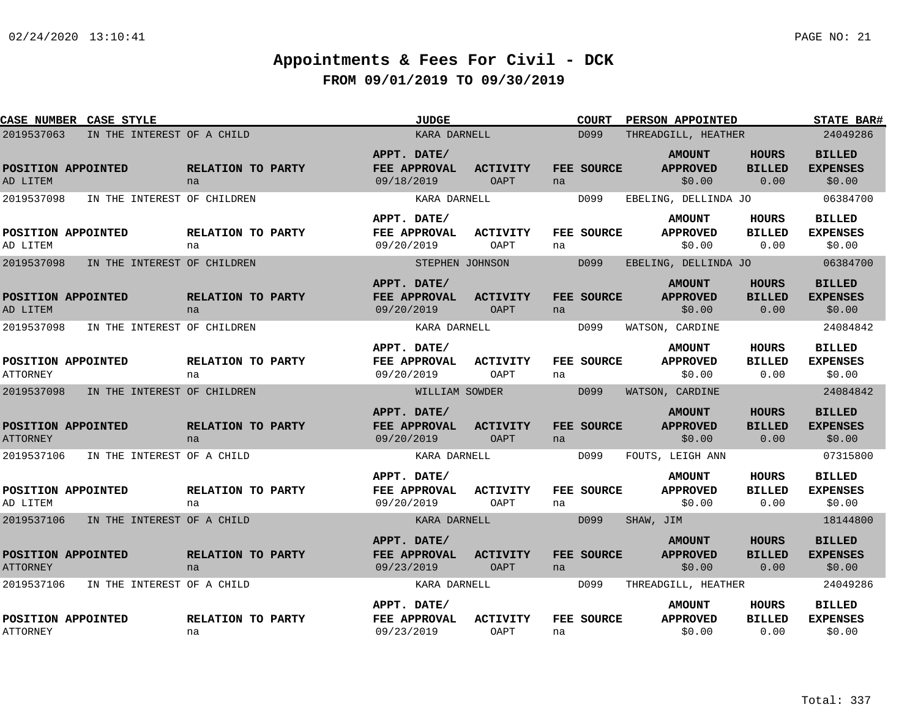|                                       | <b>CASE NUMBER CASE STYLE</b> |                         | <b>JUDGE</b>                              |                                |    | <b>COURT</b> | <b>PERSON APPOINTED</b>                    |                                       | <b>STATE BAR#</b>                          |
|---------------------------------------|-------------------------------|-------------------------|-------------------------------------------|--------------------------------|----|--------------|--------------------------------------------|---------------------------------------|--------------------------------------------|
| 2019537063                            | IN THE INTEREST OF A CHILD    |                         | KARA DARNELL                              |                                |    | D099         | THREADGILL, HEATHER                        |                                       | 24049286                                   |
| POSITION APPOINTED<br>AD LITEM        |                               | RELATION TO PARTY<br>na | APPT. DATE/<br>FEE APPROVAL<br>09/18/2019 | <b>ACTIVITY</b><br><b>OAPT</b> | na | FEE SOURCE   | <b>AMOUNT</b><br><b>APPROVED</b><br>\$0.00 | <b>HOURS</b><br><b>BILLED</b><br>0.00 | <b>BILLED</b><br><b>EXPENSES</b><br>\$0.00 |
| 2019537098                            | IN THE INTEREST OF CHILDREN   |                         | KARA DARNELL                              |                                |    | D099         | EBELING, DELLINDA JO                       |                                       | 06384700                                   |
| POSITION APPOINTED<br>AD LITEM        |                               | RELATION TO PARTY<br>na | APPT. DATE/<br>FEE APPROVAL<br>09/20/2019 | ACTIVITY<br>OAPT               | na | FEE SOURCE   | <b>AMOUNT</b><br><b>APPROVED</b><br>\$0.00 | HOURS<br><b>BILLED</b><br>0.00        | <b>BILLED</b><br><b>EXPENSES</b><br>\$0.00 |
| 2019537098                            | IN THE INTEREST OF CHILDREN   |                         | STEPHEN JOHNSON                           |                                |    | D099         | EBELING, DELLINDA JO                       |                                       | 06384700                                   |
| POSITION APPOINTED<br>AD LITEM        |                               | RELATION TO PARTY<br>na | APPT. DATE/<br>FEE APPROVAL<br>09/20/2019 | <b>ACTIVITY</b><br>OAPT        | na | FEE SOURCE   | <b>AMOUNT</b><br><b>APPROVED</b><br>\$0.00 | <b>HOURS</b><br><b>BILLED</b><br>0.00 | <b>BILLED</b><br><b>EXPENSES</b><br>\$0.00 |
| 2019537098                            | IN THE INTEREST OF CHILDREN   |                         | KARA DARNELL                              |                                |    | D099         | WATSON, CARDINE                            |                                       | 24084842                                   |
| POSITION APPOINTED<br><b>ATTORNEY</b> |                               | RELATION TO PARTY<br>na | APPT. DATE/<br>FEE APPROVAL<br>09/20/2019 | ACTIVITY<br>OAPT               | na | FEE SOURCE   | <b>AMOUNT</b><br><b>APPROVED</b><br>\$0.00 | <b>HOURS</b><br><b>BILLED</b><br>0.00 | <b>BILLED</b><br><b>EXPENSES</b><br>\$0.00 |
| 2019537098                            | IN THE INTEREST OF CHILDREN   |                         | WILLIAM SOWDER                            |                                |    | D099         | WATSON, CARDINE                            |                                       | 24084842                                   |
| POSITION APPOINTED<br><b>ATTORNEY</b> |                               | RELATION TO PARTY<br>na | APPT. DATE/<br>FEE APPROVAL<br>09/20/2019 | <b>ACTIVITY</b><br>OAPT        | na | FEE SOURCE   | <b>AMOUNT</b><br><b>APPROVED</b><br>\$0.00 | <b>HOURS</b><br><b>BILLED</b><br>0.00 | <b>BILLED</b><br><b>EXPENSES</b><br>\$0.00 |
| 2019537106                            | IN THE INTEREST OF A CHILD    |                         | KARA DARNELL                              |                                |    | D099         | FOUTS, LEIGH ANN                           |                                       | 07315800                                   |
| POSITION APPOINTED<br>AD LITEM        |                               | RELATION TO PARTY<br>na | APPT. DATE/<br>FEE APPROVAL<br>09/20/2019 | <b>ACTIVITY</b><br>OAPT        | na | FEE SOURCE   | <b>AMOUNT</b><br><b>APPROVED</b><br>\$0.00 | <b>HOURS</b><br><b>BILLED</b><br>0.00 | <b>BILLED</b><br><b>EXPENSES</b><br>\$0.00 |
| 2019537106                            | IN THE INTEREST OF A CHILD    |                         | KARA DARNELL                              |                                |    | D099         | SHAW, JIM                                  |                                       | 18144800                                   |
| POSITION APPOINTED<br><b>ATTORNEY</b> |                               | RELATION TO PARTY<br>na | APPT. DATE/<br>FEE APPROVAL<br>09/23/2019 | <b>ACTIVITY</b><br>OAPT        | na | FEE SOURCE   | <b>AMOUNT</b><br><b>APPROVED</b><br>\$0.00 | HOURS<br><b>BILLED</b><br>0.00        | <b>BILLED</b><br><b>EXPENSES</b><br>\$0.00 |
| 2019537106                            | IN THE INTEREST OF A CHILD    |                         | KARA DARNELL                              |                                |    | D099         | THREADGILL, HEATHER                        |                                       | 24049286                                   |
| POSITION APPOINTED<br><b>ATTORNEY</b> |                               | RELATION TO PARTY<br>na | APPT. DATE/<br>FEE APPROVAL<br>09/23/2019 | <b>ACTIVITY</b><br>OAPT        | na | FEE SOURCE   | <b>AMOUNT</b><br><b>APPROVED</b><br>\$0.00 | HOURS<br><b>BILLED</b><br>0.00        | <b>BILLED</b><br><b>EXPENSES</b><br>\$0.00 |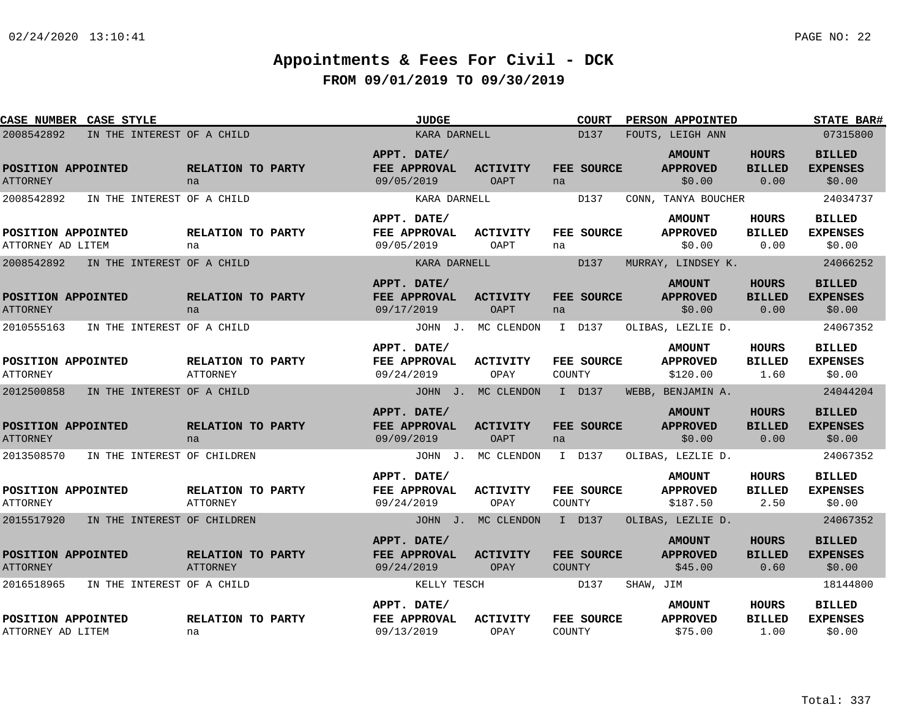| CASE NUMBER CASE STYLE                  |                             |                                      | <b>JUDGE</b>                              |                                | <b>COURT</b>                | PERSON APPOINTED                             |                                       | <b>STATE BAR#</b>                          |
|-----------------------------------------|-----------------------------|--------------------------------------|-------------------------------------------|--------------------------------|-----------------------------|----------------------------------------------|---------------------------------------|--------------------------------------------|
| 2008542892                              | IN THE INTEREST OF A CHILD  |                                      | KARA DARNELL                              |                                | D137                        | FOUTS, LEIGH ANN                             |                                       | 07315800                                   |
| POSITION APPOINTED<br><b>ATTORNEY</b>   |                             | RELATION TO PARTY<br>na              | APPT. DATE/<br>FEE APPROVAL<br>09/05/2019 | <b>ACTIVITY</b><br><b>OAPT</b> | FEE SOURCE<br>na            | <b>AMOUNT</b><br><b>APPROVED</b><br>\$0.00   | <b>HOURS</b><br><b>BILLED</b><br>0.00 | <b>BILLED</b><br><b>EXPENSES</b><br>\$0.00 |
| 2008542892                              | IN THE INTEREST OF A CHILD  |                                      | KARA DARNELL                              |                                | D137                        | CONN, TANYA BOUCHER                          |                                       | 24034737                                   |
| POSITION APPOINTED<br>ATTORNEY AD LITEM |                             | RELATION TO PARTY<br>na              | APPT. DATE/<br>FEE APPROVAL<br>09/05/2019 | <b>ACTIVITY</b><br>OAPT        | FEE SOURCE<br>na            | <b>AMOUNT</b><br><b>APPROVED</b><br>\$0.00   | <b>HOURS</b><br><b>BILLED</b><br>0.00 | <b>BILLED</b><br><b>EXPENSES</b><br>\$0.00 |
| 2008542892                              | IN THE INTEREST OF A CHILD  |                                      | KARA DARNELL                              |                                | D137                        | MURRAY, LINDSEY K.                           |                                       | 24066252                                   |
| POSITION APPOINTED<br><b>ATTORNEY</b>   |                             | RELATION TO PARTY<br>na              | APPT. DATE/<br>FEE APPROVAL<br>09/17/2019 | <b>ACTIVITY</b><br>OAPT        | FEE SOURCE<br>na            | <b>AMOUNT</b><br><b>APPROVED</b><br>\$0.00   | <b>HOURS</b><br><b>BILLED</b><br>0.00 | <b>BILLED</b><br><b>EXPENSES</b><br>\$0.00 |
| 2010555163                              | IN THE INTEREST OF A CHILD  |                                      |                                           | JOHN J. MC CLENDON             | I D137                      | OLIBAS, LEZLIE D.                            |                                       | 24067352                                   |
| POSITION APPOINTED<br><b>ATTORNEY</b>   |                             | RELATION TO PARTY<br><b>ATTORNEY</b> | APPT. DATE/<br>FEE APPROVAL<br>09/24/2019 | <b>ACTIVITY</b><br>OPAY        | FEE SOURCE<br>COUNTY        | <b>AMOUNT</b><br><b>APPROVED</b><br>\$120.00 | HOURS<br><b>BILLED</b><br>1.60        | <b>BILLED</b><br><b>EXPENSES</b><br>\$0.00 |
| 2012500858                              | IN THE INTEREST OF A CHILD  |                                      |                                           | JOHN J. MC CLENDON             | I D137                      | WEBB, BENJAMIN A.                            |                                       | 24044204                                   |
| POSITION APPOINTED<br><b>ATTORNEY</b>   |                             | RELATION TO PARTY<br>na              | APPT. DATE/<br>FEE APPROVAL<br>09/09/2019 | <b>ACTIVITY</b><br><b>OAPT</b> | FEE SOURCE<br>na            | <b>AMOUNT</b><br><b>APPROVED</b><br>\$0.00   | <b>HOURS</b><br><b>BILLED</b><br>0.00 | <b>BILLED</b><br><b>EXPENSES</b><br>\$0.00 |
| 2013508570                              | IN THE INTEREST OF CHILDREN |                                      |                                           | JOHN J. MC CLENDON             | I D137                      | OLIBAS, LEZLIE D.                            |                                       | 24067352                                   |
| POSITION APPOINTED<br><b>ATTORNEY</b>   |                             | RELATION TO PARTY<br>ATTORNEY        | APPT. DATE/<br>FEE APPROVAL<br>09/24/2019 | <b>ACTIVITY</b><br>OPAY        | FEE SOURCE<br>COUNTY        | <b>AMOUNT</b><br><b>APPROVED</b><br>\$187.50 | <b>HOURS</b><br><b>BILLED</b><br>2.50 | <b>BILLED</b><br><b>EXPENSES</b><br>\$0.00 |
| 2015517920                              | IN THE INTEREST OF CHILDREN |                                      |                                           | JOHN J. MC CLENDON             | I D137                      | OLIBAS, LEZLIE D.                            |                                       | 24067352                                   |
| POSITION APPOINTED<br><b>ATTORNEY</b>   |                             | RELATION TO PARTY<br>ATTORNEY        | APPT. DATE/<br>FEE APPROVAL<br>09/24/2019 | <b>ACTIVITY</b><br>OPAY        | FEE SOURCE<br><b>COUNTY</b> | <b>AMOUNT</b><br><b>APPROVED</b><br>\$45.00  | <b>HOURS</b><br><b>BILLED</b><br>0.60 | <b>BILLED</b><br><b>EXPENSES</b><br>\$0.00 |
| 2016518965                              | IN THE INTEREST OF A CHILD  |                                      | KELLY TESCH                               |                                | D137                        | SHAW, JIM                                    |                                       | 18144800                                   |
| POSITION APPOINTED<br>ATTORNEY AD LITEM |                             | RELATION TO PARTY<br>na              | APPT. DATE/<br>FEE APPROVAL<br>09/13/2019 | <b>ACTIVITY</b><br>OPAY        | FEE SOURCE<br>COUNTY        | <b>AMOUNT</b><br><b>APPROVED</b><br>\$75.00  | <b>HOURS</b><br><b>BILLED</b><br>1.00 | <b>BILLED</b><br><b>EXPENSES</b><br>\$0.00 |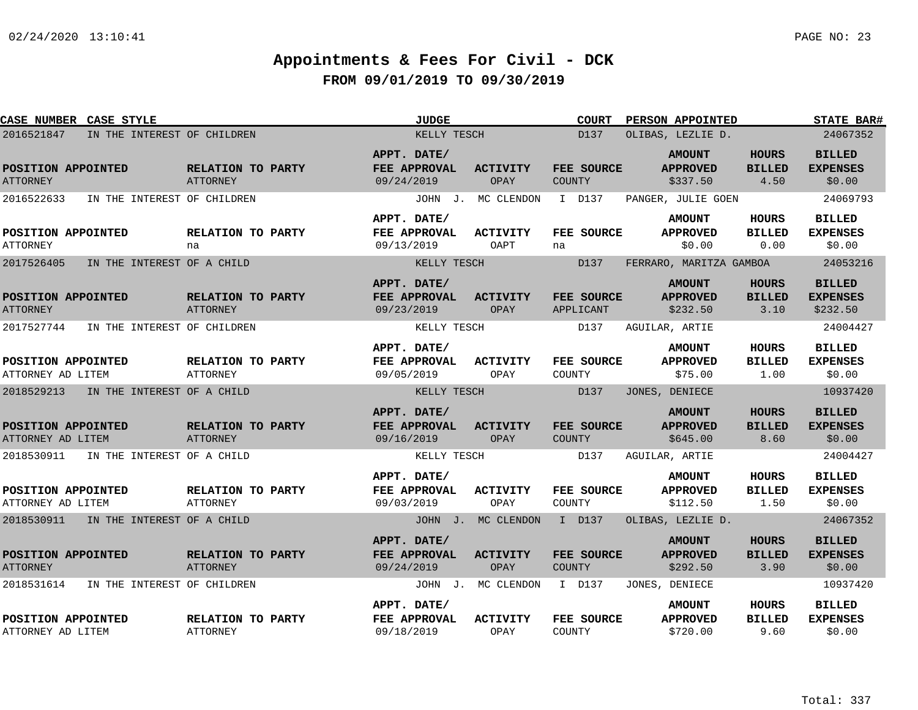| CASE NUMBER CASE STYLE                    |                                      | <b>JUDGE</b>                                     |                         | <b>COURT</b>                | PERSON APPOINTED                             |                                       | <b>STATE BAR#</b>                            |
|-------------------------------------------|--------------------------------------|--------------------------------------------------|-------------------------|-----------------------------|----------------------------------------------|---------------------------------------|----------------------------------------------|
| IN THE INTEREST OF CHILDREN<br>2016521847 |                                      | KELLY TESCH                                      |                         | D137                        | OLIBAS, LEZLIE D.                            |                                       | 24067352                                     |
| POSITION APPOINTED<br><b>ATTORNEY</b>     | RELATION TO PARTY<br><b>ATTORNEY</b> | APPT. DATE/<br>FEE APPROVAL<br>09/24/2019        | <b>ACTIVITY</b><br>OPAY | FEE SOURCE<br>COUNTY        | <b>AMOUNT</b><br><b>APPROVED</b><br>\$337.50 | <b>HOURS</b><br><b>BILLED</b><br>4.50 | <b>BILLED</b><br><b>EXPENSES</b><br>\$0.00   |
| 2016522633<br>IN THE INTEREST OF CHILDREN |                                      |                                                  | JOHN J. MC CLENDON      | I D137                      | PANGER, JULIE GOEN                           |                                       | 24069793                                     |
| POSITION APPOINTED<br>ATTORNEY            | RELATION TO PARTY<br>na              | APPT. DATE/<br>FEE APPROVAL<br>09/13/2019        | <b>ACTIVITY</b><br>OAPT | FEE SOURCE<br>na            | <b>AMOUNT</b><br><b>APPROVED</b><br>\$0.00   | HOURS<br><b>BILLED</b><br>0.00        | <b>BILLED</b><br><b>EXPENSES</b><br>\$0.00   |
| 2017526405<br>IN THE INTEREST OF A CHILD  |                                      | KELLY TESCH                                      |                         | D137                        | FERRARO, MARITZA GAMBOA                      |                                       | 24053216                                     |
| POSITION APPOINTED<br><b>ATTORNEY</b>     | RELATION TO PARTY<br>ATTORNEY        | APPT. DATE/<br><b>FEE APPROVAL</b><br>09/23/2019 | <b>ACTIVITY</b><br>OPAY | FEE SOURCE<br>APPLICANT     | <b>AMOUNT</b><br><b>APPROVED</b><br>\$232.50 | <b>HOURS</b><br><b>BILLED</b><br>3.10 | <b>BILLED</b><br><b>EXPENSES</b><br>\$232.50 |
| IN THE INTEREST OF CHILDREN<br>2017527744 |                                      | KELLY TESCH                                      |                         | D137                        | AGUILAR, ARTIE                               |                                       | 24004427                                     |
| POSITION APPOINTED<br>ATTORNEY AD LITEM   | RELATION TO PARTY<br><b>ATTORNEY</b> | APPT. DATE/<br>FEE APPROVAL<br>09/05/2019        | ACTIVITY<br>OPAY        | FEE SOURCE<br>COUNTY        | <b>AMOUNT</b><br><b>APPROVED</b><br>\$75.00  | <b>HOURS</b><br><b>BILLED</b><br>1.00 | <b>BILLED</b><br><b>EXPENSES</b><br>\$0.00   |
| 2018529213<br>IN THE INTEREST OF A CHILD  |                                      | KELLY TESCH                                      |                         | D137                        | JONES, DENIECE                               |                                       | 10937420                                     |
| POSITION APPOINTED<br>ATTORNEY AD LITEM   | RELATION TO PARTY<br><b>ATTORNEY</b> | APPT. DATE/<br>FEE APPROVAL<br>09/16/2019        | <b>ACTIVITY</b><br>OPAY | FEE SOURCE<br>COUNTY        | <b>AMOUNT</b><br><b>APPROVED</b><br>\$645.00 | <b>HOURS</b><br><b>BILLED</b><br>8.60 | <b>BILLED</b><br><b>EXPENSES</b><br>\$0.00   |
| 2018530911<br>IN THE INTEREST OF A CHILD  |                                      | KELLY TESCH                                      |                         | D137                        | AGUILAR, ARTIE                               |                                       | 24004427                                     |
| POSITION APPOINTED<br>ATTORNEY AD LITEM   | RELATION TO PARTY<br>ATTORNEY        | APPT. DATE/<br>FEE APPROVAL<br>09/03/2019        | <b>ACTIVITY</b><br>OPAY | FEE SOURCE<br>COUNTY        | <b>AMOUNT</b><br><b>APPROVED</b><br>\$112.50 | <b>HOURS</b><br><b>BILLED</b><br>1.50 | <b>BILLED</b><br><b>EXPENSES</b><br>\$0.00   |
| 2018530911 IN THE INTEREST OF A CHILD     |                                      |                                                  | JOHN J. MC CLENDON      | I D137                      | OLIBAS, LEZLIE D.                            |                                       | 24067352                                     |
| POSITION APPOINTED<br><b>ATTORNEY</b>     | RELATION TO PARTY<br>ATTORNEY        | APPT. DATE/<br>FEE APPROVAL<br>09/24/2019        | <b>ACTIVITY</b><br>OPAY | FEE SOURCE<br><b>COUNTY</b> | <b>AMOUNT</b><br><b>APPROVED</b><br>\$292.50 | <b>HOURS</b><br><b>BILLED</b><br>3.90 | <b>BILLED</b><br><b>EXPENSES</b><br>\$0.00   |
| 2018531614<br>IN THE INTEREST OF CHILDREN |                                      |                                                  | JOHN J. MC CLENDON      | I D137                      | JONES, DENIECE                               |                                       | 10937420                                     |
| POSITION APPOINTED<br>ATTORNEY AD LITEM   | RELATION TO PARTY<br><b>ATTORNEY</b> | APPT. DATE/<br>FEE APPROVAL<br>09/18/2019        | <b>ACTIVITY</b><br>OPAY | FEE SOURCE<br>COUNTY        | <b>AMOUNT</b><br><b>APPROVED</b><br>\$720.00 | <b>HOURS</b><br><b>BILLED</b><br>9.60 | <b>BILLED</b><br><b>EXPENSES</b><br>\$0.00   |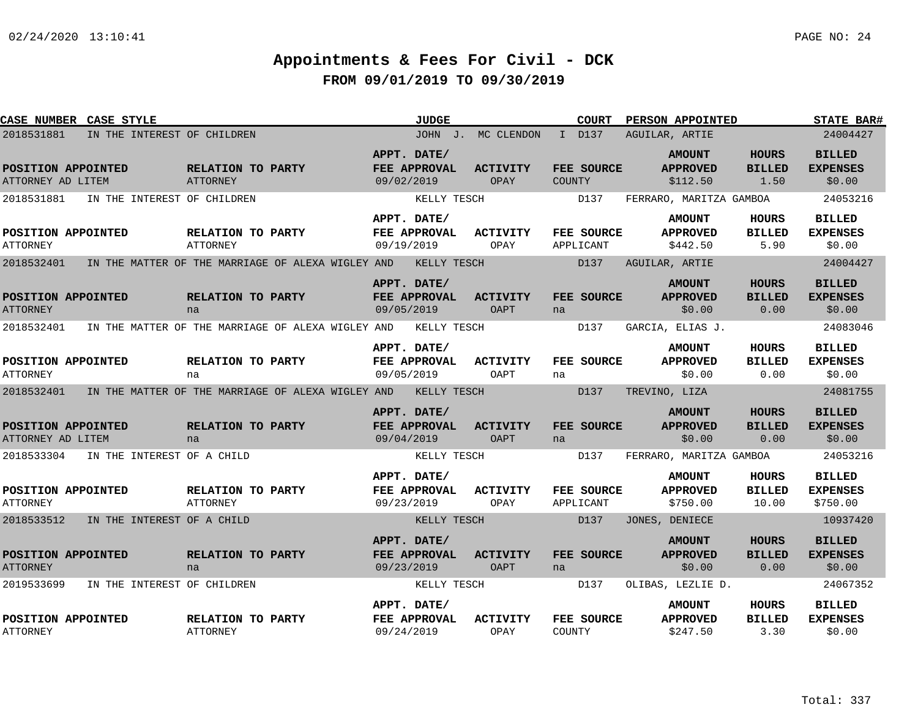| <b>CASE NUMBER</b>                           | <b>CASE STYLE</b>           |                                      |                                                   |                           | <b>JUDGE</b>                |                         |        | <b>COURT</b>            | PERSON APPOINTED                             |                                       | <b>STATE BAR#</b>                            |
|----------------------------------------------|-----------------------------|--------------------------------------|---------------------------------------------------|---------------------------|-----------------------------|-------------------------|--------|-------------------------|----------------------------------------------|---------------------------------------|----------------------------------------------|
| 2018531881                                   | IN THE INTEREST OF CHILDREN |                                      |                                                   |                           |                             | JOHN J. MC CLENDON      |        | I D137                  | AGUILAR, ARTIE                               |                                       | 24004427                                     |
| POSITION APPOINTED<br>ATTORNEY AD LITEM      |                             | RELATION TO PARTY<br><b>ATTORNEY</b> |                                                   | APPT. DATE/<br>09/02/2019 | FEE APPROVAL                | <b>ACTIVITY</b><br>OPAY | COUNTY | FEE SOURCE              | <b>AMOUNT</b><br><b>APPROVED</b><br>\$112.50 | <b>HOURS</b><br><b>BILLED</b><br>1.50 | <b>BILLED</b><br><b>EXPENSES</b><br>\$0.00   |
| 2018531881                                   | IN THE INTEREST OF CHILDREN |                                      |                                                   |                           | KELLY TESCH                 |                         |        | D137                    | FERRARO, MARITZA GAMBOA                      |                                       | 24053216                                     |
| POSITION APPOINTED<br><b>ATTORNEY</b>        |                             | RELATION TO PARTY<br><b>ATTORNEY</b> |                                                   | APPT. DATE/<br>09/19/2019 | FEE APPROVAL                | <b>ACTIVITY</b><br>OPAY |        | FEE SOURCE<br>APPLICANT | <b>AMOUNT</b><br><b>APPROVED</b><br>\$442.50 | HOURS<br><b>BILLED</b><br>5.90        | <b>BILLED</b><br><b>EXPENSES</b><br>\$0.00   |
| 2018532401                                   |                             |                                      | IN THE MATTER OF THE MARRIAGE OF ALEXA WIGLEY AND |                           | KELLY TESCH                 |                         |        | D137                    | AGUILAR, ARTIE                               |                                       | 24004427                                     |
| POSITION APPOINTED<br><b>ATTORNEY</b>        |                             | RELATION TO PARTY<br>na              |                                                   | APPT. DATE/<br>09/05/2019 | <b>FEE APPROVAL</b>         | <b>ACTIVITY</b><br>OAPT | na     | FEE SOURCE              | <b>AMOUNT</b><br><b>APPROVED</b><br>\$0.00   | <b>HOURS</b><br><b>BILLED</b><br>0.00 | <b>BILLED</b><br><b>EXPENSES</b><br>\$0.00   |
| 2018532401                                   |                             |                                      | IN THE MATTER OF THE MARRIAGE OF ALEXA WIGLEY AND |                           | KELLY TESCH                 |                         |        | D137                    | GARCIA, ELIAS J.                             |                                       | 24083046                                     |
| POSITION APPOINTED<br><b>ATTORNEY</b>        |                             | RELATION TO PARTY<br>na              |                                                   | APPT. DATE/<br>09/05/2019 | FEE APPROVAL                | <b>ACTIVITY</b><br>OAPT | na     | FEE SOURCE              | <b>AMOUNT</b><br><b>APPROVED</b><br>\$0.00   | <b>HOURS</b><br><b>BILLED</b><br>0.00 | <b>BILLED</b><br><b>EXPENSES</b><br>\$0.00   |
| 2018532401                                   |                             |                                      | IN THE MATTER OF THE MARRIAGE OF ALEXA WIGLEY AND |                           | KELLY TESCH                 |                         |        | D137                    | TREVINO, LIZA                                |                                       | 24081755                                     |
| POSITION APPOINTED<br>ATTORNEY AD LITEM      |                             | RELATION TO PARTY<br>na              |                                                   | APPT. DATE/<br>09/04/2019 | FEE APPROVAL                | <b>ACTIVITY</b><br>OAPT | na     | FEE SOURCE              | <b>AMOUNT</b><br><b>APPROVED</b><br>\$0.00   | <b>HOURS</b><br><b>BILLED</b><br>0.00 | <b>BILLED</b><br><b>EXPENSES</b><br>\$0.00   |
| 2018533304                                   | IN THE INTEREST OF A CHILD  |                                      |                                                   |                           | KELLY TESCH                 |                         |        | D137                    | FERRARO, MARITZA GAMBOA                      |                                       | 24053216                                     |
| POSITION APPOINTED<br><b>ATTORNEY</b>        |                             | RELATION TO PARTY<br><b>ATTORNEY</b> |                                                   | 09/23/2019                | APPT. DATE/<br>FEE APPROVAL | <b>ACTIVITY</b><br>OPAY |        | FEE SOURCE<br>APPLICANT | <b>AMOUNT</b><br><b>APPROVED</b><br>\$750.00 | HOURS<br><b>BILLED</b><br>10.00       | <b>BILLED</b><br><b>EXPENSES</b><br>\$750.00 |
| 2018533512                                   | IN THE INTEREST OF A CHILD  |                                      |                                                   |                           | KELLY TESCH                 |                         |        | D137                    | JONES, DENIECE                               |                                       | 10937420                                     |
| <b>POSITION APPOINTED</b><br><b>ATTORNEY</b> |                             | RELATION TO PARTY<br>na              |                                                   | APPT. DATE/<br>09/23/2019 | <b>FEE APPROVAL</b>         | <b>ACTIVITY</b><br>OAPT | na     | FEE SOURCE              | <b>AMOUNT</b><br><b>APPROVED</b><br>\$0.00   | <b>HOURS</b><br><b>BILLED</b><br>0.00 | <b>BILLED</b><br><b>EXPENSES</b><br>\$0.00   |
| 2019533699                                   | IN THE INTEREST OF CHILDREN |                                      |                                                   |                           | KELLY TESCH                 |                         |        | D137                    | OLIBAS, LEZLIE D.                            |                                       | 24067352                                     |
| POSITION APPOINTED<br><b>ATTORNEY</b>        |                             | RELATION TO PARTY<br><b>ATTORNEY</b> |                                                   | APPT. DATE/<br>09/24/2019 | FEE APPROVAL                | <b>ACTIVITY</b><br>OPAY | COUNTY | FEE SOURCE              | <b>AMOUNT</b><br><b>APPROVED</b><br>\$247.50 | HOURS<br><b>BILLED</b><br>3.30        | <b>BILLED</b><br><b>EXPENSES</b><br>\$0.00   |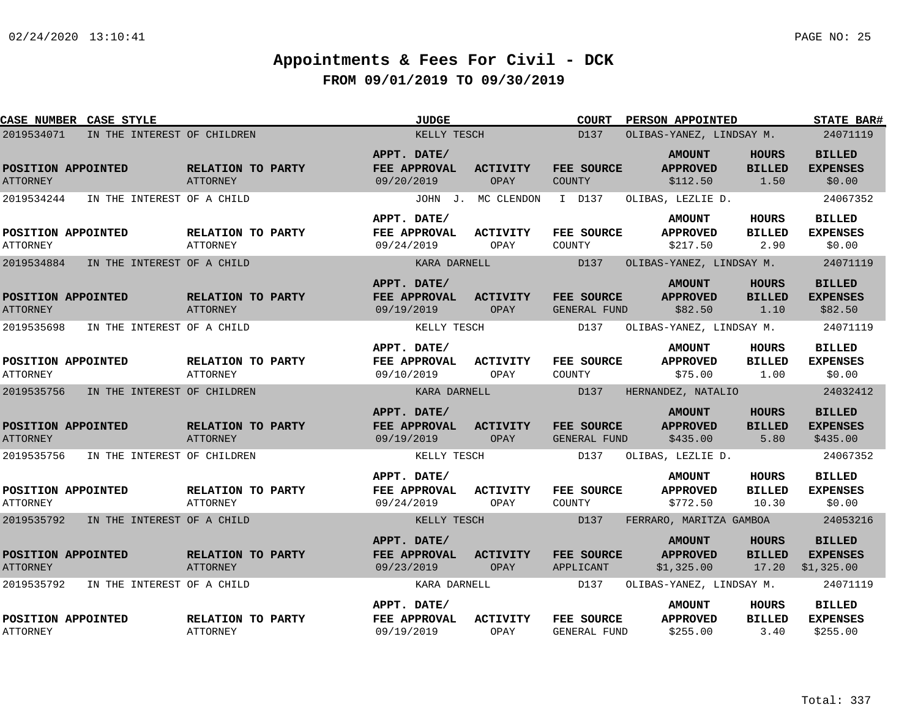|                                       | <b>CASE NUMBER CASE STYLE</b> |                                      | <b>JUDGE</b>                              |                         | COURT                            | <b>PERSON APPOINTED</b>                        |                                        | <b>STATE BAR#</b>                              |
|---------------------------------------|-------------------------------|--------------------------------------|-------------------------------------------|-------------------------|----------------------------------|------------------------------------------------|----------------------------------------|------------------------------------------------|
| 2019534071                            | IN THE INTEREST OF CHILDREN   |                                      | KELLY TESCH                               |                         | D137<br>OLIBAS-YANEZ, LINDSAY M. | 24071119                                       |                                        |                                                |
| POSITION APPOINTED<br><b>ATTORNEY</b> |                               | RELATION TO PARTY<br><b>ATTORNEY</b> | APPT. DATE/<br>FEE APPROVAL<br>09/20/2019 | ACTIVITY<br>OPAY        | FEE SOURCE<br>COUNTY             | <b>AMOUNT</b><br><b>APPROVED</b><br>\$112.50   | <b>HOURS</b><br><b>BILLED</b><br>1.50  | <b>BILLED</b><br><b>EXPENSES</b><br>\$0.00     |
| 2019534244                            | IN THE INTEREST OF A CHILD    |                                      |                                           | JOHN J. MC CLENDON      | I D137                           | OLIBAS, LEZLIE D.                              |                                        | 24067352                                       |
| POSITION APPOINTED<br><b>ATTORNEY</b> |                               | RELATION TO PARTY<br>ATTORNEY        | APPT. DATE/<br>FEE APPROVAL<br>09/24/2019 | ACTIVITY<br>OPAY        | FEE SOURCE<br>COUNTY             | <b>AMOUNT</b><br><b>APPROVED</b><br>\$217.50   | HOURS<br><b>BILLED</b><br>2.90         | <b>BILLED</b><br><b>EXPENSES</b><br>\$0.00     |
| 2019534884                            | IN THE INTEREST OF A CHILD    |                                      | KARA DARNELL                              |                         | D137                             | OLIBAS-YANEZ, LINDSAY M.                       |                                        | 24071119                                       |
| POSITION APPOINTED<br><b>ATTORNEY</b> |                               | RELATION TO PARTY<br><b>ATTORNEY</b> | APPT. DATE/<br>FEE APPROVAL<br>09/19/2019 | <b>ACTIVITY</b><br>OPAY | FEE SOURCE<br>GENERAL FUND       | <b>AMOUNT</b><br><b>APPROVED</b><br>\$82.50    | <b>HOURS</b><br><b>BILLED</b><br>1.10  | <b>BILLED</b><br><b>EXPENSES</b><br>\$82.50    |
| 2019535698                            | IN THE INTEREST OF A CHILD    |                                      | KELLY TESCH                               |                         | D137                             | OLIBAS-YANEZ, LINDSAY M.                       |                                        | 24071119                                       |
| POSITION APPOINTED<br><b>ATTORNEY</b> |                               | RELATION TO PARTY<br>ATTORNEY        | APPT. DATE/<br>FEE APPROVAL<br>09/10/2019 | <b>ACTIVITY</b><br>OPAY | FEE SOURCE<br>COUNTY             | <b>AMOUNT</b><br><b>APPROVED</b><br>\$75.00    | <b>HOURS</b><br><b>BILLED</b><br>1.00  | <b>BILLED</b><br><b>EXPENSES</b><br>\$0.00     |
| 2019535756                            | IN THE INTEREST OF CHILDREN   |                                      | KARA DARNELL                              |                         | D137                             | HERNANDEZ, NATALIO                             |                                        | 24032412                                       |
| POSITION APPOINTED<br><b>ATTORNEY</b> |                               | RELATION TO PARTY<br>ATTORNEY        | APPT. DATE/<br>FEE APPROVAL<br>09/19/2019 | ACTIVITY<br>OPAY        | FEE SOURCE<br>GENERAL FUND       | <b>AMOUNT</b><br><b>APPROVED</b><br>\$435.00   | <b>HOURS</b><br><b>BILLED</b><br>5.80  | <b>BILLED</b><br><b>EXPENSES</b><br>\$435.00   |
| 2019535756                            | IN THE INTEREST OF CHILDREN   |                                      | KELLY TESCH                               |                         | D137                             | OLIBAS, LEZLIE D.                              |                                        | 24067352                                       |
| POSITION APPOINTED<br><b>ATTORNEY</b> |                               | RELATION TO PARTY<br>ATTORNEY        | APPT. DATE/<br>FEE APPROVAL<br>09/24/2019 | <b>ACTIVITY</b><br>OPAY | FEE SOURCE<br>COUNTY             | <b>AMOUNT</b><br><b>APPROVED</b><br>\$772.50   | <b>HOURS</b><br><b>BILLED</b><br>10.30 | <b>BILLED</b><br><b>EXPENSES</b><br>\$0.00     |
| 2019535792                            | IN THE INTEREST OF A CHILD    |                                      | KELLY TESCH                               |                         | D137                             | FERRARO, MARITZA GAMBOA                        |                                        | 24053216                                       |
| POSITION APPOINTED<br><b>ATTORNEY</b> |                               | RELATION TO PARTY<br><b>ATTORNEY</b> | APPT. DATE/<br>FEE APPROVAL<br>09/23/2019 | ACTIVITY<br>OPAY        | <b>FEE SOURCE</b><br>APPLICANT   | <b>AMOUNT</b><br><b>APPROVED</b><br>\$1,325.00 | <b>HOURS</b><br><b>BILLED</b><br>17.20 | <b>BILLED</b><br><b>EXPENSES</b><br>\$1,325.00 |
| 2019535792                            | IN THE INTEREST OF A CHILD    |                                      | KARA DARNELL                              |                         | D137                             | OLIBAS-YANEZ, LINDSAY M.                       |                                        | 24071119                                       |
| POSITION APPOINTED<br><b>ATTORNEY</b> |                               | RELATION TO PARTY<br>ATTORNEY        | APPT. DATE/<br>FEE APPROVAL<br>09/19/2019 | <b>ACTIVITY</b><br>OPAY | FEE SOURCE<br>GENERAL FUND       | <b>AMOUNT</b><br><b>APPROVED</b><br>\$255.00   | HOURS<br><b>BILLED</b><br>3.40         | <b>BILLED</b><br><b>EXPENSES</b><br>\$255.00   |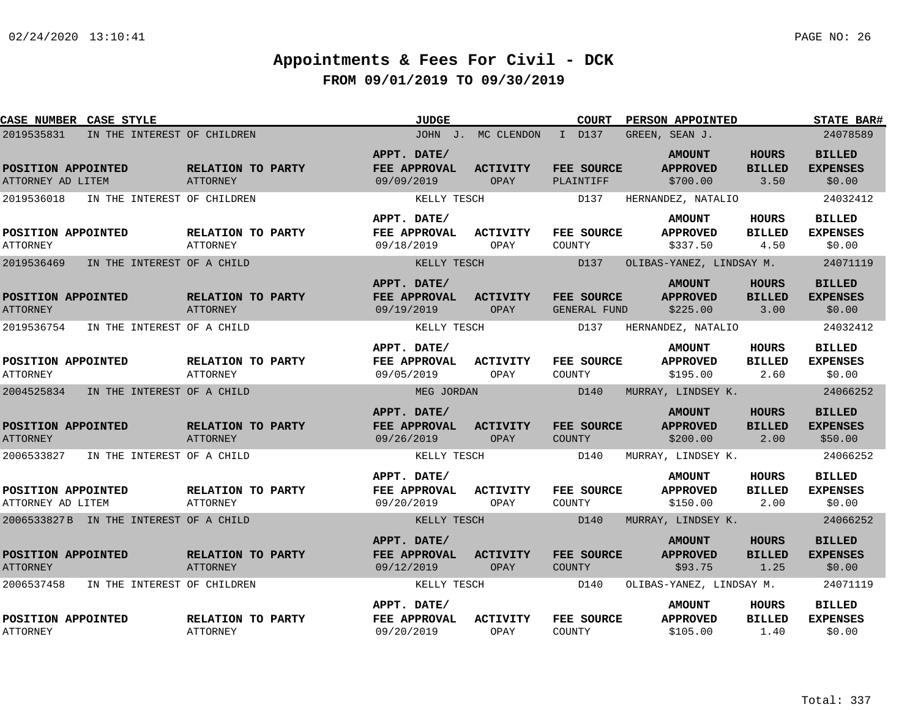| <b>CASE NUMBER CASE STYLE</b>           |                                        |                                      | <b>JUDGE</b>                              |                         | <b>COURT</b>                | PERSON APPOINTED                             |                                       | <b>STATE BAR#</b>                           |
|-----------------------------------------|----------------------------------------|--------------------------------------|-------------------------------------------|-------------------------|-----------------------------|----------------------------------------------|---------------------------------------|---------------------------------------------|
| 2019535831                              | IN THE INTEREST OF CHILDREN            |                                      |                                           | JOHN J. MC CLENDON      | I D137                      | GREEN, SEAN J.                               |                                       | 24078589                                    |
| POSITION APPOINTED<br>ATTORNEY AD LITEM |                                        | RELATION TO PARTY<br><b>ATTORNEY</b> | APPT. DATE/<br>FEE APPROVAL<br>09/09/2019 | <b>ACTIVITY</b><br>OPAY | FEE SOURCE<br>PLAINTIFF     | <b>AMOUNT</b><br><b>APPROVED</b><br>\$700.00 | <b>HOURS</b><br><b>BILLED</b><br>3.50 | <b>BILLED</b><br><b>EXPENSES</b><br>\$0.00  |
| 2019536018                              | IN THE INTEREST OF CHILDREN            |                                      | KELLY TESCH                               |                         | D137                        | HERNANDEZ, NATALIO                           |                                       | 24032412                                    |
| POSITION APPOINTED<br><b>ATTORNEY</b>   |                                        | RELATION TO PARTY<br>ATTORNEY        | APPT. DATE/<br>FEE APPROVAL<br>09/18/2019 | ACTIVITY<br>OPAY        | FEE SOURCE<br>COUNTY        | <b>AMOUNT</b><br><b>APPROVED</b><br>\$337.50 | HOURS<br><b>BILLED</b><br>4.50        | <b>BILLED</b><br><b>EXPENSES</b><br>\$0.00  |
| 2019536469                              | IN THE INTEREST OF A CHILD             |                                      | KELLY TESCH                               |                         | D137                        | OLIBAS-YANEZ, LINDSAY M.                     |                                       | 24071119                                    |
| POSITION APPOINTED<br><b>ATTORNEY</b>   |                                        | RELATION TO PARTY<br><b>ATTORNEY</b> | APPT. DATE/<br>FEE APPROVAL<br>09/19/2019 | <b>ACTIVITY</b><br>OPAY | FEE SOURCE<br>GENERAL FUND  | <b>AMOUNT</b><br><b>APPROVED</b><br>\$225.00 | HOURS<br><b>BILLED</b><br>3.00        | <b>BILLED</b><br><b>EXPENSES</b><br>\$0.00  |
| 2019536754                              | IN THE INTEREST OF A CHILD             |                                      | KELLY TESCH                               |                         | D137                        | HERNANDEZ, NATALIO                           |                                       | 24032412                                    |
| POSITION APPOINTED<br><b>ATTORNEY</b>   |                                        | RELATION TO PARTY<br>ATTORNEY        | APPT. DATE/<br>FEE APPROVAL<br>09/05/2019 | <b>ACTIVITY</b><br>OPAY | FEE SOURCE<br>COUNTY        | <b>AMOUNT</b><br><b>APPROVED</b><br>\$195.00 | HOURS<br><b>BILLED</b><br>2.60        | <b>BILLED</b><br><b>EXPENSES</b><br>\$0.00  |
| 2004525834                              | IN THE INTEREST OF A CHILD             |                                      | MEG JORDAN                                |                         | D140                        | MURRAY, LINDSEY K.                           |                                       | 24066252                                    |
| POSITION APPOINTED<br><b>ATTORNEY</b>   |                                        | RELATION TO PARTY<br><b>ATTORNEY</b> | APPT. DATE/<br>FEE APPROVAL<br>09/26/2019 | <b>ACTIVITY</b><br>OPAY | FEE SOURCE<br><b>COUNTY</b> | <b>AMOUNT</b><br><b>APPROVED</b><br>\$200.00 | <b>HOURS</b><br><b>BILLED</b><br>2.00 | <b>BILLED</b><br><b>EXPENSES</b><br>\$50.00 |
| 2006533827                              | IN THE INTEREST OF A CHILD             |                                      | KELLY TESCH                               |                         | D140                        | MURRAY, LINDSEY K.                           |                                       | 24066252                                    |
| POSITION APPOINTED<br>ATTORNEY AD LITEM |                                        | RELATION TO PARTY<br>ATTORNEY        | APPT. DATE/<br>FEE APPROVAL<br>09/20/2019 | <b>ACTIVITY</b><br>OPAY | FEE SOURCE<br>COUNTY        | <b>AMOUNT</b><br><b>APPROVED</b><br>\$150.00 | HOURS<br><b>BILLED</b><br>2.00        | <b>BILLED</b><br><b>EXPENSES</b><br>\$0.00  |
|                                         | 2006533827B IN THE INTEREST OF A CHILD |                                      | KELLY TESCH                               |                         | D140                        | MURRAY, LINDSEY K.                           |                                       | 24066252                                    |
| POSITION APPOINTED<br><b>ATTORNEY</b>   |                                        | RELATION TO PARTY<br><b>ATTORNEY</b> | APPT. DATE/<br>FEE APPROVAL<br>09/12/2019 | <b>ACTIVITY</b><br>OPAY | FEE SOURCE<br><b>COUNTY</b> | <b>AMOUNT</b><br><b>APPROVED</b><br>\$93.75  | HOURS<br><b>BILLED</b><br>1.25        | <b>BILLED</b><br><b>EXPENSES</b><br>\$0.00  |
| 2006537458                              | IN THE INTEREST OF CHILDREN            |                                      | KELLY TESCH                               |                         | D140                        | OLIBAS-YANEZ, LINDSAY M.                     |                                       | 24071119                                    |
| POSITION APPOINTED<br><b>ATTORNEY</b>   |                                        | RELATION TO PARTY<br>ATTORNEY        | APPT. DATE/<br>FEE APPROVAL<br>09/20/2019 | <b>ACTIVITY</b><br>OPAY | FEE SOURCE<br>COUNTY        | <b>AMOUNT</b><br><b>APPROVED</b><br>\$105.00 | HOURS<br><b>BILLED</b><br>1.40        | <b>BILLED</b><br><b>EXPENSES</b><br>\$0.00  |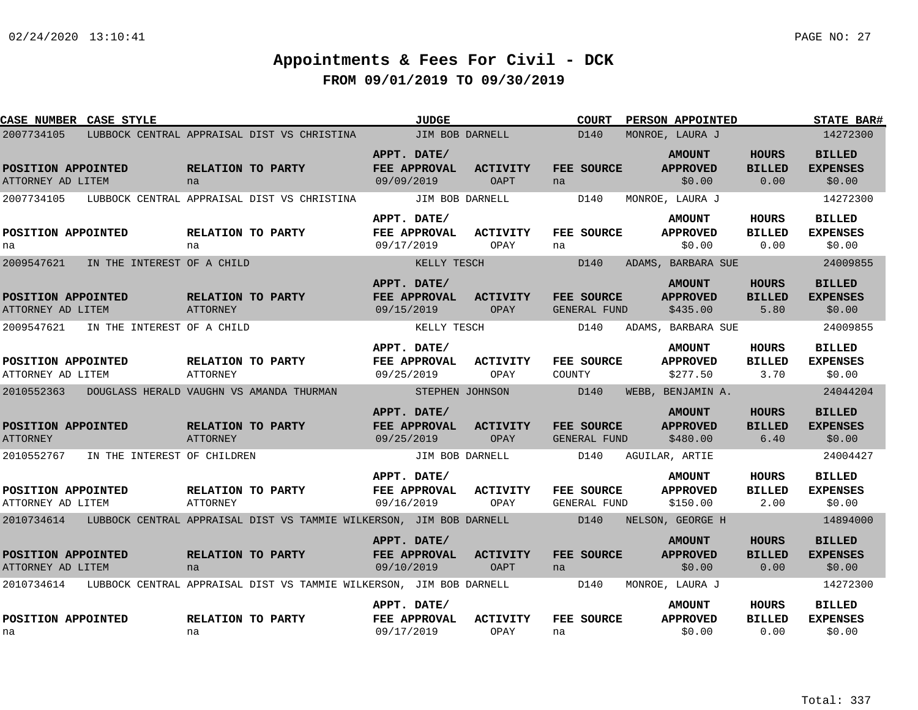| <b>CASE NUMBER CASE STYLE</b>                                                  |                            |                                                                     | <b>JUDGE</b>                                     |                                | COURT                             | PERSON APPOINTED                             |                                       | <b>STATE BAR#</b>                          |
|--------------------------------------------------------------------------------|----------------------------|---------------------------------------------------------------------|--------------------------------------------------|--------------------------------|-----------------------------------|----------------------------------------------|---------------------------------------|--------------------------------------------|
| 2007734105                                                                     |                            | LUBBOCK CENTRAL APPRAISAL DIST VS CHRISTINA                         | <b>Example 15 JIM BOB DARNELL</b>                |                                | D <sub>140</sub>                  | MONROE, LAURA J                              |                                       | 14272300                                   |
| POSITION APPOINTED<br>ATTORNEY AD LITEM                                        | na                         | RELATION TO PARTY                                                   | APPT. DATE/<br>FEE APPROVAL<br>09/09/2019        | <b>ACTIVITY</b><br>OAPT        | FEE SOURCE<br>na                  | <b>AMOUNT</b><br><b>APPROVED</b><br>\$0.00   | <b>HOURS</b><br><b>BILLED</b><br>0.00 | <b>BILLED</b><br><b>EXPENSES</b><br>\$0.00 |
| 2007734105 LUBBOCK CENTRAL APPRAISAL DIST VS CHRISTINA JIM BOB DARNELL         |                            |                                                                     |                                                  |                                | D140                              | MONROE, LAURA J                              |                                       | 14272300                                   |
| POSITION APPOINTED<br>na                                                       | na                         | RELATION TO PARTY                                                   | APPT. DATE/<br>FEE APPROVAL<br>09/17/2019        | <b>ACTIVITY</b><br>OPAY        | FEE SOURCE<br>na                  | <b>AMOUNT</b><br><b>APPROVED</b><br>\$0.00   | <b>HOURS</b><br><b>BILLED</b><br>0.00 | <b>BILLED</b><br><b>EXPENSES</b><br>\$0.00 |
| 2009547621                                                                     | IN THE INTEREST OF A CHILD |                                                                     | KELLY TESCH                                      |                                | D140                              | ADAMS, BARBARA SUE                           |                                       | 24009855                                   |
| POSITION APPOINTED<br>ATTORNEY AD LITEM                                        | ATTORNEY                   | RELATION TO PARTY                                                   | APPT. DATE/<br>FEE APPROVAL<br>09/15/2019        | <b>ACTIVITY</b><br>OPAY        | <b>FEE SOURCE</b><br>GENERAL FUND | <b>AMOUNT</b><br><b>APPROVED</b><br>\$435.00 | <b>HOURS</b><br><b>BILLED</b><br>5.80 | <b>BILLED</b><br><b>EXPENSES</b><br>\$0.00 |
| 2009547621                                                                     | IN THE INTEREST OF A CHILD |                                                                     | KELLY TESCH                                      |                                | D140                              | ADAMS, BARBARA SUE                           |                                       | 24009855                                   |
| POSITION APPOINTED<br>ATTORNEY AD LITEM                                        | ATTORNEY                   | RELATION TO PARTY                                                   | APPT. DATE/<br>FEE APPROVAL<br>09/25/2019        | <b>ACTIVITY</b><br>OPAY        | FEE SOURCE<br>COUNTY              | <b>AMOUNT</b><br><b>APPROVED</b><br>\$277.50 | <b>HOURS</b><br><b>BILLED</b><br>3.70 | <b>BILLED</b><br><b>EXPENSES</b><br>\$0.00 |
| 2010552363 DOUGLASS HERALD VAUGHN VS AMANDA THURMAN                            |                            |                                                                     | <b>STEPHEN JOHNSON</b>                           |                                | D140                              | WEBB, BENJAMIN A.                            |                                       | 24044204                                   |
| POSITION APPOINTED<br><b>ATTORNEY</b>                                          | ATTORNEY                   | <b>EXELATION TO PARTY</b>                                           | APPT. DATE/<br>FEE APPROVAL<br>09/25/2019        | <b>ACTIVITY</b><br>OPAY        | FEE SOURCE<br>GENERAL FUND        | <b>AMOUNT</b><br><b>APPROVED</b><br>\$480.00 | <b>HOURS</b><br><b>BILLED</b><br>6.40 | <b>BILLED</b><br><b>EXPENSES</b><br>\$0.00 |
| 2010552767 IN THE INTEREST OF CHILDREN                                         |                            |                                                                     |                                                  | JIM BOB DARNELL                | D140                              | AGUILAR, ARTIE                               |                                       | 24004427                                   |
| POSITION APPOINTED<br>ATTORNEY AD LITEM                                        | ATTORNEY                   | RELATION TO PARTY                                                   | APPT. DATE/<br><b>FEE APPROVAL</b><br>09/16/2019 | <b>ACTIVITY</b><br>OPAY        | <b>FEE SOURCE</b><br>GENERAL FUND | <b>AMOUNT</b><br><b>APPROVED</b><br>\$150.00 | <b>HOURS</b><br><b>BILLED</b><br>2.00 | <b>BILLED</b><br><b>EXPENSES</b><br>\$0.00 |
| 2010734614 LUBBOCK CENTRAL APPRAISAL DIST VS TAMMIE WILKERSON, JIM BOB DARNELL |                            |                                                                     |                                                  |                                | D140                              | NELSON, GEORGE H                             |                                       | 14894000                                   |
| POSITION APPOINTED<br>ATTORNEY AD LITEM                                        | na                         | RELATION TO PARTY                                                   | APPT. DATE/<br><b>FEE APPROVAL</b><br>09/10/2019 | <b>ACTIVITY</b><br><b>OAPT</b> | <b>FEE SOURCE</b><br>na           | <b>AMOUNT</b><br><b>APPROVED</b><br>\$0.00   | <b>HOURS</b><br><b>BILLED</b><br>0.00 | <b>BILLED</b><br><b>EXPENSES</b><br>\$0.00 |
| 2010734614                                                                     |                            | LUBBOCK CENTRAL APPRAISAL DIST VS TAMMIE WILKERSON, JIM BOB DARNELL |                                                  |                                | D140                              | MONROE, LAURA J                              |                                       | 14272300                                   |
| POSITION APPOINTED<br>na                                                       | na                         | RELATION TO PARTY                                                   | APPT. DATE/<br>FEE APPROVAL<br>09/17/2019        | <b>ACTIVITY</b><br>OPAY        | FEE SOURCE<br>na                  | <b>AMOUNT</b><br><b>APPROVED</b><br>\$0.00   | HOURS<br><b>BILLED</b><br>0.00        | <b>BILLED</b><br><b>EXPENSES</b><br>\$0.00 |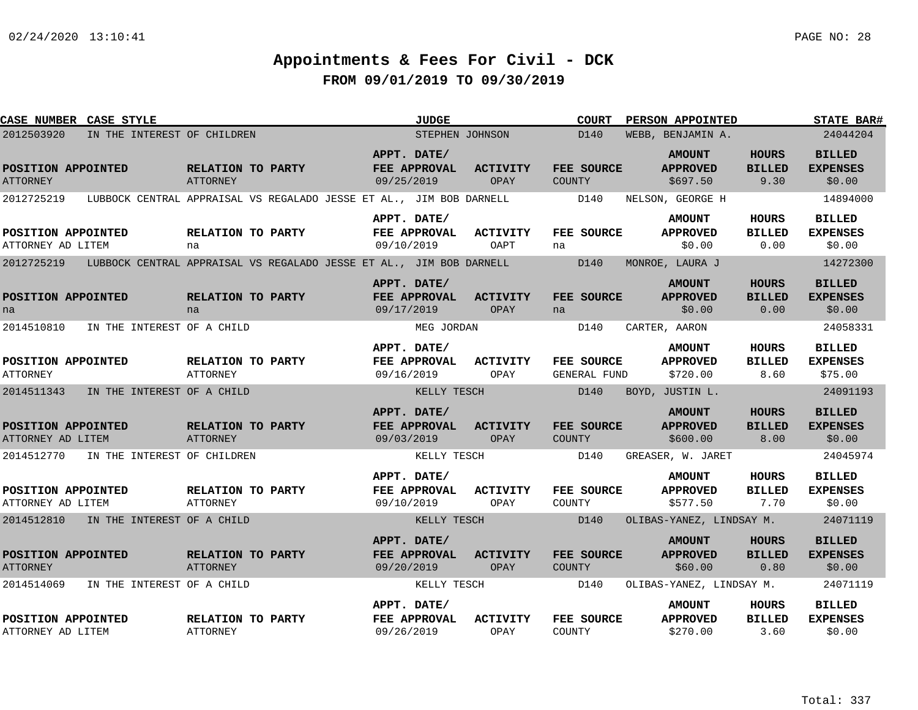| CASE NUMBER CASE STYLE                  |                                        |                                      |                                                                     | <b>JUDGE</b>                              |                         | <b>COURT</b>               | PERSON APPOINTED                             |                                       | STATE BAR#                                  |
|-----------------------------------------|----------------------------------------|--------------------------------------|---------------------------------------------------------------------|-------------------------------------------|-------------------------|----------------------------|----------------------------------------------|---------------------------------------|---------------------------------------------|
| 2012503920                              | IN THE INTEREST OF CHILDREN            |                                      |                                                                     | STEPHEN JOHNSON                           |                         | D140                       | WEBB, BENJAMIN A.                            |                                       | 24044204                                    |
| POSITION APPOINTED<br><b>ATTORNEY</b>   |                                        | RELATION TO PARTY<br><b>ATTORNEY</b> |                                                                     | APPT. DATE/<br>FEE APPROVAL<br>09/25/2019 | ACTIVITY<br>OPAY        | FEE SOURCE<br>COUNTY       | <b>AMOUNT</b><br><b>APPROVED</b><br>\$697.50 | <b>HOURS</b><br><b>BILLED</b><br>9.30 | <b>BILLED</b><br><b>EXPENSES</b><br>\$0.00  |
| 2012725219                              |                                        |                                      | LUBBOCK CENTRAL APPRAISAL VS REGALADO JESSE ET AL., JIM BOB DARNELL |                                           |                         | D140                       | NELSON, GEORGE H                             |                                       | 14894000                                    |
| POSITION APPOINTED<br>ATTORNEY AD LITEM |                                        | RELATION TO PARTY<br>na              |                                                                     | APPT. DATE/<br>FEE APPROVAL<br>09/10/2019 | <b>ACTIVITY</b><br>OAPT | FEE SOURCE<br>na           | <b>AMOUNT</b><br><b>APPROVED</b><br>\$0.00   | HOURS<br><b>BILLED</b><br>0.00        | <b>BILLED</b><br><b>EXPENSES</b><br>\$0.00  |
| 2012725219                              |                                        |                                      | LUBBOCK CENTRAL APPRAISAL VS REGALADO JESSE ET AL., JIM BOB DARNELL |                                           |                         | D140                       | MONROE, LAURA J                              |                                       | 14272300                                    |
| POSITION APPOINTED<br>na                |                                        | RELATION TO PARTY<br>na              |                                                                     | APPT. DATE/<br>FEE APPROVAL<br>09/17/2019 | <b>ACTIVITY</b><br>OPAY | FEE SOURCE<br>na           | <b>AMOUNT</b><br><b>APPROVED</b><br>\$0.00   | <b>HOURS</b><br><b>BILLED</b><br>0.00 | <b>BILLED</b><br><b>EXPENSES</b><br>\$0.00  |
| 2014510810                              | IN THE INTEREST OF A CHILD             |                                      |                                                                     | MEG JORDAN                                |                         | D140                       | CARTER, AARON                                |                                       | 24058331                                    |
| POSITION APPOINTED<br><b>ATTORNEY</b>   |                                        | RELATION TO PARTY<br>ATTORNEY        |                                                                     | APPT. DATE/<br>FEE APPROVAL<br>09/16/2019 | <b>ACTIVITY</b><br>OPAY | FEE SOURCE<br>GENERAL FUND | <b>AMOUNT</b><br><b>APPROVED</b><br>\$720.00 | <b>HOURS</b><br><b>BILLED</b><br>8.60 | <b>BILLED</b><br><b>EXPENSES</b><br>\$75.00 |
| 2014511343                              | IN THE INTEREST OF A CHILD             |                                      |                                                                     | KELLY TESCH                               |                         | D140                       | BOYD, JUSTIN L.                              |                                       | 24091193                                    |
| POSITION APPOINTED<br>ATTORNEY AD LITEM |                                        | RELATION TO PARTY<br><b>ATTORNEY</b> |                                                                     | APPT. DATE/<br>FEE APPROVAL<br>09/03/2019 | ACTIVITY<br>OPAY        | FEE SOURCE<br>COUNTY       | <b>AMOUNT</b><br><b>APPROVED</b><br>\$600.00 | <b>HOURS</b><br><b>BILLED</b><br>8.00 | <b>BILLED</b><br><b>EXPENSES</b><br>\$0.00  |
|                                         | 2014512770 IN THE INTEREST OF CHILDREN |                                      |                                                                     | KELLY TESCH                               |                         | D140                       | GREASER, W. JARET                            |                                       | 24045974                                    |
| POSITION APPOINTED<br>ATTORNEY AD LITEM |                                        | RELATION TO PARTY<br>ATTORNEY        |                                                                     | APPT. DATE/<br>FEE APPROVAL<br>09/10/2019 | <b>ACTIVITY</b><br>OPAY | FEE SOURCE<br>COUNTY       | <b>AMOUNT</b><br><b>APPROVED</b><br>\$577.50 | HOURS<br><b>BILLED</b><br>7.70        | <b>BILLED</b><br><b>EXPENSES</b><br>\$0.00  |
|                                         | 2014512810 IN THE INTEREST OF A CHILD  |                                      |                                                                     | KELLY TESCH                               |                         | D140                       | OLIBAS-YANEZ, LINDSAY M.                     |                                       | 24071119                                    |
| POSITION APPOINTED<br><b>ATTORNEY</b>   |                                        | RELATION TO PARTY<br><b>ATTORNEY</b> |                                                                     | APPT. DATE/<br>FEE APPROVAL<br>09/20/2019 | <b>ACTIVITY</b><br>OPAY | FEE SOURCE<br>COUNTY       | <b>AMOUNT</b><br><b>APPROVED</b><br>\$60.00  | HOURS<br><b>BILLED</b><br>0.80        | <b>BILLED</b><br><b>EXPENSES</b><br>\$0.00  |
| 2014514069                              | IN THE INTEREST OF A CHILD             |                                      |                                                                     | KELLY TESCH                               |                         | D140                       | OLIBAS-YANEZ, LINDSAY M.                     |                                       | 24071119                                    |
| POSITION APPOINTED<br>ATTORNEY AD LITEM |                                        | RELATION TO PARTY<br>ATTORNEY        |                                                                     | APPT. DATE/<br>FEE APPROVAL<br>09/26/2019 | <b>ACTIVITY</b><br>OPAY | FEE SOURCE<br>COUNTY       | <b>AMOUNT</b><br><b>APPROVED</b><br>\$270.00 | HOURS<br><b>BILLED</b><br>3.60        | <b>BILLED</b><br><b>EXPENSES</b><br>\$0.00  |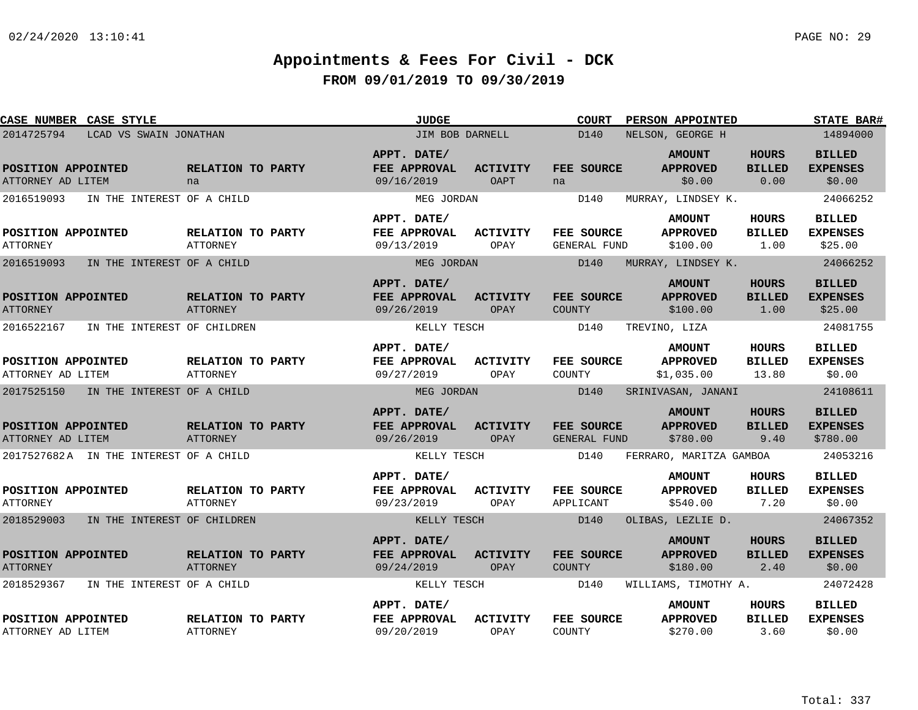| <b>CASE NUMBER CASE STYLE</b>             |                                      | <b>JUDGE</b>                              |                                | <b>COURT</b><br><b>PERSON APPOINTED</b> | <b>STATE BAR#</b>                              |                                        |                                              |
|-------------------------------------------|--------------------------------------|-------------------------------------------|--------------------------------|-----------------------------------------|------------------------------------------------|----------------------------------------|----------------------------------------------|
| 2014725794<br>LCAD VS SWAIN JONATHAN      |                                      | JIM BOB DARNELL                           |                                | D140                                    | NELSON, GEORGE H                               |                                        | 14894000                                     |
| POSITION APPOINTED<br>ATTORNEY AD LITEM   | RELATION TO PARTY<br>na              | APPT. DATE/<br>FEE APPROVAL<br>09/16/2019 | <b>ACTIVITY</b><br><b>OAPT</b> | FEE SOURCE<br>na                        | <b>AMOUNT</b><br><b>APPROVED</b><br>\$0.00     | <b>HOURS</b><br><b>BILLED</b><br>0.00  | <b>BILLED</b><br><b>EXPENSES</b><br>\$0.00   |
| 2016519093<br>IN THE INTEREST OF A CHILD  |                                      | MEG JORDAN                                |                                | D140                                    | MURRAY, LINDSEY K.                             |                                        | 24066252                                     |
| POSITION APPOINTED<br><b>ATTORNEY</b>     | RELATION TO PARTY<br>ATTORNEY        | APPT. DATE/<br>FEE APPROVAL<br>09/13/2019 | <b>ACTIVITY</b><br>OPAY        | FEE SOURCE<br>GENERAL FUND              | <b>AMOUNT</b><br><b>APPROVED</b><br>\$100.00   | <b>HOURS</b><br><b>BILLED</b><br>1.00  | <b>BILLED</b><br><b>EXPENSES</b><br>\$25.00  |
| 2016519093<br>IN THE INTEREST OF A CHILD  |                                      | MEG JORDAN                                |                                | D140                                    | MURRAY, LINDSEY K.                             |                                        | 24066252                                     |
| POSITION APPOINTED<br><b>ATTORNEY</b>     | RELATION TO PARTY<br><b>ATTORNEY</b> | APPT. DATE/<br>FEE APPROVAL<br>09/26/2019 | <b>ACTIVITY</b><br>OPAY        | FEE SOURCE<br><b>COUNTY</b>             | <b>AMOUNT</b><br><b>APPROVED</b><br>\$100.00   | HOURS<br><b>BILLED</b><br>1.00         | <b>BILLED</b><br><b>EXPENSES</b><br>\$25.00  |
| 2016522167<br>IN THE INTEREST OF CHILDREN |                                      | KELLY TESCH                               |                                | D140                                    | TREVINO, LIZA                                  |                                        | 24081755                                     |
| POSITION APPOINTED<br>ATTORNEY AD LITEM   | RELATION TO PARTY<br><b>ATTORNEY</b> | APPT. DATE/<br>FEE APPROVAL<br>09/27/2019 | <b>ACTIVITY</b><br>OPAY        | FEE SOURCE<br>COUNTY                    | <b>AMOUNT</b><br><b>APPROVED</b><br>\$1,035.00 | <b>HOURS</b><br><b>BILLED</b><br>13.80 | <b>BILLED</b><br><b>EXPENSES</b><br>\$0.00   |
| 2017525150<br>IN THE INTEREST OF A CHILD  |                                      | MEG JORDAN                                |                                | D140                                    | SRINIVASAN, JANANI                             |                                        | 24108611                                     |
| POSITION APPOINTED<br>ATTORNEY AD LITEM   | RELATION TO PARTY<br><b>ATTORNEY</b> | APPT. DATE/<br>FEE APPROVAL<br>09/26/2019 | <b>ACTIVITY</b><br>OPAY        | FEE SOURCE<br>GENERAL FUND              | <b>AMOUNT</b><br><b>APPROVED</b><br>\$780.00   | <b>HOURS</b><br><b>BILLED</b><br>9.40  | <b>BILLED</b><br><b>EXPENSES</b><br>\$780.00 |
| 2017527682A IN THE INTEREST OF A CHILD    |                                      | KELLY TESCH                               |                                | D140                                    | FERRARO, MARITZA GAMBOA                        |                                        | 24053216                                     |
| POSITION APPOINTED<br><b>ATTORNEY</b>     | RELATION TO PARTY<br><b>ATTORNEY</b> | APPT. DATE/<br>FEE APPROVAL<br>09/23/2019 | <b>ACTIVITY</b><br>OPAY        | FEE SOURCE<br>APPLICANT                 | <b>AMOUNT</b><br><b>APPROVED</b><br>\$540.00   | HOURS<br><b>BILLED</b><br>7.20         | <b>BILLED</b><br><b>EXPENSES</b><br>\$0.00   |
| 2018529003<br>IN THE INTEREST OF CHILDREN |                                      | KELLY TESCH                               |                                | D140                                    | OLIBAS, LEZLIE D.                              |                                        | 24067352                                     |
| POSITION APPOINTED<br><b>ATTORNEY</b>     | RELATION TO PARTY<br><b>ATTORNEY</b> | APPT. DATE/<br>FEE APPROVAL<br>09/24/2019 | <b>ACTIVITY</b><br>OPAY        | FEE SOURCE<br>COUNTY                    | <b>AMOUNT</b><br><b>APPROVED</b><br>\$180.00   | HOURS<br><b>BILLED</b><br>2.40         | <b>BILLED</b><br><b>EXPENSES</b><br>\$0.00   |
| 2018529367<br>IN THE INTEREST OF A CHILD  |                                      | KELLY TESCH                               |                                | D140                                    | WILLIAMS, TIMOTHY A.                           |                                        | 24072428                                     |
| POSITION APPOINTED<br>ATTORNEY AD LITEM   | RELATION TO PARTY<br><b>ATTORNEY</b> | APPT. DATE/<br>FEE APPROVAL<br>09/20/2019 | <b>ACTIVITY</b><br>OPAY        | FEE SOURCE<br>COUNTY                    | <b>AMOUNT</b><br><b>APPROVED</b><br>\$270.00   | HOURS<br><b>BILLED</b><br>3.60         | <b>BILLED</b><br><b>EXPENSES</b><br>\$0.00   |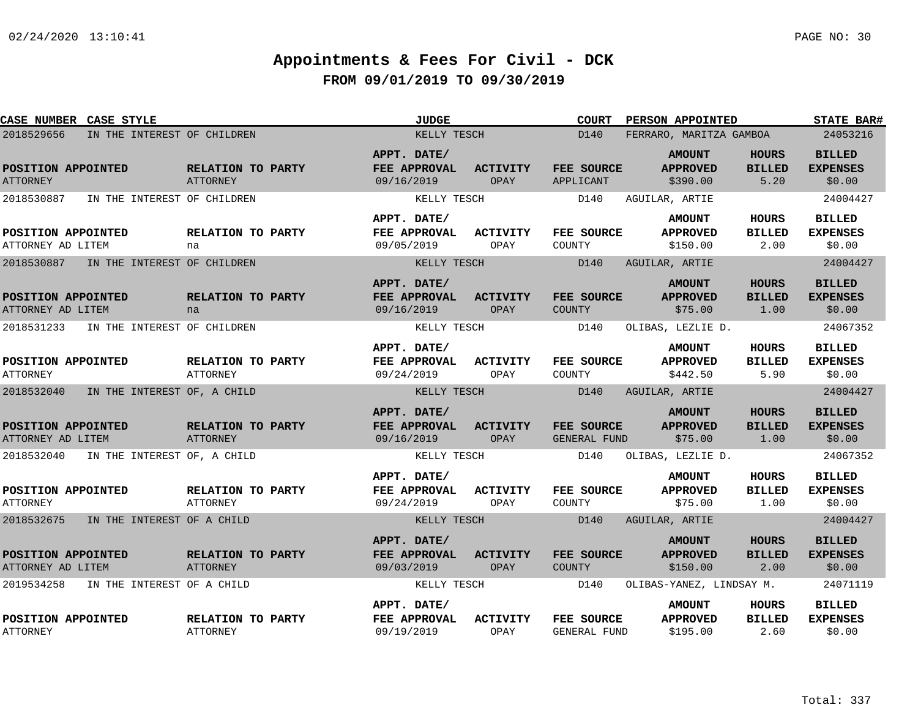| CASE NUMBER CASE STYLE                  |                             |                                      | <b>JUDGE</b>                              |                         | <b>COURT</b>               | <b>PERSON APPOINTED</b>                      |                                       | <b>STATE BAR#</b>                          |
|-----------------------------------------|-----------------------------|--------------------------------------|-------------------------------------------|-------------------------|----------------------------|----------------------------------------------|---------------------------------------|--------------------------------------------|
| 2018529656                              | IN THE INTEREST OF CHILDREN |                                      | KELLY TESCH                               |                         | D140                       | FERRARO, MARITZA GAMBOA                      |                                       | 24053216                                   |
| POSITION APPOINTED<br><b>ATTORNEY</b>   |                             | RELATION TO PARTY<br><b>ATTORNEY</b> | APPT. DATE/<br>FEE APPROVAL<br>09/16/2019 | <b>ACTIVITY</b><br>OPAY | FEE SOURCE<br>APPLICANT    | <b>AMOUNT</b><br><b>APPROVED</b><br>\$390.00 | <b>HOURS</b><br><b>BILLED</b><br>5.20 | <b>BILLED</b><br><b>EXPENSES</b><br>\$0.00 |
| 2018530887                              | IN THE INTEREST OF CHILDREN |                                      | KELLY TESCH                               |                         | D140                       | AGUILAR, ARTIE                               |                                       | 24004427                                   |
| POSITION APPOINTED<br>ATTORNEY AD LITEM |                             | RELATION TO PARTY<br>na              | APPT. DATE/<br>FEE APPROVAL<br>09/05/2019 | <b>ACTIVITY</b><br>OPAY | FEE SOURCE<br>COUNTY       | <b>AMOUNT</b><br><b>APPROVED</b><br>\$150.00 | HOURS<br><b>BILLED</b><br>2.00        | <b>BILLED</b><br><b>EXPENSES</b><br>\$0.00 |
| 2018530887                              | IN THE INTEREST OF CHILDREN |                                      | KELLY TESCH                               |                         | D140                       | AGUILAR, ARTIE                               |                                       | 24004427                                   |
| POSITION APPOINTED<br>ATTORNEY AD LITEM |                             | RELATION TO PARTY<br>na              | APPT. DATE/<br>FEE APPROVAL<br>09/16/2019 | <b>ACTIVITY</b><br>OPAY | FEE SOURCE<br>COUNTY       | <b>AMOUNT</b><br><b>APPROVED</b><br>\$75.00  | <b>HOURS</b><br><b>BILLED</b><br>1.00 | <b>BILLED</b><br><b>EXPENSES</b><br>\$0.00 |
| 2018531233                              | IN THE INTEREST OF CHILDREN |                                      | KELLY TESCH                               |                         | D140                       | OLIBAS, LEZLIE D.                            |                                       | 24067352                                   |
| POSITION APPOINTED<br><b>ATTORNEY</b>   |                             | RELATION TO PARTY<br>ATTORNEY        | APPT. DATE/<br>FEE APPROVAL<br>09/24/2019 | <b>ACTIVITY</b><br>OPAY | FEE SOURCE<br>COUNTY       | <b>AMOUNT</b><br><b>APPROVED</b><br>\$442.50 | HOURS<br><b>BILLED</b><br>5.90        | <b>BILLED</b><br><b>EXPENSES</b><br>\$0.00 |
| 2018532040                              | IN THE INTEREST OF, A CHILD |                                      | KELLY TESCH                               |                         | D140                       | AGUILAR, ARTIE                               |                                       | 24004427                                   |
| POSITION APPOINTED<br>ATTORNEY AD LITEM |                             | RELATION TO PARTY<br><b>ATTORNEY</b> | APPT. DATE/<br>FEE APPROVAL<br>09/16/2019 | <b>ACTIVITY</b><br>OPAY | FEE SOURCE<br>GENERAL FUND | <b>AMOUNT</b><br><b>APPROVED</b><br>\$75.00  | <b>HOURS</b><br><b>BILLED</b><br>1.00 | <b>BILLED</b><br><b>EXPENSES</b><br>\$0.00 |
| 2018532040                              | IN THE INTEREST OF, A CHILD |                                      | KELLY TESCH                               |                         | D140                       | OLIBAS, LEZLIE D.                            |                                       | 24067352                                   |
| POSITION APPOINTED<br><b>ATTORNEY</b>   |                             | RELATION TO PARTY<br>ATTORNEY        | APPT. DATE/<br>FEE APPROVAL<br>09/24/2019 | <b>ACTIVITY</b><br>OPAY | FEE SOURCE<br>COUNTY       | <b>AMOUNT</b><br><b>APPROVED</b><br>\$75.00  | HOURS<br><b>BILLED</b><br>1.00        | <b>BILLED</b><br><b>EXPENSES</b><br>\$0.00 |
| 2018532675                              | IN THE INTEREST OF A CHILD  |                                      | KELLY TESCH                               |                         | D140                       | AGUILAR, ARTIE                               |                                       | 24004427                                   |
| POSITION APPOINTED<br>ATTORNEY AD LITEM |                             | RELATION TO PARTY<br>ATTORNEY        | APPT. DATE/<br>FEE APPROVAL<br>09/03/2019 | <b>ACTIVITY</b><br>OPAY | FEE SOURCE<br>COUNTY       | <b>AMOUNT</b><br><b>APPROVED</b><br>\$150.00 | <b>HOURS</b><br><b>BILLED</b><br>2.00 | <b>BILLED</b><br><b>EXPENSES</b><br>\$0.00 |
| 2019534258                              | IN THE INTEREST OF A CHILD  |                                      | KELLY TESCH                               |                         | D140                       | OLIBAS-YANEZ, LINDSAY M.                     |                                       | 24071119                                   |
| POSITION APPOINTED<br>ATTORNEY          |                             | RELATION TO PARTY<br>ATTORNEY        | APPT. DATE/<br>FEE APPROVAL<br>09/19/2019 | <b>ACTIVITY</b><br>OPAY | FEE SOURCE<br>GENERAL FUND | <b>AMOUNT</b><br><b>APPROVED</b><br>\$195.00 | HOURS<br><b>BILLED</b><br>2.60        | <b>BILLED</b><br><b>EXPENSES</b><br>\$0.00 |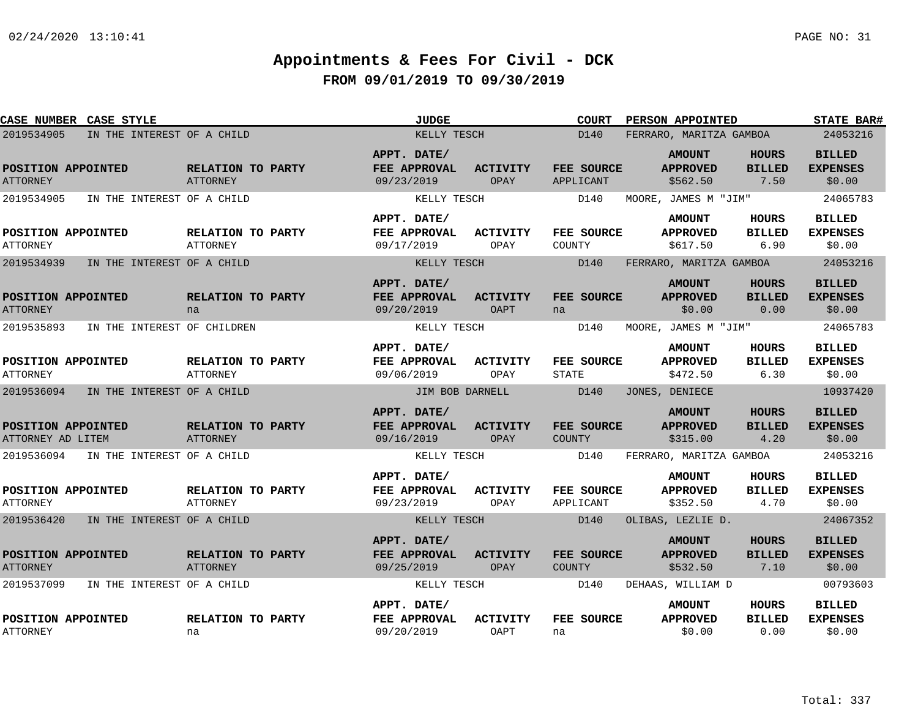| CASE NUMBER CASE STYLE                  |                             |                                      | <b>JUDGE</b>                                     |                         | <b>COURT</b>               | PERSON APPOINTED                             |                                       | <b>STATE BAR#</b>                          |
|-----------------------------------------|-----------------------------|--------------------------------------|--------------------------------------------------|-------------------------|----------------------------|----------------------------------------------|---------------------------------------|--------------------------------------------|
| 2019534905                              | IN THE INTEREST OF A CHILD  |                                      | KELLY TESCH                                      |                         | D140                       | FERRARO, MARITZA GAMBOA                      |                                       | 24053216                                   |
| POSITION APPOINTED<br><b>ATTORNEY</b>   |                             | RELATION TO PARTY<br><b>ATTORNEY</b> | APPT. DATE/<br>FEE APPROVAL<br>09/23/2019        | <b>ACTIVITY</b><br>OPAY | FEE SOURCE<br>APPLICANT    | <b>AMOUNT</b><br><b>APPROVED</b><br>\$562.50 | HOURS<br><b>BILLED</b><br>7.50        | <b>BILLED</b><br><b>EXPENSES</b><br>\$0.00 |
| 2019534905                              | IN THE INTEREST OF A CHILD  |                                      | KELLY TESCH                                      |                         | D140                       | MOORE, JAMES M "JIM"                         |                                       | 24065783                                   |
| POSITION APPOINTED<br><b>ATTORNEY</b>   |                             | RELATION TO PARTY<br><b>ATTORNEY</b> | APPT. DATE/<br>FEE APPROVAL<br>09/17/2019        | ACTIVITY<br>OPAY        | FEE SOURCE<br>COUNTY       | <b>AMOUNT</b><br><b>APPROVED</b><br>\$617.50 | HOURS<br><b>BILLED</b><br>6.90        | <b>BILLED</b><br><b>EXPENSES</b><br>\$0.00 |
| 2019534939                              | IN THE INTEREST OF A CHILD  |                                      | KELLY TESCH                                      |                         | D140                       | FERRARO, MARITZA GAMBOA                      |                                       | 24053216                                   |
| POSITION APPOINTED<br><b>ATTORNEY</b>   |                             | RELATION TO PARTY<br>na              | APPT. DATE/<br>FEE APPROVAL<br>09/20/2019        | <b>ACTIVITY</b><br>OAPT | FEE SOURCE<br>na           | <b>AMOUNT</b><br><b>APPROVED</b><br>\$0.00   | HOURS<br><b>BILLED</b><br>0.00        | <b>BILLED</b><br><b>EXPENSES</b><br>\$0.00 |
| 2019535893                              | IN THE INTEREST OF CHILDREN |                                      | KELLY TESCH                                      |                         | D140                       | MOORE, JAMES M "JIM"                         |                                       | 24065783                                   |
| POSITION APPOINTED<br><b>ATTORNEY</b>   |                             | RELATION TO PARTY<br><b>ATTORNEY</b> | APPT. DATE/<br>FEE APPROVAL<br>09/06/2019        | <b>ACTIVITY</b><br>OPAY | FEE SOURCE<br><b>STATE</b> | <b>AMOUNT</b><br><b>APPROVED</b><br>\$472.50 | <b>HOURS</b><br><b>BILLED</b><br>6.30 | <b>BILLED</b><br><b>EXPENSES</b><br>\$0.00 |
| 2019536094                              | IN THE INTEREST OF A CHILD  |                                      | JIM BOB DARNELL                                  |                         | D140                       | JONES, DENIECE                               |                                       | 10937420                                   |
| POSITION APPOINTED<br>ATTORNEY AD LITEM |                             | RELATION TO PARTY<br><b>ATTORNEY</b> | APPT. DATE/<br>FEE APPROVAL<br>09/16/2019        | <b>ACTIVITY</b><br>OPAY | FEE SOURCE<br>COUNTY       | <b>AMOUNT</b><br><b>APPROVED</b><br>\$315.00 | <b>HOURS</b><br><b>BILLED</b><br>4.20 | <b>BILLED</b><br><b>EXPENSES</b><br>\$0.00 |
| 2019536094                              | IN THE INTEREST OF A CHILD  |                                      | KELLY TESCH                                      |                         | D140                       | FERRARO, MARITZA GAMBOA                      |                                       | 24053216                                   |
| POSITION APPOINTED<br><b>ATTORNEY</b>   |                             | RELATION TO PARTY<br>ATTORNEY        | APPT. DATE/<br><b>FEE APPROVAL</b><br>09/23/2019 | <b>ACTIVITY</b><br>OPAY | FEE SOURCE<br>APPLICANT    | <b>AMOUNT</b><br><b>APPROVED</b><br>\$352.50 | HOURS<br><b>BILLED</b><br>4.70        | <b>BILLED</b><br><b>EXPENSES</b><br>\$0.00 |
| 2019536420                              | IN THE INTEREST OF A CHILD  |                                      | KELLY TESCH                                      |                         | D140                       | OLIBAS, LEZLIE D.                            |                                       | 24067352                                   |
| POSITION APPOINTED<br><b>ATTORNEY</b>   |                             | RELATION TO PARTY<br>ATTORNEY        | APPT. DATE/<br>FEE APPROVAL<br>09/25/2019        | <b>ACTIVITY</b><br>OPAY | FEE SOURCE<br>COUNTY       | <b>AMOUNT</b><br><b>APPROVED</b><br>\$532.50 | HOURS<br><b>BILLED</b><br>7.10        | <b>BILLED</b><br><b>EXPENSES</b><br>\$0.00 |
| 2019537099                              | IN THE INTEREST OF A CHILD  |                                      | KELLY TESCH                                      |                         | D140                       | DEHAAS, WILLIAM D                            |                                       | 00793603                                   |
| POSITION APPOINTED<br><b>ATTORNEY</b>   |                             | RELATION TO PARTY<br>na              | APPT. DATE/<br>FEE APPROVAL<br>09/20/2019        | <b>ACTIVITY</b><br>OAPT | FEE SOURCE<br>na           | <b>AMOUNT</b><br><b>APPROVED</b><br>\$0.00   | HOURS<br><b>BILLED</b><br>0.00        | <b>BILLED</b><br><b>EXPENSES</b><br>\$0.00 |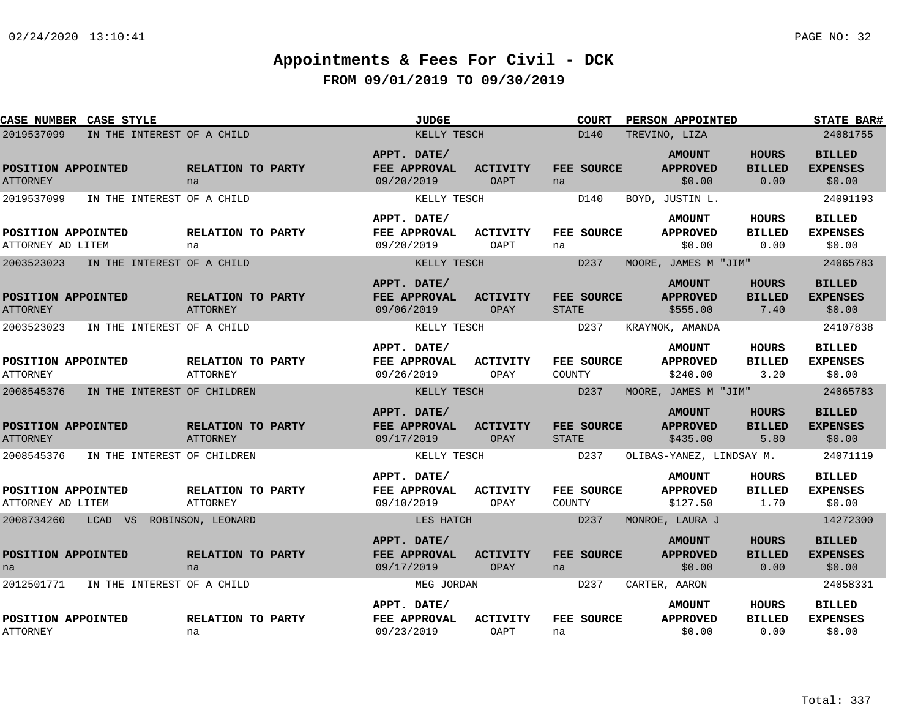| <b>CASE NUMBER CASE STYLE</b>           |                             |                                      | <b>JUDGE</b>                                     |                                | <b>COURT</b>               | PERSON APPOINTED                             |                                       | <b>STATE BAR#</b>                          |
|-----------------------------------------|-----------------------------|--------------------------------------|--------------------------------------------------|--------------------------------|----------------------------|----------------------------------------------|---------------------------------------|--------------------------------------------|
| 2019537099                              | IN THE INTEREST OF A CHILD  |                                      | KELLY TESCH                                      |                                | D140                       | TREVINO, LIZA                                |                                       | 24081755                                   |
| POSITION APPOINTED<br><b>ATTORNEY</b>   |                             | RELATION TO PARTY<br>na              | APPT. DATE/<br><b>FEE APPROVAL</b><br>09/20/2019 | <b>ACTIVITY</b><br><b>OAPT</b> | FEE SOURCE<br>na           | <b>AMOUNT</b><br><b>APPROVED</b><br>\$0.00   | <b>HOURS</b><br><b>BILLED</b><br>0.00 | <b>BILLED</b><br><b>EXPENSES</b><br>\$0.00 |
| 2019537099                              | IN THE INTEREST OF A CHILD  |                                      | KELLY TESCH                                      |                                | D140                       | BOYD, JUSTIN L.                              |                                       | 24091193                                   |
| POSITION APPOINTED<br>ATTORNEY AD LITEM |                             | RELATION TO PARTY<br>na              | APPT. DATE/<br>FEE APPROVAL<br>09/20/2019        | ACTIVITY<br><b>OAPT</b>        | FEE SOURCE<br>na           | <b>AMOUNT</b><br><b>APPROVED</b><br>\$0.00   | HOURS<br><b>BILLED</b><br>0.00        | <b>BILLED</b><br><b>EXPENSES</b><br>\$0.00 |
| 2003523023                              | IN THE INTEREST OF A CHILD  |                                      | KELLY TESCH                                      |                                | D237                       | MOORE, JAMES M "JIM"                         |                                       | 24065783                                   |
| POSITION APPOINTED<br><b>ATTORNEY</b>   |                             | RELATION TO PARTY<br>ATTORNEY        | APPT. DATE/<br><b>FEE APPROVAL</b><br>09/06/2019 | <b>ACTIVITY</b><br>OPAY        | FEE SOURCE<br><b>STATE</b> | <b>AMOUNT</b><br><b>APPROVED</b><br>\$555.00 | <b>HOURS</b><br><b>BILLED</b><br>7.40 | <b>BILLED</b><br><b>EXPENSES</b><br>\$0.00 |
| 2003523023                              | IN THE INTEREST OF A CHILD  |                                      | KELLY TESCH                                      |                                | D237                       | KRAYNOK, AMANDA                              |                                       | 24107838                                   |
| POSITION APPOINTED<br><b>ATTORNEY</b>   |                             | RELATION TO PARTY<br><b>ATTORNEY</b> | APPT. DATE/<br>FEE APPROVAL<br>09/26/2019        | <b>ACTIVITY</b><br>OPAY        | FEE SOURCE<br>COUNTY       | <b>AMOUNT</b><br><b>APPROVED</b><br>\$240.00 | <b>HOURS</b><br><b>BILLED</b><br>3.20 | <b>BILLED</b><br><b>EXPENSES</b><br>\$0.00 |
| 2008545376                              | IN THE INTEREST OF CHILDREN |                                      | KELLY TESCH                                      |                                | D237                       | MOORE, JAMES M "JIM"                         |                                       | 24065783                                   |
| POSITION APPOINTED<br><b>ATTORNEY</b>   |                             | RELATION TO PARTY<br><b>ATTORNEY</b> | APPT. DATE/<br>FEE APPROVAL<br>09/17/2019        | <b>ACTIVITY</b><br>OPAY        | FEE SOURCE<br><b>STATE</b> | <b>AMOUNT</b><br><b>APPROVED</b><br>\$435.00 | <b>HOURS</b><br><b>BILLED</b><br>5.80 | <b>BILLED</b><br><b>EXPENSES</b><br>\$0.00 |
| 2008545376                              | IN THE INTEREST OF CHILDREN |                                      | KELLY TESCH                                      |                                | D237                       | OLIBAS-YANEZ, LINDSAY M.                     |                                       | 24071119                                   |
| POSITION APPOINTED<br>ATTORNEY AD LITEM |                             | RELATION TO PARTY<br><b>ATTORNEY</b> | APPT. DATE/<br>FEE APPROVAL<br>09/10/2019        | ACTIVITY<br>OPAY               | FEE SOURCE<br>COUNTY       | <b>AMOUNT</b><br><b>APPROVED</b><br>\$127.50 | <b>HOURS</b><br><b>BILLED</b><br>1.70 | <b>BILLED</b><br><b>EXPENSES</b><br>\$0.00 |
| 2008734260                              | LCAD VS ROBINSON, LEONARD   |                                      | LES HATCH                                        |                                | D237                       | MONROE, LAURA J                              |                                       | 14272300                                   |
| POSITION APPOINTED<br>na                |                             | RELATION TO PARTY<br>na              | APPT. DATE/<br><b>FEE APPROVAL</b><br>09/17/2019 | <b>ACTIVITY</b><br>OPAY        | FEE SOURCE<br>na           | <b>AMOUNT</b><br><b>APPROVED</b><br>\$0.00   | <b>HOURS</b><br><b>BILLED</b><br>0.00 | <b>BILLED</b><br><b>EXPENSES</b><br>\$0.00 |
| 2012501771                              | IN THE INTEREST OF A CHILD  |                                      | MEG JORDAN                                       |                                | D237                       | CARTER, AARON                                |                                       | 24058331                                   |
| POSITION APPOINTED<br><b>ATTORNEY</b>   |                             | RELATION TO PARTY<br>na              | APPT. DATE/<br>FEE APPROVAL<br>09/23/2019        | <b>ACTIVITY</b><br><b>OAPT</b> | FEE SOURCE<br>na           | <b>AMOUNT</b><br><b>APPROVED</b><br>\$0.00   | HOURS<br><b>BILLED</b><br>0.00        | <b>BILLED</b><br><b>EXPENSES</b><br>\$0.00 |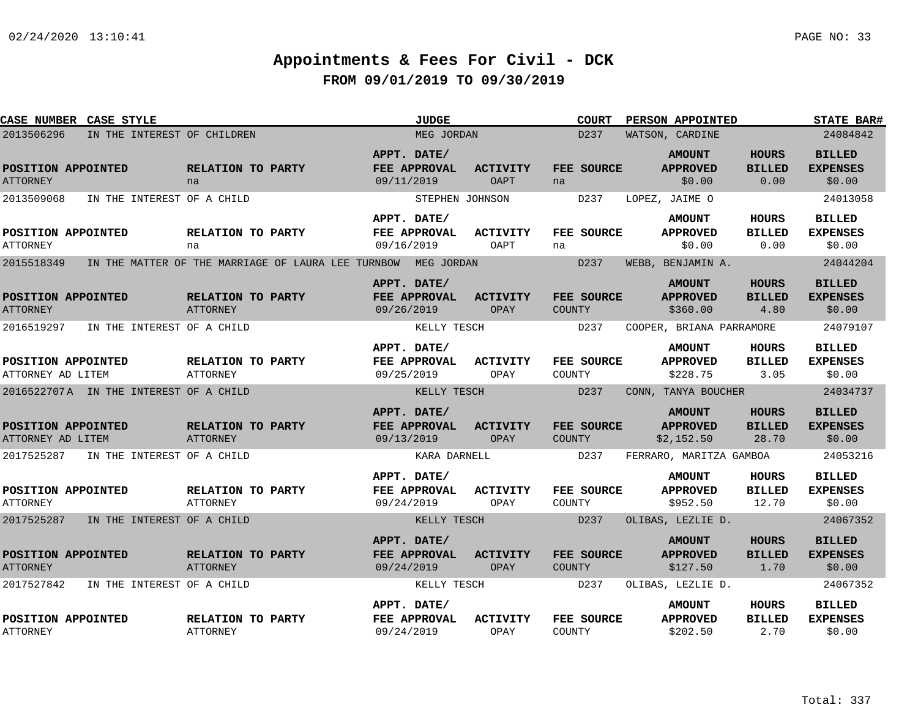| <b>CASE NUMBER CASE STYLE</b>           |                                        |                                      |                                                               | <b>JUDGE</b>                                     |                         | <b>COURT</b>                       | PERSON APPOINTED                               |                                        | <b>STATE BAR#</b>                          |
|-----------------------------------------|----------------------------------------|--------------------------------------|---------------------------------------------------------------|--------------------------------------------------|-------------------------|------------------------------------|------------------------------------------------|----------------------------------------|--------------------------------------------|
| 2013506296                              | IN THE INTEREST OF CHILDREN            |                                      |                                                               | MEG JORDAN                                       |                         | D237                               | WATSON, CARDINE                                |                                        | 24084842                                   |
| POSITION APPOINTED<br><b>ATTORNEY</b>   |                                        | RELATION TO PARTY<br>na              |                                                               | APPT. DATE/<br>FEE APPROVAL<br>09/11/2019        | <b>ACTIVITY</b><br>OAPT | FEE SOURCE<br>na                   | <b>AMOUNT</b><br><b>APPROVED</b><br>\$0.00     | <b>HOURS</b><br><b>BILLED</b><br>0.00  | <b>BILLED</b><br><b>EXPENSES</b><br>\$0.00 |
| 2013509068                              | IN THE INTEREST OF A CHILD             |                                      |                                                               |                                                  | STEPHEN JOHNSON         | D237                               | LOPEZ, JAIME O                                 |                                        | 24013058                                   |
| POSITION APPOINTED<br><b>ATTORNEY</b>   |                                        | RELATION TO PARTY<br>na              |                                                               | APPT. DATE/<br>FEE APPROVAL<br>09/16/2019        | ACTIVITY<br>OAPT        | <b>FEE SOURCE</b><br>na            | <b>AMOUNT</b><br><b>APPROVED</b><br>\$0.00     | HOURS<br><b>BILLED</b><br>0.00         | <b>BILLED</b><br><b>EXPENSES</b><br>\$0.00 |
| 2015518349                              |                                        |                                      | IN THE MATTER OF THE MARRIAGE OF LAURA LEE TURNBOW MEG JORDAN |                                                  |                         | D <sub>237</sub>                   | WEBB, BENJAMIN A.                              |                                        | 24044204                                   |
| POSITION APPOINTED<br><b>ATTORNEY</b>   |                                        | RELATION TO PARTY<br>ATTORNEY        |                                                               | APPT. DATE/<br>FEE APPROVAL<br>09/26/2019        | <b>ACTIVITY</b><br>OPAY | <b>FEE SOURCE</b><br><b>COUNTY</b> | <b>AMOUNT</b><br><b>APPROVED</b><br>\$360.00   | <b>HOURS</b><br><b>BILLED</b><br>4.80  | <b>BILLED</b><br><b>EXPENSES</b><br>\$0.00 |
| 2016519297                              | IN THE INTEREST OF A CHILD             |                                      |                                                               | KELLY TESCH                                      |                         | D237                               | COOPER, BRIANA PARRAMORE                       |                                        | 24079107                                   |
| POSITION APPOINTED<br>ATTORNEY AD LITEM |                                        | RELATION TO PARTY<br><b>ATTORNEY</b> |                                                               | APPT. DATE/<br>FEE APPROVAL<br>09/25/2019        | <b>ACTIVITY</b><br>OPAY | FEE SOURCE<br>COUNTY               | <b>AMOUNT</b><br><b>APPROVED</b><br>\$228.75   | <b>HOURS</b><br><b>BILLED</b><br>3.05  | <b>BILLED</b><br><b>EXPENSES</b><br>\$0.00 |
|                                         | 2016522707A IN THE INTEREST OF A CHILD |                                      |                                                               | KELLY TESCH                                      |                         | D237                               | CONN, TANYA BOUCHER                            |                                        | 24034737                                   |
| POSITION APPOINTED<br>ATTORNEY AD LITEM |                                        | RELATION TO PARTY<br><b>ATTORNEY</b> |                                                               | APPT. DATE/<br>FEE APPROVAL<br>09/13/2019        | <b>ACTIVITY</b><br>OPAY | FEE SOURCE<br><b>COUNTY</b>        | <b>AMOUNT</b><br><b>APPROVED</b><br>\$2,152.50 | <b>HOURS</b><br><b>BILLED</b><br>28.70 | <b>BILLED</b><br><b>EXPENSES</b><br>\$0.00 |
| 2017525287                              | IN THE INTEREST OF A CHILD             |                                      |                                                               |                                                  | KARA DARNELL            | D237                               | FERRARO, MARITZA GAMBOA                        |                                        | 24053216                                   |
| POSITION APPOINTED<br><b>ATTORNEY</b>   |                                        | RELATION TO PARTY<br><b>ATTORNEY</b> |                                                               | APPT. DATE/<br>FEE APPROVAL<br>09/24/2019        | <b>ACTIVITY</b><br>OPAY | FEE SOURCE<br>COUNTY               | <b>AMOUNT</b><br><b>APPROVED</b><br>\$952.50   | HOURS<br><b>BILLED</b><br>12.70        | <b>BILLED</b><br><b>EXPENSES</b><br>\$0.00 |
| 2017525287                              | IN THE INTEREST OF A CHILD             |                                      |                                                               | KELLY TESCH                                      |                         | D237                               | OLIBAS, LEZLIE D.                              |                                        | 24067352                                   |
| POSITION APPOINTED<br><b>ATTORNEY</b>   |                                        | RELATION TO PARTY<br><b>ATTORNEY</b> |                                                               | APPT. DATE/<br><b>FEE APPROVAL</b><br>09/24/2019 | <b>ACTIVITY</b><br>OPAY | <b>FEE SOURCE</b><br><b>COUNTY</b> | <b>AMOUNT</b><br><b>APPROVED</b><br>\$127.50   | <b>HOURS</b><br><b>BILLED</b><br>1.70  | <b>BILLED</b><br><b>EXPENSES</b><br>\$0.00 |
| 2017527842                              | IN THE INTEREST OF A CHILD             |                                      |                                                               | KELLY TESCH                                      |                         | D237                               | OLIBAS, LEZLIE D.                              |                                        | 24067352                                   |
| POSITION APPOINTED<br><b>ATTORNEY</b>   |                                        | RELATION TO PARTY<br><b>ATTORNEY</b> |                                                               | APPT. DATE/<br>FEE APPROVAL<br>09/24/2019        | <b>ACTIVITY</b><br>OPAY | FEE SOURCE<br>COUNTY               | <b>AMOUNT</b><br><b>APPROVED</b><br>\$202.50   | HOURS<br><b>BILLED</b><br>2.70         | <b>BILLED</b><br><b>EXPENSES</b><br>\$0.00 |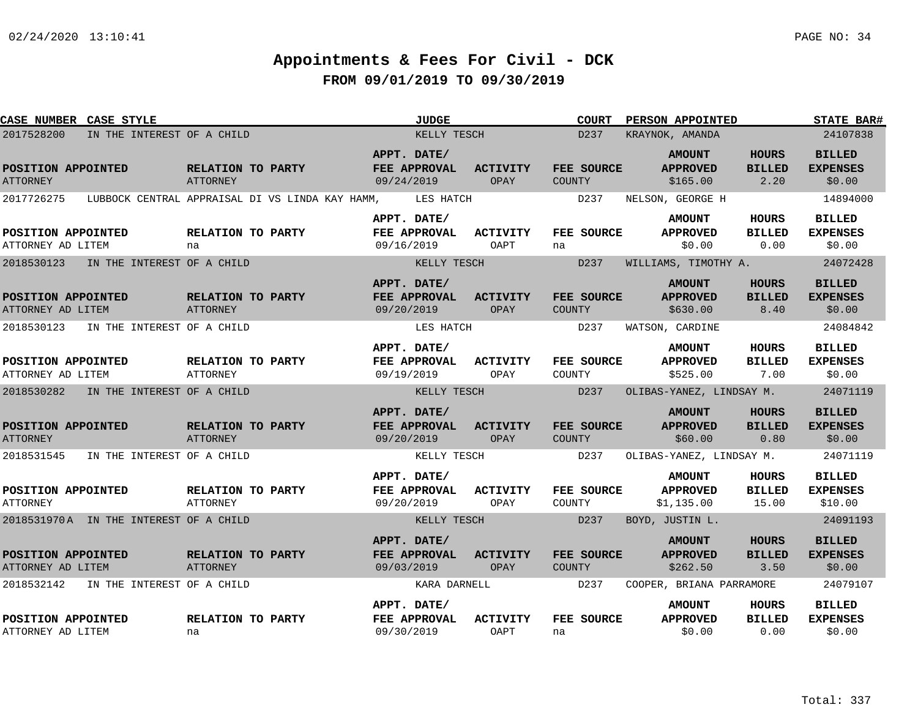| <b>CASE NUMBER CASE STYLE</b>           |                            |                                      |                                                 | <b>JUDGE</b>                              |                         | <b>COURT</b>                       | PERSON APPOINTED                               |                                       | <b>STATE BAR#</b>                           |
|-----------------------------------------|----------------------------|--------------------------------------|-------------------------------------------------|-------------------------------------------|-------------------------|------------------------------------|------------------------------------------------|---------------------------------------|---------------------------------------------|
| 2017528200                              | IN THE INTEREST OF A CHILD |                                      |                                                 | KELLY TESCH                               |                         | D237                               | KRAYNOK, AMANDA                                |                                       | 24107838                                    |
| POSITION APPOINTED<br><b>ATTORNEY</b>   |                            | <b>RELATION TO PARTY</b><br>ATTORNEY |                                                 | APPT. DATE/<br>FEE APPROVAL<br>09/24/2019 | <b>ACTIVITY</b><br>OPAY | <b>FEE SOURCE</b><br>COUNTY        | <b>AMOUNT</b><br><b>APPROVED</b><br>\$165.00   | <b>HOURS</b><br><b>BILLED</b><br>2.20 | <b>BILLED</b><br><b>EXPENSES</b><br>\$0.00  |
| 2017726275                              |                            |                                      | LUBBOCK CENTRAL APPRAISAL DI VS LINDA KAY HAMM, | LES HATCH                                 |                         | D <sub>237</sub>                   | NELSON, GEORGE H                               |                                       | 14894000                                    |
| POSITION APPOINTED<br>ATTORNEY AD LITEM |                            | RELATION TO PARTY<br>na              |                                                 | APPT. DATE/<br>FEE APPROVAL<br>09/16/2019 | ACTIVITY<br>OAPT        | <b>FEE SOURCE</b><br>na            | <b>AMOUNT</b><br><b>APPROVED</b><br>\$0.00     | HOURS<br><b>BILLED</b><br>0.00        | <b>BILLED</b><br><b>EXPENSES</b><br>\$0.00  |
| 2018530123                              | IN THE INTEREST OF A CHILD |                                      |                                                 | KELLY TESCH                               |                         | D237                               | WILLIAMS, TIMOTHY A.                           |                                       | 24072428                                    |
| POSITION APPOINTED<br>ATTORNEY AD LITEM |                            | RELATION TO PARTY<br>ATTORNEY        |                                                 | APPT. DATE/<br>FEE APPROVAL<br>09/20/2019 | <b>ACTIVITY</b><br>OPAY | FEE SOURCE<br>COUNTY               | <b>AMOUNT</b><br><b>APPROVED</b><br>\$630.00   | <b>HOURS</b><br><b>BILLED</b><br>8.40 | <b>BILLED</b><br><b>EXPENSES</b><br>\$0.00  |
| 2018530123                              | IN THE INTEREST OF A CHILD |                                      |                                                 | LES HATCH                                 |                         | D237                               | WATSON, CARDINE                                |                                       | 24084842                                    |
| POSITION APPOINTED<br>ATTORNEY AD LITEM |                            | <b>RELATION TO PARTY</b><br>ATTORNEY |                                                 | APPT. DATE/<br>FEE APPROVAL<br>09/19/2019 | ACTIVITY<br>OPAY        | FEE SOURCE<br>COUNTY               | <b>AMOUNT</b><br><b>APPROVED</b><br>\$525.00   | <b>HOURS</b><br><b>BILLED</b><br>7.00 | <b>BILLED</b><br><b>EXPENSES</b><br>\$0.00  |
| 2018530282 IN THE INTEREST OF A CHILD   |                            |                                      |                                                 | KELLY TESCH                               |                         | D <sub>237</sub>                   | OLIBAS-YANEZ, LINDSAY M. 24071119              |                                       |                                             |
| POSITION APPOINTED<br><b>ATTORNEY</b>   |                            | RELATION TO PARTY<br><b>ATTORNEY</b> |                                                 | APPT. DATE/<br>FEE APPROVAL<br>09/20/2019 | <b>ACTIVITY</b><br>OPAY | <b>FEE SOURCE</b><br>COUNTY        | <b>AMOUNT</b><br><b>APPROVED</b><br>\$60.00    | <b>HOURS</b><br><b>BILLED</b><br>0.80 | <b>BILLED</b><br><b>EXPENSES</b><br>\$0.00  |
| 2018531545                              | IN THE INTEREST OF A CHILD |                                      |                                                 | KELLY TESCH                               |                         | D237                               | OLIBAS-YANEZ, LINDSAY M.                       |                                       | 24071119                                    |
| POSITION APPOINTED<br>ATTORNEY          |                            | RELATION TO PARTY<br>ATTORNEY        |                                                 | APPT. DATE/<br>FEE APPROVAL<br>09/20/2019 | <b>ACTIVITY</b><br>OPAY | FEE SOURCE<br>COUNTY               | <b>AMOUNT</b><br><b>APPROVED</b><br>\$1,135.00 | HOURS<br><b>BILLED</b><br>15.00       | <b>BILLED</b><br><b>EXPENSES</b><br>\$10.00 |
| 2018531970A IN THE INTEREST OF A CHILD  |                            |                                      |                                                 | KELLY TESCH                               |                         | D237                               | BOYD, JUSTIN L.                                |                                       | 24091193                                    |
| POSITION APPOINTED<br>ATTORNEY AD LITEM |                            | RELATION TO PARTY<br>ATTORNEY        |                                                 | APPT. DATE/<br>FEE APPROVAL<br>09/03/2019 | <b>ACTIVITY</b><br>OPAY | <b>FEE SOURCE</b><br><b>COUNTY</b> | <b>AMOUNT</b><br><b>APPROVED</b><br>\$262.50   | <b>HOURS</b><br><b>BILLED</b><br>3.50 | <b>BILLED</b><br><b>EXPENSES</b><br>\$0.00  |
| 2018532142                              | IN THE INTEREST OF A CHILD |                                      |                                                 | KARA DARNELL                              |                         | D237                               | COOPER, BRIANA PARRAMORE                       |                                       | 24079107                                    |
| POSITION APPOINTED<br>ATTORNEY AD LITEM |                            | RELATION TO PARTY<br>na              |                                                 | APPT. DATE/<br>FEE APPROVAL<br>09/30/2019 | ACTIVITY<br>OAPT        | <b>FEE SOURCE</b><br>na            | <b>AMOUNT</b><br><b>APPROVED</b><br>\$0.00     | HOURS<br><b>BILLED</b><br>0.00        | <b>BILLED</b><br><b>EXPENSES</b><br>\$0.00  |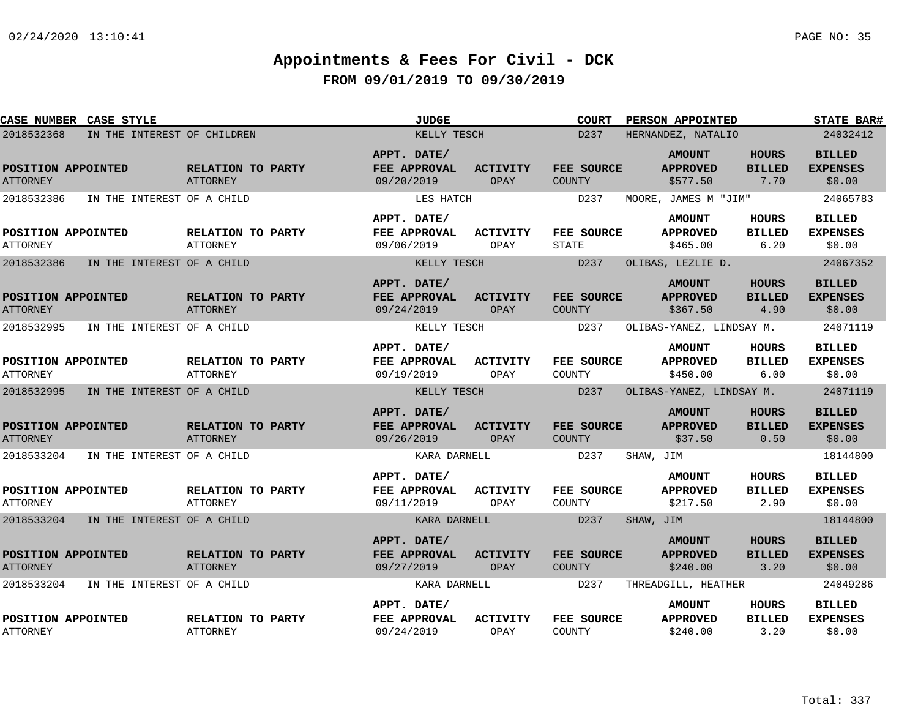|                                       | <b>CASE NUMBER CASE STYLE</b> |                                      | <b>JUDGE</b>                              |                         | <b>COURT</b>               | PERSON APPOINTED                             |                                       | <b>STATE BAR#</b>                          |
|---------------------------------------|-------------------------------|--------------------------------------|-------------------------------------------|-------------------------|----------------------------|----------------------------------------------|---------------------------------------|--------------------------------------------|
| 2018532368                            | IN THE INTEREST OF CHILDREN   |                                      | KELLY TESCH                               |                         | D <sub>237</sub>           | HERNANDEZ, NATALIO                           |                                       | 24032412                                   |
| POSITION APPOINTED<br><b>ATTORNEY</b> |                               | RELATION TO PARTY<br><b>ATTORNEY</b> | APPT. DATE/<br>FEE APPROVAL<br>09/20/2019 | ACTIVITY<br>OPAY        | FEE SOURCE<br>COUNTY       | <b>AMOUNT</b><br><b>APPROVED</b><br>\$577.50 | <b>HOURS</b><br><b>BILLED</b><br>7.70 | <b>BILLED</b><br><b>EXPENSES</b><br>\$0.00 |
| 2018532386                            | IN THE INTEREST OF A CHILD    |                                      | LES HATCH                                 |                         | D237                       | MOORE, JAMES M "JIM"                         |                                       | 24065783                                   |
| POSITION APPOINTED<br><b>ATTORNEY</b> |                               | RELATION TO PARTY<br>ATTORNEY        | APPT. DATE/<br>FEE APPROVAL<br>09/06/2019 | ACTIVITY<br>OPAY        | FEE SOURCE<br><b>STATE</b> | <b>AMOUNT</b><br><b>APPROVED</b><br>\$465.00 | <b>HOURS</b><br><b>BILLED</b><br>6.20 | <b>BILLED</b><br><b>EXPENSES</b><br>\$0.00 |
| 2018532386                            | IN THE INTEREST OF A CHILD    |                                      | KELLY TESCH                               |                         | D237                       | OLIBAS, LEZLIE D.                            |                                       | 24067352                                   |
| POSITION APPOINTED<br><b>ATTORNEY</b> |                               | RELATION TO PARTY<br>ATTORNEY        | APPT. DATE/<br>FEE APPROVAL<br>09/24/2019 | <b>ACTIVITY</b><br>OPAY | FEE SOURCE<br>COUNTY       | <b>AMOUNT</b><br><b>APPROVED</b><br>\$367.50 | <b>HOURS</b><br><b>BILLED</b><br>4.90 | <b>BILLED</b><br><b>EXPENSES</b><br>\$0.00 |
| 2018532995                            | IN THE INTEREST OF A CHILD    |                                      | KELLY TESCH                               |                         | D237                       | OLIBAS-YANEZ, LINDSAY M.                     |                                       | 24071119                                   |
| POSITION APPOINTED<br><b>ATTORNEY</b> |                               | RELATION TO PARTY<br><b>ATTORNEY</b> | APPT. DATE/<br>FEE APPROVAL<br>09/19/2019 | <b>ACTIVITY</b><br>OPAY | FEE SOURCE<br>COUNTY       | <b>AMOUNT</b><br><b>APPROVED</b><br>\$450.00 | <b>HOURS</b><br><b>BILLED</b><br>6.00 | <b>BILLED</b><br><b>EXPENSES</b><br>\$0.00 |
| 2018532995                            | IN THE INTEREST OF A CHILD    |                                      | KELLY TESCH                               |                         | D237                       | OLIBAS-YANEZ, LINDSAY M.                     |                                       | 24071119                                   |
| POSITION APPOINTED<br><b>ATTORNEY</b> |                               | RELATION TO PARTY<br><b>ATTORNEY</b> | APPT. DATE/<br>FEE APPROVAL<br>09/26/2019 | <b>ACTIVITY</b><br>OPAY | FEE SOURCE<br>COUNTY       | <b>AMOUNT</b><br><b>APPROVED</b><br>\$37.50  | <b>HOURS</b><br><b>BILLED</b><br>0.50 | <b>BILLED</b><br><b>EXPENSES</b><br>\$0.00 |
| 2018533204                            | IN THE INTEREST OF A CHILD    |                                      | KARA DARNELL                              |                         | D237                       | SHAW, JIM                                    |                                       | 18144800                                   |
| POSITION APPOINTED<br><b>ATTORNEY</b> |                               | RELATION TO PARTY<br><b>ATTORNEY</b> | APPT. DATE/<br>FEE APPROVAL<br>09/11/2019 | <b>ACTIVITY</b><br>OPAY | FEE SOURCE<br>COUNTY       | <b>AMOUNT</b><br><b>APPROVED</b><br>\$217.50 | <b>HOURS</b><br><b>BILLED</b><br>2.90 | <b>BILLED</b><br><b>EXPENSES</b><br>\$0.00 |
| 2018533204                            | IN THE INTEREST OF A CHILD    |                                      | KARA DARNELL                              |                         | D237                       | SHAW, JIM                                    |                                       | 18144800                                   |
| POSITION APPOINTED<br><b>ATTORNEY</b> |                               | RELATION TO PARTY<br>ATTORNEY        | APPT. DATE/<br>FEE APPROVAL<br>09/27/2019 | <b>ACTIVITY</b><br>OPAY | FEE SOURCE<br>COUNTY       | <b>AMOUNT</b><br><b>APPROVED</b><br>\$240.00 | <b>HOURS</b><br><b>BILLED</b><br>3.20 | <b>BILLED</b><br><b>EXPENSES</b><br>\$0.00 |
| 2018533204                            | IN THE INTEREST OF A CHILD    |                                      | KARA DARNELL                              |                         | D237                       | THREADGILL, HEATHER                          |                                       | 24049286                                   |
| POSITION APPOINTED<br><b>ATTORNEY</b> |                               | RELATION TO PARTY<br><b>ATTORNEY</b> | APPT. DATE/<br>FEE APPROVAL<br>09/24/2019 | <b>ACTIVITY</b><br>OPAY | FEE SOURCE<br>COUNTY       | <b>AMOUNT</b><br><b>APPROVED</b><br>\$240.00 | HOURS<br><b>BILLED</b><br>3.20        | <b>BILLED</b><br><b>EXPENSES</b><br>\$0.00 |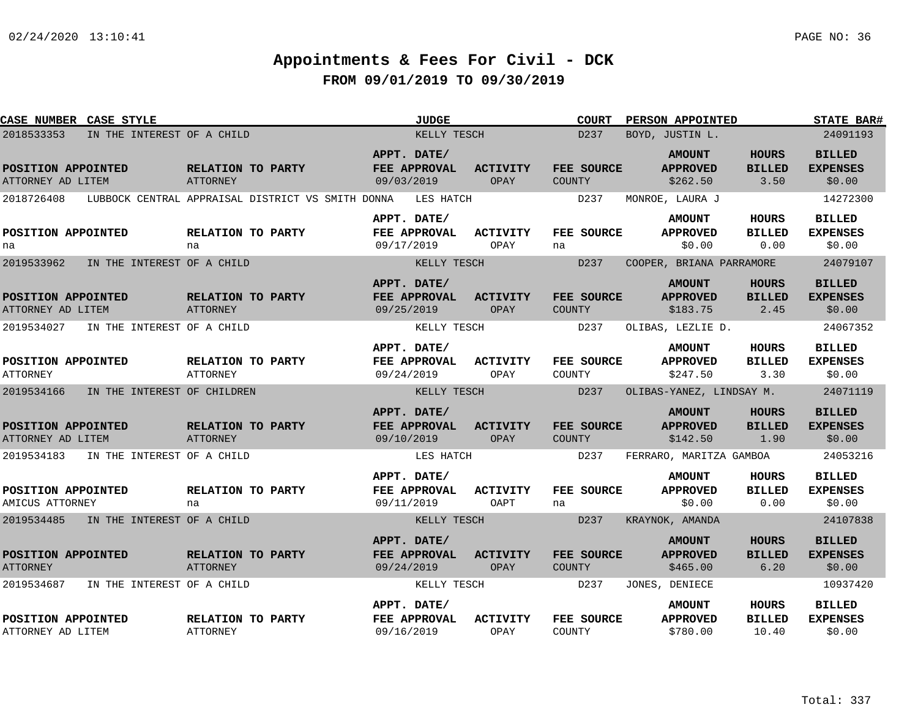| CASE NUMBER CASE STYLE                  |                                                   |                                      |                           | <b>JUDGE</b> |                         | <b>COURT</b>                       | PERSON APPOINTED                             |                                       | <b>STATE BAR#</b>                          |
|-----------------------------------------|---------------------------------------------------|--------------------------------------|---------------------------|--------------|-------------------------|------------------------------------|----------------------------------------------|---------------------------------------|--------------------------------------------|
| 2018533353                              | IN THE INTEREST OF A CHILD                        |                                      |                           | KELLY TESCH  |                         | D237                               | BOYD, JUSTIN L.                              |                                       | 24091193                                   |
| POSITION APPOINTED<br>ATTORNEY AD LITEM |                                                   | RELATION TO PARTY<br>ATTORNEY        | APPT. DATE/<br>09/03/2019 | FEE APPROVAL | <b>ACTIVITY</b><br>OPAY | FEE SOURCE<br><b>COUNTY</b>        | <b>AMOUNT</b><br><b>APPROVED</b><br>\$262.50 | <b>HOURS</b><br><b>BILLED</b><br>3.50 | <b>BILLED</b><br><b>EXPENSES</b><br>\$0.00 |
| 2018726408                              | LUBBOCK CENTRAL APPRAISAL DISTRICT VS SMITH DONNA |                                      |                           | LES HATCH    |                         | D237                               | MONROE, LAURA J                              |                                       | 14272300                                   |
| POSITION APPOINTED<br>na                |                                                   | <b>RELATION TO PARTY</b><br>na       | APPT. DATE/<br>09/17/2019 | FEE APPROVAL | <b>ACTIVITY</b><br>OPAY | FEE SOURCE<br>na                   | <b>AMOUNT</b><br><b>APPROVED</b><br>\$0.00   | <b>HOURS</b><br><b>BILLED</b><br>0.00 | <b>BILLED</b><br><b>EXPENSES</b><br>\$0.00 |
| 2019533962                              | IN THE INTEREST OF A CHILD                        |                                      |                           | KELLY TESCH  |                         | D237                               | COOPER, BRIANA PARRAMORE                     |                                       | 24079107                                   |
| POSITION APPOINTED<br>ATTORNEY AD LITEM |                                                   | RELATION TO PARTY<br>ATTORNEY        | APPT. DATE/<br>09/25/2019 | FEE APPROVAL | <b>ACTIVITY</b><br>OPAY | FEE SOURCE<br><b>COUNTY</b>        | <b>AMOUNT</b><br><b>APPROVED</b><br>\$183.75 | <b>HOURS</b><br><b>BILLED</b><br>2.45 | <b>BILLED</b><br><b>EXPENSES</b><br>\$0.00 |
| 2019534027                              | IN THE INTEREST OF A CHILD                        |                                      |                           | KELLY TESCH  |                         | D237                               | OLIBAS, LEZLIE D.                            |                                       | 24067352                                   |
| POSITION APPOINTED<br><b>ATTORNEY</b>   |                                                   | RELATION TO PARTY<br>ATTORNEY        | APPT. DATE/<br>09/24/2019 | FEE APPROVAL | <b>ACTIVITY</b><br>OPAY | FEE SOURCE<br>COUNTY               | <b>AMOUNT</b><br><b>APPROVED</b><br>\$247.50 | <b>HOURS</b><br><b>BILLED</b><br>3.30 | <b>BILLED</b><br><b>EXPENSES</b><br>\$0.00 |
| 2019534166                              | IN THE INTEREST OF CHILDREN                       |                                      |                           | KELLY TESCH  |                         | D237                               | OLIBAS-YANEZ, LINDSAY M.                     |                                       | 24071119                                   |
| POSITION APPOINTED<br>ATTORNEY AD LITEM |                                                   | RELATION TO PARTY<br>ATTORNEY        | APPT. DATE/<br>09/10/2019 | FEE APPROVAL | <b>ACTIVITY</b><br>OPAY | <b>FEE SOURCE</b><br><b>COUNTY</b> | <b>AMOUNT</b><br><b>APPROVED</b><br>\$142.50 | <b>HOURS</b><br><b>BILLED</b><br>1.90 | <b>BILLED</b><br><b>EXPENSES</b><br>\$0.00 |
| 2019534183                              | IN THE INTEREST OF A CHILD                        |                                      |                           | LES HATCH    |                         | D <sub>2</sub> 37                  | FERRARO, MARITZA GAMBOA                      |                                       | 24053216                                   |
| POSITION APPOINTED<br>AMICUS ATTORNEY   |                                                   | RELATION TO PARTY<br>na              | APPT. DATE/<br>09/11/2019 | FEE APPROVAL | <b>ACTIVITY</b><br>OAPT | FEE SOURCE<br>na                   | <b>AMOUNT</b><br><b>APPROVED</b><br>\$0.00   | HOURS<br><b>BILLED</b><br>0.00        | <b>BILLED</b><br><b>EXPENSES</b><br>\$0.00 |
| 2019534485                              | IN THE INTEREST OF A CHILD                        |                                      |                           | KELLY TESCH  |                         | D237                               | KRAYNOK, AMANDA                              |                                       | 24107838                                   |
| POSITION APPOINTED<br><b>ATTORNEY</b>   |                                                   | RELATION TO PARTY<br>ATTORNEY        | APPT. DATE/<br>09/24/2019 | FEE APPROVAL | <b>ACTIVITY</b><br>OPAY | FEE SOURCE<br><b>COUNTY</b>        | <b>AMOUNT</b><br><b>APPROVED</b><br>\$465.00 | <b>HOURS</b><br><b>BILLED</b><br>6.20 | <b>BILLED</b><br><b>EXPENSES</b><br>\$0.00 |
| 2019534687                              | IN THE INTEREST OF A CHILD                        |                                      |                           | KELLY TESCH  |                         | D237                               | JONES, DENIECE                               |                                       | 10937420                                   |
| POSITION APPOINTED<br>ATTORNEY AD LITEM |                                                   | RELATION TO PARTY<br><b>ATTORNEY</b> | APPT. DATE/<br>09/16/2019 | FEE APPROVAL | <b>ACTIVITY</b><br>OPAY | FEE SOURCE<br>COUNTY               | <b>AMOUNT</b><br><b>APPROVED</b><br>\$780.00 | HOURS<br><b>BILLED</b><br>10.40       | <b>BILLED</b><br><b>EXPENSES</b><br>\$0.00 |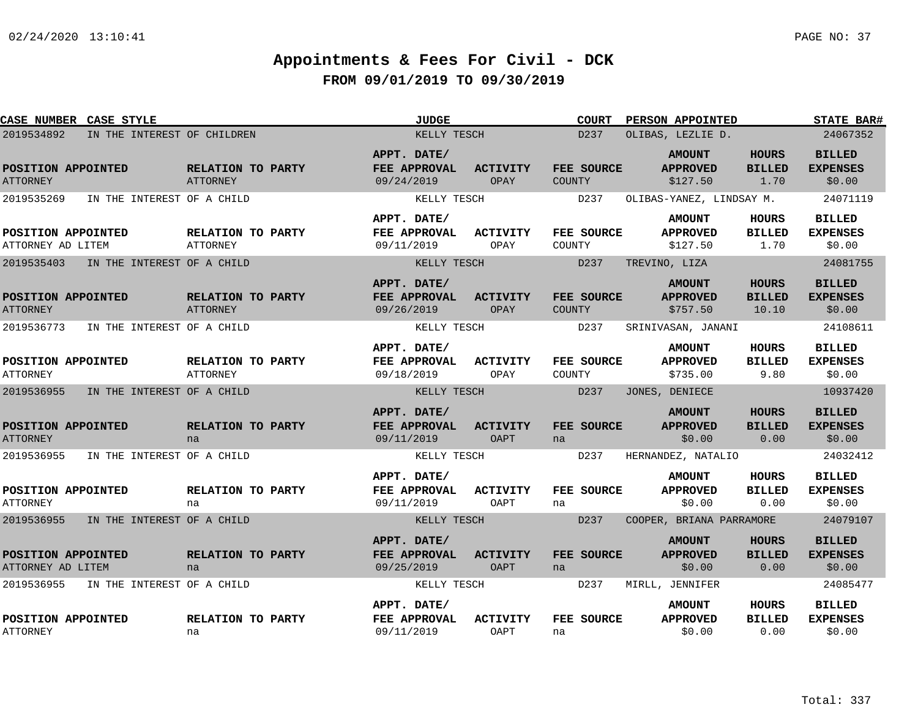| <b>CASE NUMBER CASE STYLE</b>             |                                      | <b>JUDGE</b>                              |                                | <b>COURT</b>         | PERSON APPOINTED                             |                                        | <b>STATE BAR#</b>                          |
|-------------------------------------------|--------------------------------------|-------------------------------------------|--------------------------------|----------------------|----------------------------------------------|----------------------------------------|--------------------------------------------|
| 2019534892<br>IN THE INTEREST OF CHILDREN |                                      | KELLY TESCH                               |                                | D237                 | OLIBAS, LEZLIE D.                            | 24067352                               |                                            |
| POSITION APPOINTED<br><b>ATTORNEY</b>     | RELATION TO PARTY<br><b>ATTORNEY</b> | APPT. DATE/<br>FEE APPROVAL<br>09/24/2019 | <b>ACTIVITY</b><br>OPAY        | FEE SOURCE<br>COUNTY | <b>AMOUNT</b><br><b>APPROVED</b><br>\$127.50 | <b>HOURS</b><br><b>BILLED</b><br>1.70  | <b>BILLED</b><br><b>EXPENSES</b><br>\$0.00 |
| 2019535269<br>IN THE INTEREST OF A CHILD  |                                      | KELLY TESCH                               |                                | D237                 | OLIBAS-YANEZ, LINDSAY M.                     |                                        | 24071119                                   |
| POSITION APPOINTED<br>ATTORNEY AD LITEM   | RELATION TO PARTY<br>ATTORNEY        | APPT. DATE/<br>FEE APPROVAL<br>09/11/2019 | ACTIVITY<br>OPAY               | FEE SOURCE<br>COUNTY | <b>AMOUNT</b><br><b>APPROVED</b><br>\$127.50 | HOURS<br><b>BILLED</b><br>1.70         | <b>BILLED</b><br><b>EXPENSES</b><br>\$0.00 |
| 2019535403<br>IN THE INTEREST OF A CHILD  |                                      | KELLY TESCH                               |                                | D237                 | TREVINO, LIZA                                |                                        | 24081755                                   |
| POSITION APPOINTED<br><b>ATTORNEY</b>     | RELATION TO PARTY<br>ATTORNEY        | APPT. DATE/<br>FEE APPROVAL<br>09/26/2019 | <b>ACTIVITY</b><br>OPAY        | FEE SOURCE<br>COUNTY | <b>AMOUNT</b><br><b>APPROVED</b><br>\$757.50 | <b>HOURS</b><br><b>BILLED</b><br>10.10 | <b>BILLED</b><br><b>EXPENSES</b><br>\$0.00 |
| 2019536773<br>IN THE INTEREST OF A CHILD  |                                      | KELLY TESCH                               |                                | D237                 | SRINIVASAN, JANANI                           |                                        | 24108611                                   |
| POSITION APPOINTED<br><b>ATTORNEY</b>     | RELATION TO PARTY<br><b>ATTORNEY</b> | APPT. DATE/<br>FEE APPROVAL<br>09/18/2019 | <b>ACTIVITY</b><br>OPAY        | FEE SOURCE<br>COUNTY | <b>AMOUNT</b><br><b>APPROVED</b><br>\$735.00 | <b>HOURS</b><br><b>BILLED</b><br>9.80  | <b>BILLED</b><br><b>EXPENSES</b><br>\$0.00 |
| 2019536955<br>IN THE INTEREST OF A CHILD  |                                      | KELLY TESCH                               |                                | D237                 | JONES, DENIECE                               |                                        | 10937420                                   |
| POSITION APPOINTED<br><b>ATTORNEY</b>     | RELATION TO PARTY<br>na              | APPT. DATE/<br>FEE APPROVAL<br>09/11/2019 | <b>ACTIVITY</b><br><b>OAPT</b> | FEE SOURCE<br>na     | <b>AMOUNT</b><br><b>APPROVED</b><br>\$0.00   | <b>HOURS</b><br><b>BILLED</b><br>0.00  | <b>BILLED</b><br><b>EXPENSES</b><br>\$0.00 |
| 2019536955<br>IN THE INTEREST OF A CHILD  |                                      | KELLY TESCH                               |                                | D237                 | HERNANDEZ, NATALIO                           |                                        | 24032412                                   |
| POSITION APPOINTED<br><b>ATTORNEY</b>     | RELATION TO PARTY<br>na              | APPT. DATE/<br>FEE APPROVAL<br>09/11/2019 | <b>ACTIVITY</b><br>OAPT        | FEE SOURCE<br>na     | <b>AMOUNT</b><br><b>APPROVED</b><br>\$0.00   | <b>HOURS</b><br><b>BILLED</b><br>0.00  | <b>BILLED</b><br><b>EXPENSES</b><br>\$0.00 |
| 2019536955<br>IN THE INTEREST OF A CHILD  |                                      | KELLY TESCH                               |                                | D237                 | COOPER, BRIANA PARRAMORE                     |                                        | 24079107                                   |
| POSITION APPOINTED<br>ATTORNEY AD LITEM   | RELATION TO PARTY<br>na              | APPT. DATE/<br>FEE APPROVAL<br>09/25/2019 | <b>ACTIVITY</b><br><b>OAPT</b> | FEE SOURCE<br>na     | <b>AMOUNT</b><br><b>APPROVED</b><br>\$0.00   | <b>HOURS</b><br><b>BILLED</b><br>0.00  | <b>BILLED</b><br><b>EXPENSES</b><br>\$0.00 |
| 2019536955<br>IN THE INTEREST OF A CHILD  |                                      | KELLY TESCH                               |                                | D237                 | MIRLL, JENNIFER                              |                                        | 24085477                                   |
| POSITION APPOINTED<br><b>ATTORNEY</b>     | RELATION TO PARTY<br>na              | APPT. DATE/<br>FEE APPROVAL<br>09/11/2019 | <b>ACTIVITY</b><br>OAPT        | FEE SOURCE<br>na     | <b>AMOUNT</b><br><b>APPROVED</b><br>\$0.00   | <b>HOURS</b><br><b>BILLED</b><br>0.00  | <b>BILLED</b><br><b>EXPENSES</b><br>\$0.00 |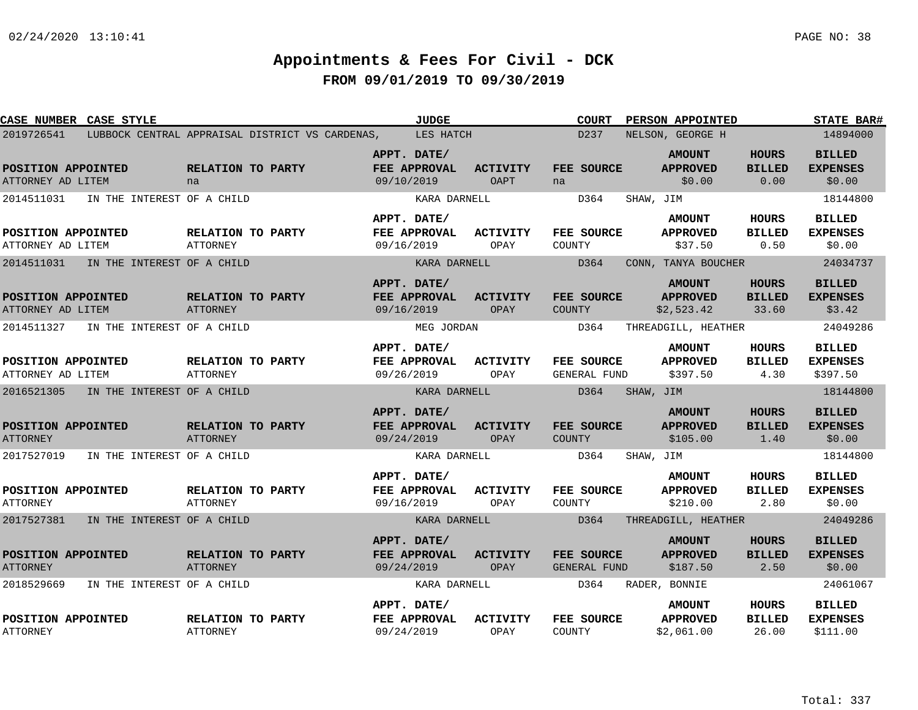| <b>CASE NUMBER CASE STYLE</b>           |                            |                                                           | <b>JUDGE</b>                              |                                | COURT                       | PERSON APPOINTED                               |                                        | <b>STATE BAR#</b>                            |
|-----------------------------------------|----------------------------|-----------------------------------------------------------|-------------------------------------------|--------------------------------|-----------------------------|------------------------------------------------|----------------------------------------|----------------------------------------------|
| 2019726541                              |                            | LUBBOCK CENTRAL APPRAISAL DISTRICT VS CARDENAS, LES HATCH |                                           |                                | D237                        | NELSON, GEORGE H                               |                                        | 14894000                                     |
| POSITION APPOINTED<br>ATTORNEY AD LITEM |                            | RELATION TO PARTY<br>na                                   | APPT. DATE/<br>FEE APPROVAL<br>09/10/2019 | ACTIVITY<br><b>OAPT</b>        | FEE SOURCE<br>na            | <b>AMOUNT</b><br><b>APPROVED</b><br>\$0.00     | <b>HOURS</b><br><b>BILLED</b><br>0.00  | <b>BILLED</b><br><b>EXPENSES</b><br>\$0.00   |
| 2014511031                              | IN THE INTEREST OF A CHILD |                                                           | KARA DARNELL                              |                                | D364                        | SHAW, JIM                                      |                                        | 18144800                                     |
| POSITION APPOINTED<br>ATTORNEY AD LITEM |                            | RELATION TO PARTY<br>ATTORNEY                             | APPT. DATE/<br>FEE APPROVAL<br>09/16/2019 | ACTIVITY<br>OPAY               | FEE SOURCE<br>COUNTY        | <b>AMOUNT</b><br><b>APPROVED</b><br>\$37.50    | HOURS<br><b>BILLED</b><br>0.50         | <b>BILLED</b><br><b>EXPENSES</b><br>\$0.00   |
| 2014511031                              | IN THE INTEREST OF A CHILD |                                                           | KARA DARNELL                              |                                | D364                        | CONN, TANYA BOUCHER                            |                                        | 24034737                                     |
| POSITION APPOINTED<br>ATTORNEY AD LITEM |                            | RELATION TO PARTY<br>ATTORNEY                             | APPT. DATE/<br>FEE APPROVAL<br>09/16/2019 | <b>ACTIVITY</b><br>OPAY        | FEE SOURCE<br><b>COUNTY</b> | <b>AMOUNT</b><br><b>APPROVED</b><br>\$2,523.42 | <b>HOURS</b><br><b>BILLED</b><br>33.60 | <b>BILLED</b><br><b>EXPENSES</b><br>\$3.42   |
| 2014511327                              | IN THE INTEREST OF A CHILD |                                                           | MEG JORDAN                                |                                | D364                        | THREADGILL, HEATHER                            |                                        | 24049286                                     |
| POSITION APPOINTED<br>ATTORNEY AD LITEM |                            | RELATION TO PARTY<br>ATTORNEY                             | APPT. DATE/<br>FEE APPROVAL<br>09/26/2019 | <b>ACTIVITY</b><br>OPAY        | FEE SOURCE<br>GENERAL FUND  | <b>AMOUNT</b><br><b>APPROVED</b><br>\$397.50   | <b>HOURS</b><br><b>BILLED</b><br>4.30  | <b>BILLED</b><br><b>EXPENSES</b><br>\$397.50 |
| 2016521305                              | IN THE INTEREST OF A CHILD |                                                           | KARA DARNELL                              |                                | D364                        | SHAW, JIM                                      |                                        | 18144800                                     |
| POSITION APPOINTED<br><b>ATTORNEY</b>   |                            | RELATION TO PARTY<br>ATTORNEY                             | APPT. DATE/<br>FEE APPROVAL<br>09/24/2019 | <b>ACTIVITY</b><br><b>OPAY</b> | FEE SOURCE<br><b>COUNTY</b> | <b>AMOUNT</b><br><b>APPROVED</b><br>\$105.00   | <b>HOURS</b><br><b>BILLED</b><br>1.40  | <b>BILLED</b><br><b>EXPENSES</b><br>\$0.00   |
| 2017527019                              | IN THE INTEREST OF A CHILD |                                                           | KARA DARNELL                              |                                | D364                        | SHAW, JIM                                      |                                        | 18144800                                     |
| POSITION APPOINTED<br><b>ATTORNEY</b>   |                            | RELATION TO PARTY<br>ATTORNEY                             | APPT. DATE/<br>FEE APPROVAL<br>09/16/2019 | <b>ACTIVITY</b><br>OPAY        | FEE SOURCE<br>COUNTY        | <b>AMOUNT</b><br><b>APPROVED</b><br>\$210.00   | <b>HOURS</b><br><b>BILLED</b><br>2.80  | <b>BILLED</b><br><b>EXPENSES</b><br>\$0.00   |
| 2017527381                              | IN THE INTEREST OF A CHILD |                                                           | KARA DARNELL                              |                                | D364                        | THREADGILL, HEATHER                            |                                        | 24049286                                     |
| POSITION APPOINTED<br><b>ATTORNEY</b>   |                            | RELATION TO PARTY<br><b>ATTORNEY</b>                      | APPT. DATE/<br>FEE APPROVAL<br>09/24/2019 | ACTIVITY<br>OPAY               | FEE SOURCE<br>GENERAL FUND  | <b>AMOUNT</b><br><b>APPROVED</b><br>\$187.50   | <b>HOURS</b><br><b>BILLED</b><br>2.50  | <b>BILLED</b><br><b>EXPENSES</b><br>\$0.00   |
| 2018529669                              | IN THE INTEREST OF A CHILD |                                                           | KARA DARNELL                              |                                | D364                        | RADER, BONNIE                                  |                                        | 24061067                                     |
| POSITION APPOINTED<br><b>ATTORNEY</b>   |                            | RELATION TO PARTY<br>ATTORNEY                             | APPT. DATE/<br>FEE APPROVAL<br>09/24/2019 | <b>ACTIVITY</b><br>OPAY        | FEE SOURCE<br>COUNTY        | <b>AMOUNT</b><br><b>APPROVED</b><br>\$2,061.00 | HOURS<br><b>BILLED</b><br>26.00        | <b>BILLED</b><br><b>EXPENSES</b><br>\$111.00 |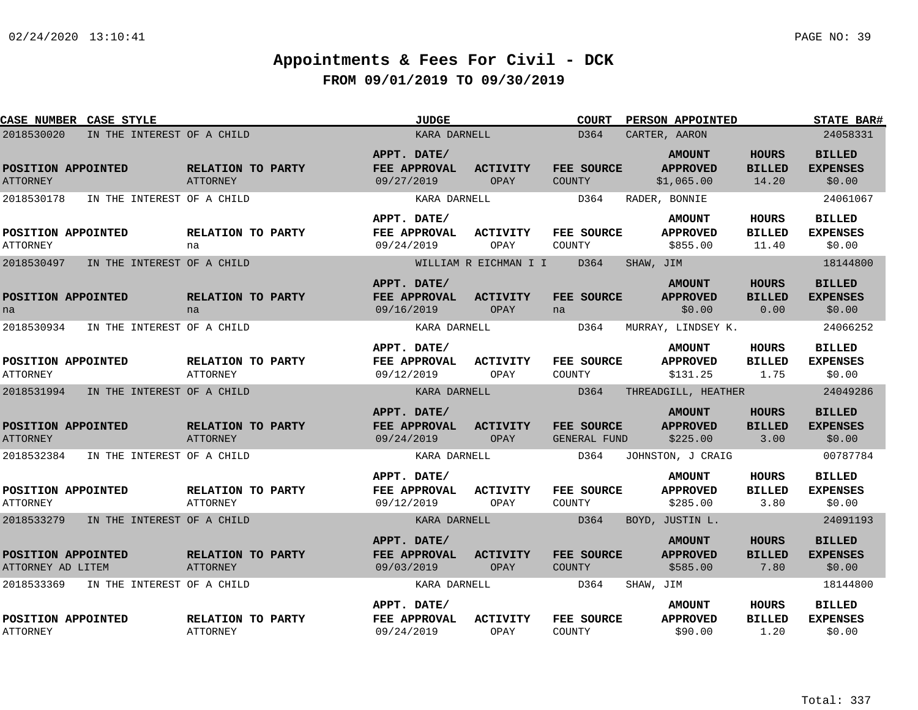| CASE NUMBER CASE STYLE                  |                            |                                      | <b>JUDGE</b>                              |                         | <b>COURT</b>                | <b>PERSON APPOINTED</b>                        |                                        | <b>STATE BAR#</b>                          |
|-----------------------------------------|----------------------------|--------------------------------------|-------------------------------------------|-------------------------|-----------------------------|------------------------------------------------|----------------------------------------|--------------------------------------------|
| 2018530020                              | IN THE INTEREST OF A CHILD |                                      | KARA DARNELL                              |                         | D364                        | CARTER, AARON                                  |                                        | 24058331                                   |
| POSITION APPOINTED<br><b>ATTORNEY</b>   |                            | RELATION TO PARTY<br><b>ATTORNEY</b> | APPT. DATE/<br>FEE APPROVAL<br>09/27/2019 | <b>ACTIVITY</b><br>OPAY | FEE SOURCE<br>COUNTY        | <b>AMOUNT</b><br><b>APPROVED</b><br>\$1,065.00 | <b>HOURS</b><br><b>BILLED</b><br>14.20 | <b>BILLED</b><br><b>EXPENSES</b><br>\$0.00 |
| 2018530178                              | IN THE INTEREST OF A CHILD |                                      | KARA DARNELL                              |                         | D364                        | RADER, BONNIE                                  |                                        | 24061067                                   |
| POSITION APPOINTED<br><b>ATTORNEY</b>   |                            | RELATION TO PARTY<br>na              | APPT. DATE/<br>FEE APPROVAL<br>09/24/2019 | <b>ACTIVITY</b><br>OPAY | FEE SOURCE<br>COUNTY        | <b>AMOUNT</b><br><b>APPROVED</b><br>\$855.00   | HOURS<br><b>BILLED</b><br>11.40        | <b>BILLED</b><br><b>EXPENSES</b><br>\$0.00 |
| 2018530497                              | IN THE INTEREST OF A CHILD |                                      |                                           | WILLIAM R EICHMAN I I   | D364                        | SHAW, JIM                                      |                                        | 18144800                                   |
| POSITION APPOINTED<br>na                |                            | RELATION TO PARTY<br>na              | APPT. DATE/<br>FEE APPROVAL<br>09/16/2019 | <b>ACTIVITY</b><br>OPAY | FEE SOURCE<br>na            | <b>AMOUNT</b><br><b>APPROVED</b><br>\$0.00     | <b>HOURS</b><br><b>BILLED</b><br>0.00  | <b>BILLED</b><br><b>EXPENSES</b><br>\$0.00 |
| 2018530934                              | IN THE INTEREST OF A CHILD |                                      | KARA DARNELL                              |                         | D364                        | MURRAY, LINDSEY K.                             |                                        | 24066252                                   |
| POSITION APPOINTED<br><b>ATTORNEY</b>   |                            | RELATION TO PARTY<br><b>ATTORNEY</b> | APPT. DATE/<br>FEE APPROVAL<br>09/12/2019 | ACTIVITY<br>OPAY        | FEE SOURCE<br>COUNTY        | <b>AMOUNT</b><br><b>APPROVED</b><br>\$131.25   | <b>HOURS</b><br><b>BILLED</b><br>1.75  | <b>BILLED</b><br><b>EXPENSES</b><br>\$0.00 |
| 2018531994                              | IN THE INTEREST OF A CHILD |                                      | KARA DARNELL                              |                         | D364                        | THREADGILL, HEATHER                            |                                        | 24049286                                   |
| POSITION APPOINTED<br><b>ATTORNEY</b>   |                            | RELATION TO PARTY<br>ATTORNEY        | APPT. DATE/<br>FEE APPROVAL<br>09/24/2019 | <b>ACTIVITY</b><br>OPAY | FEE SOURCE<br>GENERAL FUND  | <b>AMOUNT</b><br><b>APPROVED</b><br>\$225.00   | <b>HOURS</b><br><b>BILLED</b><br>3.00  | <b>BILLED</b><br><b>EXPENSES</b><br>\$0.00 |
| 2018532384                              | IN THE INTEREST OF A CHILD |                                      | KARA DARNELL                              |                         | D364                        | JOHNSTON, J CRAIG                              |                                        | 00787784                                   |
| POSITION APPOINTED<br><b>ATTORNEY</b>   |                            | RELATION TO PARTY<br>ATTORNEY        | APPT. DATE/<br>FEE APPROVAL<br>09/12/2019 | <b>ACTIVITY</b><br>OPAY | FEE SOURCE<br>COUNTY        | <b>AMOUNT</b><br><b>APPROVED</b><br>\$285.00   | <b>HOURS</b><br><b>BILLED</b><br>3.80  | <b>BILLED</b><br><b>EXPENSES</b><br>\$0.00 |
| 2018533279                              | IN THE INTEREST OF A CHILD |                                      | KARA DARNELL                              |                         | D364                        | BOYD, JUSTIN L.                                |                                        | 24091193                                   |
| POSITION APPOINTED<br>ATTORNEY AD LITEM |                            | RELATION TO PARTY<br>ATTORNEY        | APPT. DATE/<br>FEE APPROVAL<br>09/03/2019 | <b>ACTIVITY</b><br>OPAY | FEE SOURCE<br><b>COUNTY</b> | <b>AMOUNT</b><br><b>APPROVED</b><br>\$585.00   | <b>HOURS</b><br><b>BILLED</b><br>7.80  | <b>BILLED</b><br><b>EXPENSES</b><br>\$0.00 |
| 2018533369                              | IN THE INTEREST OF A CHILD |                                      | KARA DARNELL                              |                         | D364                        | SHAW, JIM                                      |                                        | 18144800                                   |
| POSITION APPOINTED<br><b>ATTORNEY</b>   |                            | RELATION TO PARTY<br><b>ATTORNEY</b> | APPT. DATE/<br>FEE APPROVAL<br>09/24/2019 | <b>ACTIVITY</b><br>OPAY | FEE SOURCE<br>COUNTY        | <b>AMOUNT</b><br><b>APPROVED</b><br>\$90.00    | <b>HOURS</b><br><b>BILLED</b><br>1.20  | <b>BILLED</b><br><b>EXPENSES</b><br>\$0.00 |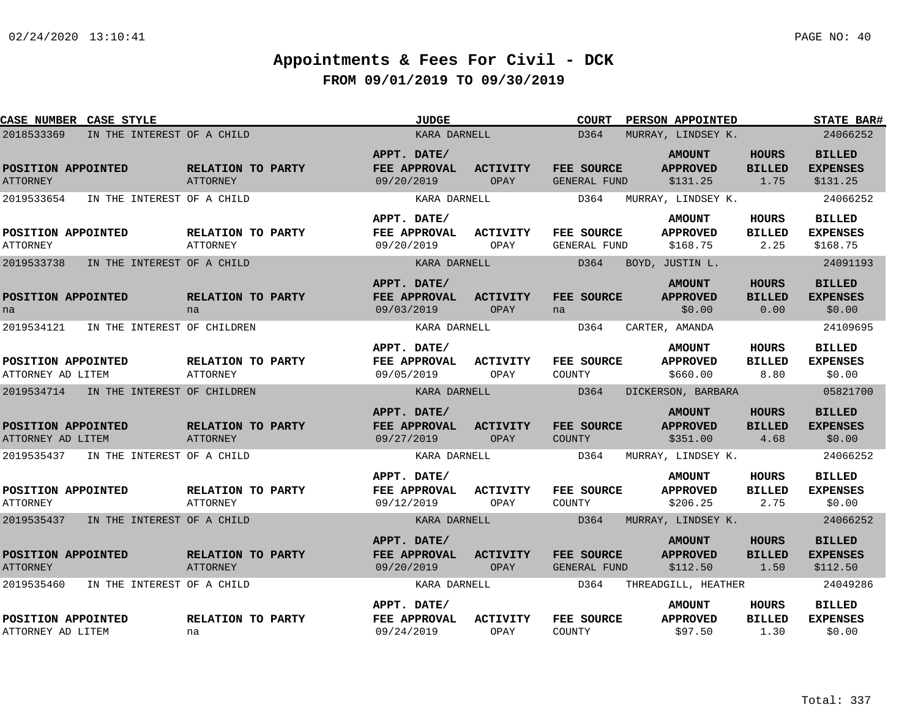| CASE NUMBER CASE STYLE                              |                                       |                                      |              | <b>JUDGE</b>                                              |                         | <b>COURT</b>                       | PERSON APPOINTED                                                   |                                       | <b>STATE BAR#</b>                                        |  |  |  |
|-----------------------------------------------------|---------------------------------------|--------------------------------------|--------------|-----------------------------------------------------------|-------------------------|------------------------------------|--------------------------------------------------------------------|---------------------------------------|----------------------------------------------------------|--|--|--|
| 2018533369                                          | IN THE INTEREST OF A CHILD            |                                      | KARA DARNELL |                                                           |                         |                                    | D364<br>MURRAY, LINDSEY K.                                         |                                       |                                                          |  |  |  |
| POSITION APPOINTED<br><b>ATTORNEY</b><br>2019533654 | IN THE INTEREST OF A CHILD            | <b>RELATION TO PARTY</b><br>ATTORNEY |              | APPT. DATE/<br>FEE APPROVAL<br>09/20/2019<br>KARA DARNELL | <b>ACTIVITY</b><br>OPAY | FEE SOURCE<br>GENERAL FUND<br>D364 | <b>AMOUNT</b><br><b>APPROVED</b><br>\$131.25<br>MURRAY, LINDSEY K. | <b>HOURS</b><br><b>BILLED</b><br>1.75 | <b>BILLED</b><br><b>EXPENSES</b><br>\$131.25<br>24066252 |  |  |  |
| POSITION APPOINTED<br><b>ATTORNEY</b>               |                                       | <b>RELATION TO PARTY</b><br>ATTORNEY |              | APPT. DATE/<br>FEE APPROVAL<br>09/20/2019                 | ACTIVITY<br>OPAY        | <b>FEE SOURCE</b><br>GENERAL FUND  | <b>AMOUNT</b><br><b>APPROVED</b><br>\$168.75                       | <b>HOURS</b><br><b>BILLED</b><br>2.25 | <b>BILLED</b><br><b>EXPENSES</b><br>\$168.75             |  |  |  |
| 2019533738                                          | IN THE INTEREST OF A CHILD            |                                      |              | KARA DARNELL                                              |                         | D364<br>BOYD, JUSTIN L.            |                                                                    | 24091193                              |                                                          |  |  |  |
| POSITION APPOINTED<br>na                            |                                       | RELATION TO PARTY<br>na              |              | APPT. DATE/<br>FEE APPROVAL<br>09/03/2019                 | ACTIVITY<br>OPAY        | FEE SOURCE<br>na                   | <b>AMOUNT</b><br><b>APPROVED</b><br>\$0.00                         | <b>HOURS</b><br><b>BILLED</b><br>0.00 | <b>BILLED</b><br><b>EXPENSES</b><br>\$0.00               |  |  |  |
| 2019534121                                          | IN THE INTEREST OF CHILDREN           |                                      |              | KARA DARNELL                                              |                         | D364                               | CARTER, AMANDA                                                     |                                       | 24109695                                                 |  |  |  |
| POSITION APPOINTED<br>ATTORNEY AD LITEM             |                                       | RELATION TO PARTY<br><b>ATTORNEY</b> |              | APPT. DATE/<br>FEE APPROVAL<br>09/05/2019                 | <b>ACTIVITY</b><br>OPAY | FEE SOURCE<br>COUNTY               | <b>AMOUNT</b><br><b>APPROVED</b><br>\$660.00                       | <b>HOURS</b><br><b>BILLED</b><br>8.80 | <b>BILLED</b><br><b>EXPENSES</b><br>\$0.00               |  |  |  |
| 2019534714                                          | IN THE INTEREST OF CHILDREN           |                                      |              | KARA DARNELL                                              |                         | D364                               | DICKERSON, BARBARA                                                 |                                       | 05821700                                                 |  |  |  |
| POSITION APPOINTED<br>ATTORNEY AD LITEM             |                                       | RELATION TO PARTY<br>ATTORNEY        |              | APPT. DATE/<br>FEE APPROVAL<br>09/27/2019                 | <b>ACTIVITY</b><br>OPAY | FEE SOURCE<br><b>COUNTY</b>        | <b>AMOUNT</b><br><b>APPROVED</b><br>\$351.00                       | <b>HOURS</b><br><b>BILLED</b><br>4.68 | <b>BILLED</b><br><b>EXPENSES</b><br>\$0.00               |  |  |  |
| 2019535437                                          | IN THE INTEREST OF A CHILD            |                                      |              | KARA DARNELL                                              |                         | D364                               | MURRAY, LINDSEY K.                                                 |                                       | 24066252                                                 |  |  |  |
| POSITION APPOINTED<br><b>ATTORNEY</b>               |                                       | RELATION TO PARTY<br>ATTORNEY        |              | APPT. DATE/<br>FEE APPROVAL<br>09/12/2019                 | ACTIVITY<br>OPAY        | <b>FEE SOURCE</b><br>COUNTY        | <b>AMOUNT</b><br><b>APPROVED</b><br>\$206.25                       | HOURS<br>BILLED<br>2.75               | <b>BILLED</b><br><b>EXPENSES</b><br>\$0.00               |  |  |  |
|                                                     | 2019535437 IN THE INTEREST OF A CHILD |                                      |              | KARA DARNELL                                              |                         | D364                               | MURRAY, LINDSEY K.                                                 |                                       | 24066252                                                 |  |  |  |
| POSITION APPOINTED<br><b>ATTORNEY</b>               |                                       | RELATION TO PARTY<br>ATTORNEY        |              | APPT. DATE/<br>FEE APPROVAL<br>09/20/2019                 | <b>ACTIVITY</b><br>OPAY | <b>FEE SOURCE</b><br>GENERAL FUND  | <b>AMOUNT</b><br><b>APPROVED</b><br>\$112.50                       | <b>HOURS</b><br><b>BILLED</b><br>1.50 | <b>BILLED</b><br><b>EXPENSES</b><br>\$112.50             |  |  |  |
| 2019535460                                          | IN THE INTEREST OF A CHILD            |                                      |              | KARA DARNELL                                              |                         | D364                               | THREADGILL, HEATHER                                                |                                       | 24049286                                                 |  |  |  |
| POSITION APPOINTED<br>ATTORNEY AD LITEM             |                                       | RELATION TO PARTY<br>na              |              | APPT. DATE/<br>FEE APPROVAL<br>09/24/2019                 | <b>ACTIVITY</b><br>OPAY | FEE SOURCE<br>COUNTY               | <b>AMOUNT</b><br><b>APPROVED</b><br>\$97.50                        | HOURS<br><b>BILLED</b><br>1.30        | <b>BILLED</b><br><b>EXPENSES</b><br>\$0.00               |  |  |  |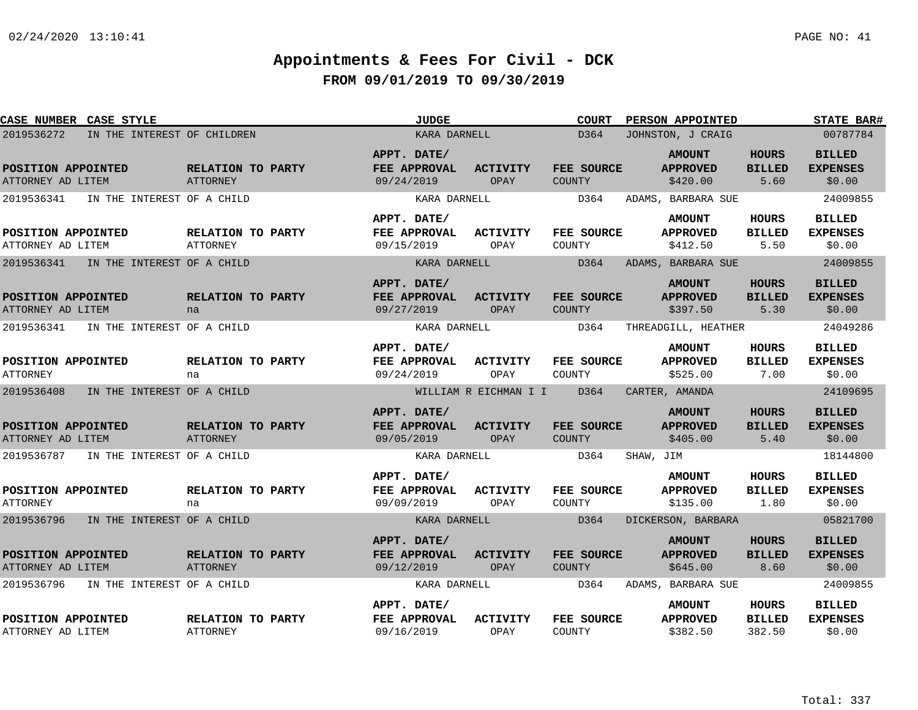| CASE NUMBER CASE STYLE                   | <b>JUDGE</b>                                |                                           | <b>COURT</b>            | <b>PERSON APPOINTED</b>     | <b>STATE BAR#</b>                            |                                       |                                            |
|------------------------------------------|---------------------------------------------|-------------------------------------------|-------------------------|-----------------------------|----------------------------------------------|---------------------------------------|--------------------------------------------|
| 2019536272                               | IN THE INTEREST OF CHILDREN                 | KARA DARNELL                              |                         | D364                        | JOHNSTON, J CRAIG                            | 00787784                              |                                            |
| POSITION APPOINTED<br>ATTORNEY AD LITEM  | RELATION TO PARTY<br><b>ATTORNEY</b>        | APPT. DATE/<br>FEE APPROVAL<br>09/24/2019 | <b>ACTIVITY</b><br>OPAY | FEE SOURCE<br>COUNTY        | <b>AMOUNT</b><br><b>APPROVED</b><br>\$420.00 | <b>HOURS</b><br><b>BILLED</b><br>5.60 | <b>BILLED</b><br><b>EXPENSES</b><br>\$0.00 |
| 2019536341<br>IN THE INTEREST OF A CHILD |                                             | KARA DARNELL                              |                         | D364                        | ADAMS, BARBARA SUE                           |                                       | 24009855                                   |
| POSITION APPOINTED<br>ATTORNEY AD LITEM  | <b>RELATION TO PARTY</b><br><b>ATTORNEY</b> | APPT. DATE/<br>FEE APPROVAL<br>09/15/2019 | ACTIVITY<br>OPAY        | FEE SOURCE<br>COUNTY        | <b>AMOUNT</b><br><b>APPROVED</b><br>\$412.50 | HOURS<br><b>BILLED</b><br>5.50        | <b>BILLED</b><br><b>EXPENSES</b><br>\$0.00 |
| 2019536341<br>IN THE INTEREST OF A CHILD |                                             | KARA DARNELL                              |                         | D364                        | ADAMS, BARBARA SUE                           |                                       | 24009855                                   |
| POSITION APPOINTED<br>ATTORNEY AD LITEM  | RELATION TO PARTY<br>na                     | APPT. DATE/<br>FEE APPROVAL<br>09/27/2019 | <b>ACTIVITY</b><br>OPAY | FEE SOURCE<br>COUNTY        | <b>AMOUNT</b><br><b>APPROVED</b><br>\$397.50 | <b>HOURS</b><br><b>BILLED</b><br>5.30 | <b>BILLED</b><br><b>EXPENSES</b><br>\$0.00 |
| 2019536341<br>IN THE INTEREST OF A CHILD |                                             | KARA DARNELL                              |                         | D364                        | THREADGILL, HEATHER                          |                                       | 24049286                                   |
| POSITION APPOINTED<br><b>ATTORNEY</b>    | RELATION TO PARTY<br>na                     | APPT. DATE/<br>FEE APPROVAL<br>09/24/2019 | ACTIVITY<br>OPAY        | FEE SOURCE<br>COUNTY        | <b>AMOUNT</b><br><b>APPROVED</b><br>\$525.00 | HOURS<br><b>BILLED</b><br>7.00        | <b>BILLED</b><br><b>EXPENSES</b><br>\$0.00 |
| 2019536408<br>IN THE INTEREST OF A CHILD |                                             |                                           | WILLIAM R EICHMAN I I   | D364                        | CARTER, AMANDA                               |                                       | 24109695                                   |
| POSITION APPOINTED<br>ATTORNEY AD LITEM  | RELATION TO PARTY<br>ATTORNEY               | APPT. DATE/<br>FEE APPROVAL<br>09/05/2019 | <b>ACTIVITY</b><br>OPAY | FEE SOURCE<br>COUNTY        | <b>AMOUNT</b><br><b>APPROVED</b><br>\$405.00 | <b>HOURS</b><br><b>BILLED</b><br>5.40 | <b>BILLED</b><br><b>EXPENSES</b><br>\$0.00 |
| 2019536787<br>IN THE INTEREST OF A CHILD |                                             | KARA DARNELL                              |                         | D364                        | SHAW, JIM                                    |                                       | 18144800                                   |
| POSITION APPOINTED<br><b>ATTORNEY</b>    | RELATION TO PARTY<br>na                     | APPT. DATE/<br>FEE APPROVAL<br>09/09/2019 | <b>ACTIVITY</b><br>OPAY | FEE SOURCE<br>COUNTY        | <b>AMOUNT</b><br><b>APPROVED</b><br>\$135.00 | HOURS<br><b>BILLED</b><br>1.80        | <b>BILLED</b><br><b>EXPENSES</b><br>\$0.00 |
| 2019536796<br>IN THE INTEREST OF A CHILD |                                             | KARA DARNELL                              |                         | D364                        | DICKERSON, BARBARA                           |                                       | 05821700                                   |
| POSITION APPOINTED<br>ATTORNEY AD LITEM  | RELATION TO PARTY<br><b>ATTORNEY</b>        | APPT. DATE/<br>FEE APPROVAL<br>09/12/2019 | <b>ACTIVITY</b><br>OPAY | FEE SOURCE<br><b>COUNTY</b> | <b>AMOUNT</b><br><b>APPROVED</b><br>\$645.00 | <b>HOURS</b><br><b>BILLED</b><br>8.60 | <b>BILLED</b><br><b>EXPENSES</b><br>\$0.00 |
| IN THE INTEREST OF A CHILD<br>2019536796 |                                             | KARA DARNELL                              |                         | D364                        | ADAMS, BARBARA SUE                           |                                       | 24009855                                   |
| POSITION APPOINTED<br>ATTORNEY AD LITEM  | RELATION TO PARTY<br><b>ATTORNEY</b>        | APPT. DATE/<br>FEE APPROVAL<br>09/16/2019 | <b>ACTIVITY</b><br>OPAY | FEE SOURCE<br>COUNTY        | <b>AMOUNT</b><br><b>APPROVED</b><br>\$382.50 | HOURS<br><b>BILLED</b><br>382.50      | <b>BILLED</b><br><b>EXPENSES</b><br>\$0.00 |